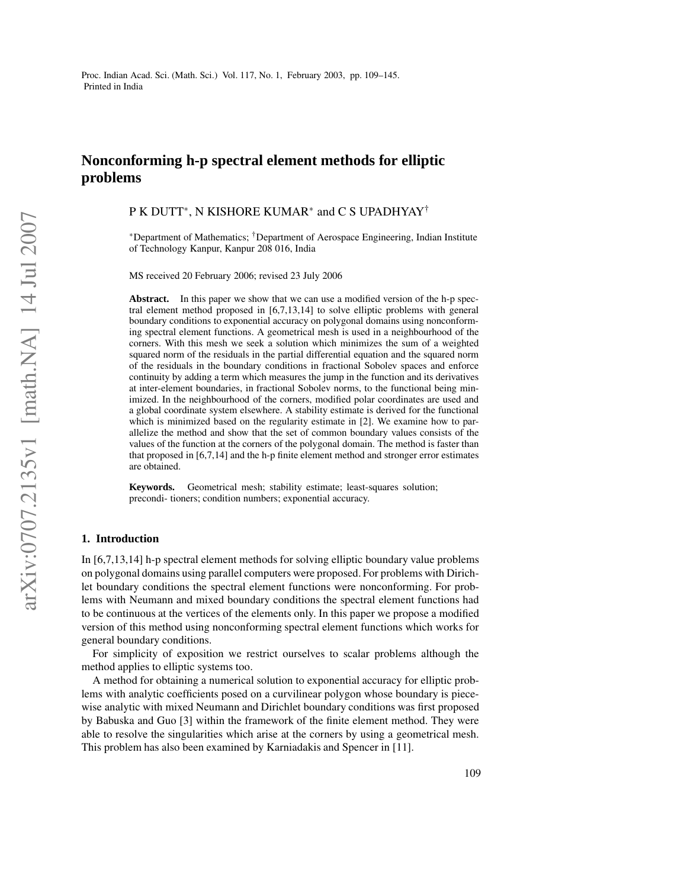# **Nonconforming h-p spectral element methods for elliptic problems**

 $\overline{\mathrm{P}}$  K DUTT\*, N KISHORE KUMAR\* and C S UPADHYAY<sup>†</sup>

<sup>∗</sup>Department of Mathematics; †Department of Aerospace Engineering, Indian Institute of Technology Kanpur, Kanpur 208 016, India

MS received 20 February 2006; revised 23 July 2006

**Abstract.** In this paper we show that we can use a modified version of the h-p spectral element method proposed in [6,7,13,14] to solve elliptic problems with general boundary conditions to exponential accuracy on polygonal domains using nonconforming spectral element functions. A geometrical mesh is used in a neighbourhood of the corners. With this mesh we seek a solution which minimizes the sum of a weighted squared norm of the residuals in the partial differential equation and the squared norm of the residuals in the boundary conditions in fractional Sobolev spaces and enforce continuity by adding a term which measures the jump in the function and its derivatives at inter-element boundaries, in fractional Sobolev norms, to the functional being minimized. In the neighbourhood of the corners, modified polar coordinates are used and a global coordinate system elsewhere. A stability estimate is derived for the functional which is minimized based on the regularity estimate in [2]. We examine how to parallelize the method and show that the set of common boundary values consists of the values of the function at the corners of the polygonal domain. The method is faster than that proposed in [6,7,14] and the h-p finite element method and stronger error estimates are obtained.

**Keywords.** Geometrical mesh; stability estimate; least-squares solution; precondi- tioners; condition numbers; exponential accuracy.

### **1. Introduction**

In [6,7,13,14] h-p spectral element methods for solving elliptic boundary value problems on polygonal domains using parallel computers were proposed. For problems with Dirichlet boundary conditions the spectral element functions were nonconforming. For problems with Neumann and mixed boundary conditions the spectral element functions had to be continuous at the vertices of the elements only. In this paper we propose a modified version of this method using nonconforming spectral element functions which works for general boundary conditions.

For simplicity of exposition we restrict ourselves to scalar problems although the method applies to elliptic systems too.

A method for obtaining a numerical solution to exponential accuracy for elliptic problems with analytic coefficients posed on a curvilinear polygon whose boundary is piecewise analytic with mixed Neumann and Dirichlet boundary conditions was first proposed by Babuska and Guo [3] within the framework of the finite element method. They were able to resolve the singularities which arise at the corners by using a geometrical mesh. This problem has also been examined by Karniadakis and Spencer in [11].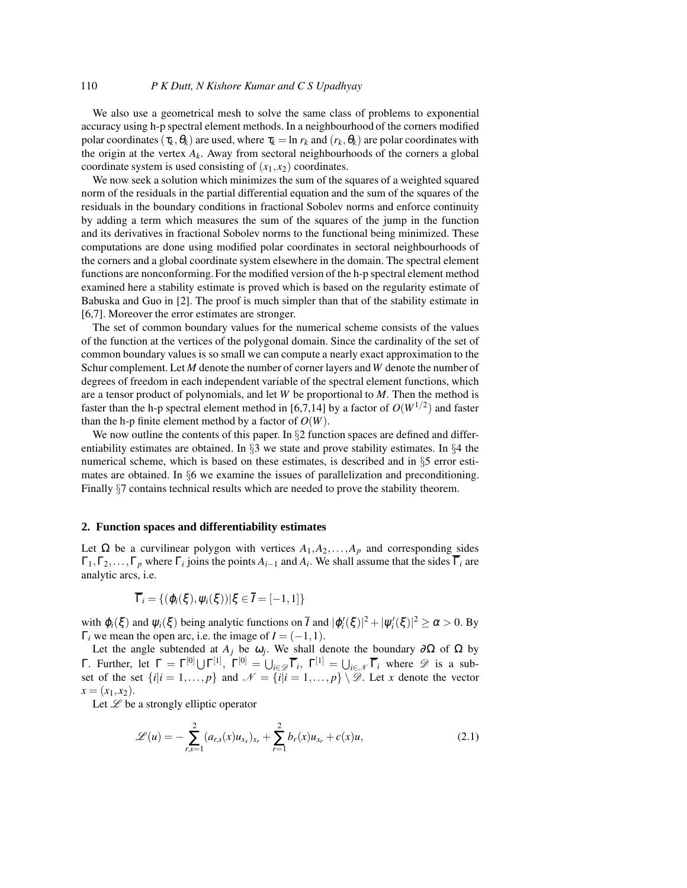We also use a geometrical mesh to solve the same class of problems to exponential accuracy using h-p spectral element methods. In a neighbourhood of the corners modified polar coordinates  $(\tau_k, \theta_k)$  are used, where  $\tau_k = \ln r_k$  and  $(r_k, \theta_k)$  are polar coordinates with the origin at the vertex  $A_k$ . Away from sectoral neighbourhoods of the corners a global coordinate system is used consisting of  $(x_1, x_2)$  coordinates.

We now seek a solution which minimizes the sum of the squares of a weighted squared norm of the residuals in the partial differential equation and the sum of the squares of the residuals in the boundary conditions in fractional Sobolev norms and enforce continuity by adding a term which measures the sum of the squares of the jump in the function and its derivatives in fractional Sobolev norms to the functional being minimized. These computations are done using modified polar coordinates in sectoral neighbourhoods of the corners and a global coordinate system elsewhere in the domain. The spectral element functions are nonconforming. For the modified version of the h-p spectral element method examined here a stability estimate is proved which is based on the regularity estimate of Babuska and Guo in [2]. The proof is much simpler than that of the stability estimate in [6,7]. Moreover the error estimates are stronger.

The set of common boundary values for the numerical scheme consists of the values of the function at the vertices of the polygonal domain. Since the cardinality of the set of common boundary values is so small we can compute a nearly exact approximation to the Schur complement. Let *M* denote the number of corner layers and*W* denote the number of degrees of freedom in each independent variable of the spectral element functions, which are a tensor product of polynomials, and let *W* be proportional to *M*. Then the method is faster than the h-p spectral element method in [6,7,14] by a factor of  $O(W^{1/2})$  and faster than the h-p finite element method by a factor of  $O(W)$ .

We now outline the contents of this paper. In  $\S$ 2 function spaces are defined and differentiability estimates are obtained. In  $\S$ 3 we state and prove stability estimates. In  $\S$ 4 the numerical scheme, which is based on these estimates, is described and in §5 error estimates are obtained. In §6 we examine the issues of parallelization and preconditioning. Finally §7 contains technical results which are needed to prove the stability theorem.

### **2. Function spaces and differentiability estimates**

Let  $\Omega$  be a curvilinear polygon with vertices  $A_1, A_2, \ldots, A_p$  and corresponding sides  $\Gamma_1, \Gamma_2, \ldots, \Gamma_p$  where  $\Gamma_i$  joins the points  $A_{i-1}$  and  $A_i$ . We shall assume that the sides  $\overline{\Gamma}_i$  are analytic arcs, i.e.

$$
\overline{\Gamma}_i = \{(\varphi_i(\xi), \psi_i(\xi)) | \xi \in \overline{I} = [-1, 1] \}
$$

with  $\varphi_i(\xi)$  and  $\psi_i(\xi)$  being analytic functions on  $\overline{I}$  and  $|\varphi'_i(\xi)|^2 + |\psi'_i(\xi)|^2 \ge \alpha > 0$ . By  $\Gamma_i$  we mean the open arc, i.e. the image of  $I = (-1,1)$ .

Let the angle subtended at  $A_j$  be  $\omega_j$ . We shall denote the boundary  $\partial\Omega$  of  $\Omega$  by  $Γ.$  Further, let  $Γ = Γ^{[0]} ∪ Γ^{[1]}$ ,  $Γ^{[0]} = ∪_{i∈\mathcal{D}}$  $\overline{Γ}_i$ ,  $Γ^{[1]} = ∪_{i∈\mathcal{N}}$  $\overline{Γ}_i$  where  $\mathcal{D}$  is a subset of the set  $\{i|i=1,\ldots,p\}$  and  $\mathcal{N} = \{i|i=1,\ldots,p\} \setminus \mathcal{D}$ . Let *x* denote the vector  $x = (x_1, x_2).$ 

Let  $\mathscr L$  be a strongly elliptic operator

$$
\mathscr{L}(u) = -\sum_{r,s=1}^{2} (a_{r,s}(x)u_{x_s})_{x_r} + \sum_{r=1}^{2} b_r(x)u_{x_r} + c(x)u,
$$
\n(2.1)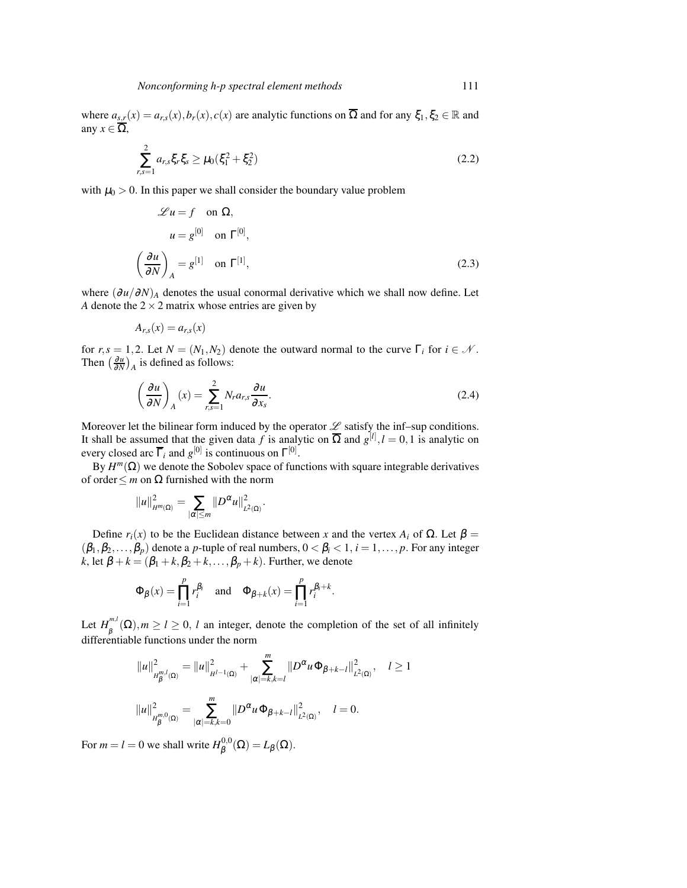where  $a_{s,r}(x) = a_{r,s}(x)$ ,  $b_r(x)$ ,  $c(x)$  are analytic functions on  $\overline{\Omega}$  and for any  $\xi_1, \xi_2 \in \mathbb{R}$  and any  $x \in \overline{\Omega}$ ,

$$
\sum_{r,s=1}^{2} a_{r,s} \xi_r \xi_s \ge \mu_0(\xi_1^2 + \xi_2^2)
$$
\n(2.2)

with  $\mu_0 > 0$ . In this paper we shall consider the boundary value problem

$$
\mathcal{L}u = f \quad \text{on } \Omega,
$$
  
\n
$$
u = g^{[0]} \quad \text{on } \Gamma^{[0]},
$$
  
\n
$$
\left(\frac{\partial u}{\partial N}\right)_A = g^{[1]} \quad \text{on } \Gamma^{[1]},
$$
\n(2.3)

where  $(\partial u/\partial N)$ <sub>*A*</sub> denotes the usual conormal derivative which we shall now define. Let *A* denote the  $2 \times 2$  matrix whose entries are given by

$$
A_{r,s}(x) = a_{r,s}(x)
$$

for  $r, s = 1, 2$ . Let  $N = (N_1, N_2)$  denote the outward normal to the curve  $\Gamma_i$  for  $i \in \mathcal{N}$ . Then  $\left(\frac{\partial u}{\partial N}\right)_A$  is defined as follows:

$$
\left(\frac{\partial u}{\partial N}\right)_A(x) = \sum_{r,s=1}^2 N_r a_{r,s} \frac{\partial u}{\partial x_s}.
$$
\n(2.4)

Moreover let the bilinear form induced by the operator  $\mathscr L$  satisfy the inf–sup conditions. It shall be assumed that the given data *f* is analytic on  $\overline{\Omega}$  and  $g^{[l]}$ ,  $l = 0, 1$  is analytic on every closed arc  $\overline{\Gamma}_i$  and  $g^{[0]}$  is continuous on  $\Gamma^{[0]}$ .

By  $H^m(\Omega)$  we denote the Sobolev space of functions with square integrable derivatives of order≤ *m* on Ω furnished with the norm

.

$$
||u||_{H^{m}(\Omega)}^{2} = \sum_{|\alpha| \leq m} ||D^{\alpha}u||_{L^{2}(\Omega)}^{2}
$$

Define  $r_i(x)$  to be the Euclidean distance between *x* and the vertex  $A_i$  of  $Ω$ . Let  $β =$  $(\beta_1, \beta_2, \dots, \beta_p)$  denote a *p*-tuple of real numbers,  $0 < \beta_i < 1$ ,  $i = 1, \dots, p$ . For any integer *k*, let  $\beta + k = (\beta_1 + k, \beta_2 + k, \dots, \beta_p + k)$ . Further, we denote

$$
\Phi_{\beta}(x) = \prod_{i=1}^{p} r_i^{\beta_i}
$$
 and  $\Phi_{\beta+k}(x) = \prod_{i=1}^{p} r_i^{\beta_i+k}$ .

Let  $H_{\rho}^{m,l}$  $B_{\beta}^{m,\ell}(\Omega)$ ,  $m \ge l \ge 0$ , *l* an integer, denote the completion of the set of all infinitely differentiable functions under the norm

$$
||u||_{H_{\beta}^{m,l}(\Omega)}^2 = ||u||_{H^{l-1}(\Omega)}^2 + \sum_{|\alpha|=k, k=l}^m ||D^{\alpha}u\Phi_{\beta+k-l}||_{L^2(\Omega)}^2, \quad l \ge 1
$$
  

$$
||u||_{H_{\beta}^{m,0}(\Omega)}^2 = \sum_{|\alpha|=k, k=0}^m ||D^{\alpha}u\Phi_{\beta+k-l}||_{L^2(\Omega)}^2, \quad l=0.
$$

For  $m = l = 0$  we shall write  $H_R^{0,0}$  $L_{\beta}^{0,0}(\Omega)=L_{\beta}(\Omega).$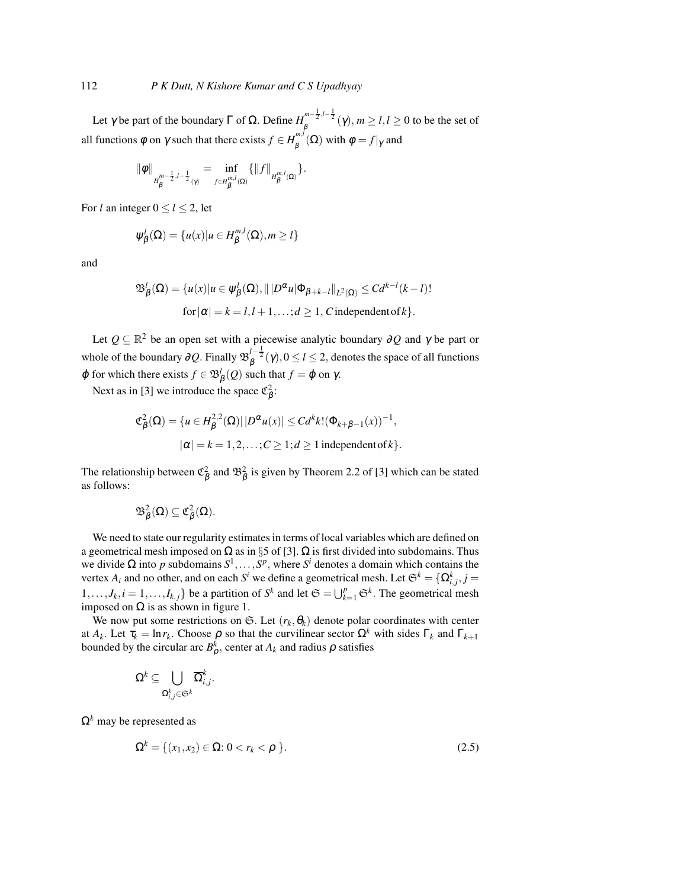Let  $\gamma$  be part of the boundary  $\Gamma$  of  $\Omega$ . Define  $H_{\rho}^{m-\frac{1}{2},l-\frac{1}{2}}$  $\int_{\beta}^{m} \binom{2^{n}-2}{l} (\gamma)$ ,  $m \ge l, l \ge 0$  to be the set of all functions  $\phi$  on  $\gamma$  such that there exists  $f \in H_a^{m,l}$  $\int_{\beta}^{m,\iota}(\Omega)$  with  $\phi=f|_{\gamma}$  and

$$
\|\phi\|_{H^{m-\frac{1}{2},l-\frac{1}{2}}_{\beta}(\gamma)}=\inf_{f\in H^{m,l}_{\beta}(\Omega)}\{\|f\|_{H^{m,l}_{\beta}(\Omega)}\}.
$$

For *l* an integer  $0 \le l \le 2$ , let

$$
\psi_{\beta}^{l}(\Omega) = \{u(x)|u \in H_{\beta}^{m,l}(\Omega), m \ge l\}
$$

and

$$
\mathfrak{B}_{\beta}^{l}(\Omega) = \{u(x)|u \in \psi_{\beta}^{l}(\Omega), |||D^{\alpha}u|\Phi_{\beta+k-l}||_{L^{2}(\Omega)} \leq Cd^{k-l}(k-l)!
$$
  
for  $|\alpha| = k = l, l+1, \ldots; d \geq 1$ , C independent of k.

Let  $Q \subseteq \mathbb{R}^2$  be an open set with a piecewise analytic boundary  $\partial Q$  and  $\gamma$  be part or whole of the boundary  $\partial Q$ . Finally  $\mathfrak{B}^{l-\frac{1}{2}}_\beta(\gamma), 0\leq l\leq 2,$  denotes the space of all functions  $\varphi$  for which there exists  $f \in \mathfrak{B}^l_{\beta}(\mathcal{Q})$  such that  $f = \varphi$  on  $\gamma$ .

Next as in [3] we introduce the space  $\mathfrak{C}_{\beta}^2$ :

$$
\mathfrak{C}_{\beta}^{2}(\Omega) = \{u \in H_{\beta}^{2,2}(\Omega) | |D^{\alpha}u(x)| \leq Cd^{k}k! (\Phi_{k+\beta-1}(x))^{-1},
$$
  

$$
|\alpha| = k = 1,2,\ldots; C \geq 1; d \geq 1 \text{ independent of } k\}.
$$

The relationship between  $\mathfrak{C}_{\beta}^2$  and  $\mathfrak{B}_{\beta}^2$  is given by Theorem 2.2 of [3] which can be stated as follows:

$$
\mathfrak{B}^2_{\beta}(\Omega) \subseteq \mathfrak{C}^2_{\beta}(\Omega).
$$

We need to state our regularity estimates in terms of local variables which are defined on a geometrical mesh imposed on  $\Omega$  as in §5 of [3].  $\Omega$  is first divided into subdomains. Thus we divide  $\Omega$  into p subdomains  $S^1, \ldots, S^p$ , where  $S^i$  denotes a domain which contains the vertex *A<sup>i</sup>* and no other, and on each *S <sup>i</sup>* we define a geometrical mesh. Let S*<sup>k</sup>* = {Ω*<sup>k</sup> i*, *j* , *j* =  $1, \ldots, J_k, i = 1, \ldots, I_{k,j}$  be a partition of  $S^k$  and let  $\mathfrak{S} = \bigcup_{k=1}^p \mathfrak{S}^k$ . The geometrical mesh imposed on  $Ω$  is as shown in figure 1.

We now put some restrictions on  $\mathfrak{S}$ . Let  $(r_k, \theta_k)$  denote polar coordinates with center at *A<sub>k</sub>*. Let  $\tau_k = \ln r_k$ . Choose  $\rho$  so that the curvilinear sector  $\Omega^k$  with sides  $\Gamma_k$  and  $\Gamma_{k+1}$ bounded by the circular arc  $B^k_\rho$ , center at  $A_k$  and radius  $\rho$  satisfies

$$
\Omega^k\subseteq\bigcup_{\Omega^k_{i,j}\in \mathfrak{S}^k}\overline{\Omega}^k_{i,j}.
$$

 $\Omega^k$  may be represented as

$$
\Omega^k = \{ (x_1, x_2) \in \Omega : 0 < r_k < \rho \}.
$$
\n(2.5)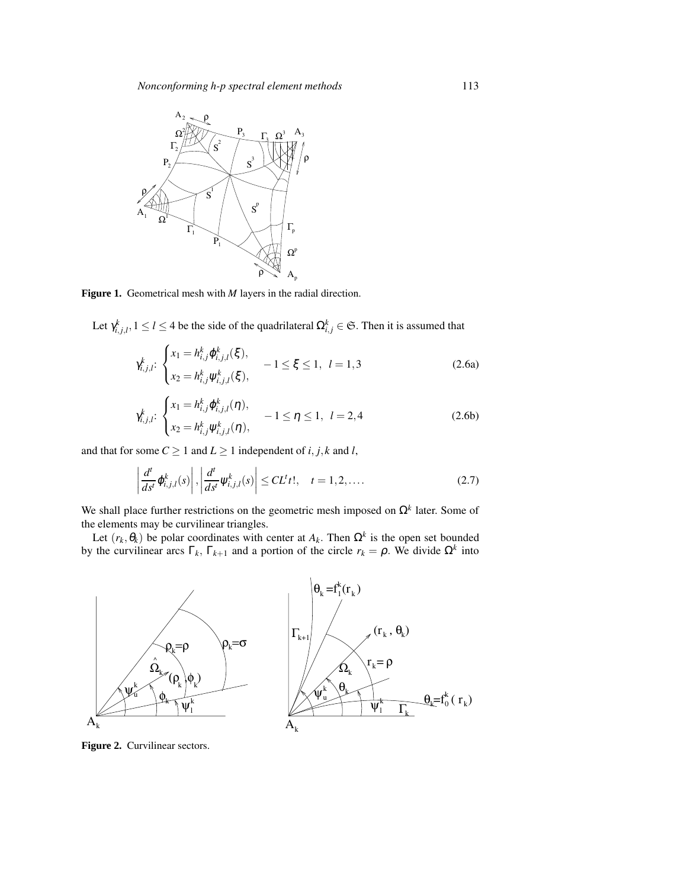

**Figure 1.** Geometrical mesh with *M* layers in the radial direction.

Let  $\gamma_{i,j,l}^k, 1 \leq l \leq 4$  be the side of the quadrilateral  $\Omega_{i,j}^k \in \mathfrak{S}$ . Then it is assumed that

$$
\gamma_{i,j,l}^k: \begin{cases} x_1 = h_{i,j}^k \varphi_{i,j,l}^k(\xi), \\ x_2 = h_{i,j}^k \psi_{i,j,l}^k(\xi), \end{cases} -1 \le \xi \le 1, \ l = 1,3 \tag{2.6a}
$$

$$
\gamma_{i,j,l}^k: \begin{cases} x_1 = h_{i,j}^k \varphi_{i,j,l}^k(\eta), \\ x_2 = h_{i,j}^k \psi_{i,j,l}^k(\eta), \end{cases} -1 \le \eta \le 1, \ l = 2,4 \tag{2.6b}
$$

and that for some  $C \geq 1$  and  $L \geq 1$  independent of *i*, *j*,*k* and *l*,

$$
\left| \frac{d^t}{ds^t} \varphi_{i,j,l}^k(s) \right|, \left| \frac{d^t}{ds^t} \psi_{i,j,l}^k(s) \right| \leq CL^t t!, \quad t = 1, 2, \dots
$$
 (2.7)

We shall place further restrictions on the geometric mesh imposed on  $\Omega^k$  later. Some of the elements may be curvilinear triangles.

Let  $(r_k, \theta_k)$  be polar coordinates with center at  $A_k$ . Then  $\Omega^k$  is the open set bounded by the curvilinear arcs  $\Gamma_k$ ,  $\Gamma_{k+1}$  and a portion of the circle  $r_k = \rho$ . We divide  $\Omega^k$  into



**Figure 2.** Curvilinear sectors.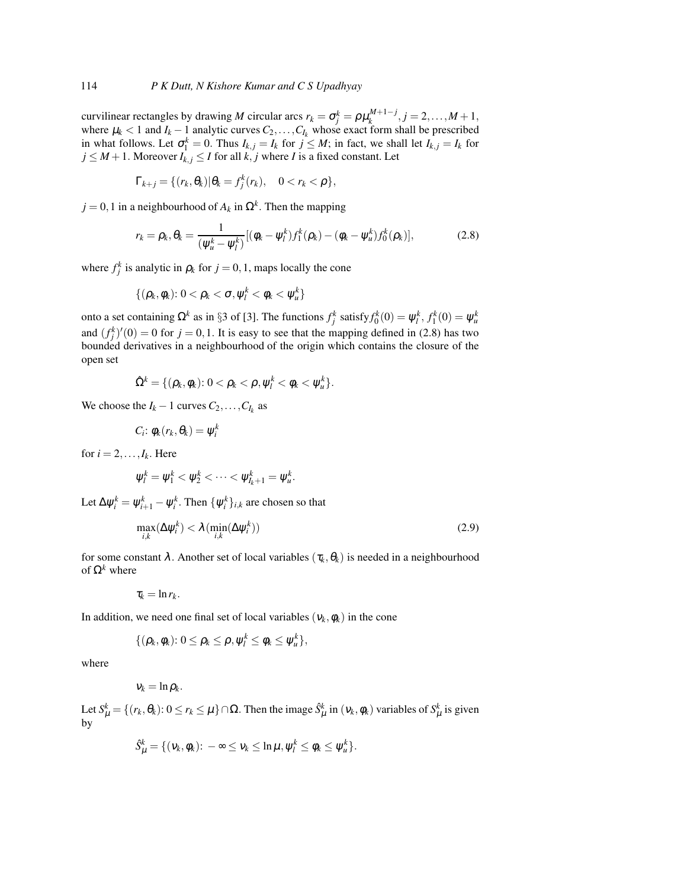curvilinear rectangles by drawing *M* circular arcs  $r_k = \sigma_j^k = \rho \mu_k^{M+1-j}$  $\binom{M+1-j}{k}, j=2,\ldots,M+1,$ where  $\mu_k < 1$  and  $I_k - 1$  analytic curves  $C_2, \ldots, C_{I_k}$  whose exact form shall be prescribed in what follows. Let  $\sigma_1^k = 0$ . Thus  $I_{k,j} = I_k$  for  $j \leq M$ ; in fact, we shall let  $I_{k,j} = I_k$  for  $j \leq M+1$ . Moreover  $I_{k,j} \leq I$  for all  $k, j$  where  $I$  is a fixed constant. Let

$$
\Gamma_{k+j} = \{ (r_k, \theta_k) | \theta_k = f_j^k(r_k), \quad 0 < r_k < \rho \},
$$

 $j = 0, 1$  in a neighbourhood of  $A_k$  in  $\Omega^k$ . Then the mapping

$$
r_k = \rho_k, \theta_k = \frac{1}{(\psi_u^k - \psi_l^k)} [(\phi_k - \psi_l^k) f_1^k(\rho_k) - (\phi_k - \psi_u^k) f_0^k(\rho_k)],
$$
 (2.8)

where  $f_j^k$  is analytic in  $\rho_k$  for  $j = 0, 1$ , maps locally the cone

$$
\{(\rho_k,\phi_k): 0 < \rho_k < \sigma, \psi_l^k < \phi_k < \psi_u^k\}
$$

onto a set containing  $\Omega^k$  as in §3 of [3]. The functions  $f_j^k$  satisfy  $f_0^k(0) = \psi_l^k$ ,  $f_1^k(0) = \psi_u^k$ and  $(f_j^k)'(0) = 0$  for  $j = 0, 1$ . It is easy to see that the mapping defined in (2.8) has two bounded derivatives in a neighbourhood of the origin which contains the closure of the open set

$$
\hat{\Omega}^k = \{(\rho_k, \phi_k) \colon 0 < \rho_k < \rho, \psi_l^k < \phi_k < \psi_u^k\}.
$$

We choose the  $I_k - 1$  curves  $C_2, \ldots, C_{I_k}$  as

$$
C_i: \phi_k(r_k, \theta_k) = \psi_i^k
$$

for  $i = 2, \ldots, I_k$ . Here

$$
\psi_l^k = \psi_1^k < \psi_2^k < \cdots < \psi_{l_k+1}^k = \psi_u^k.
$$

Let  $\Delta \psi_i^k = \psi_{i+1}^k - \psi_i^k$ . Then  $\{\psi_i^k\}_{i,k}$  are chosen so that

$$
\max_{i,k} (\Delta \psi_i^k) < \lambda (\min_{i,k} (\Delta \psi_i^k)) \tag{2.9}
$$

for some constant <sup>λ</sup>. Another set of local variables (<sup>τ</sup>*<sup>k</sup>* ,θ*k*) is needed in a neighbourhood of  $\Omega^k$  where

$$
\tau_k=\ln r_k.
$$

In addition, we need one final set of local variables  $(v_k, \phi_k)$  in the cone

$$
\{(\rho_k,\phi_k): 0\leq \rho_k\leq \rho, \psi_l^k\leq \phi_k\leq \psi_u^k\},\
$$

where

 $v_k = \ln \rho_k$ .

Let *S*<sup>*k*</sup><sub>μ</sub> = {(*r<sub><i>k*</sub></sub>,  $θ$ *<sub><i>k*</sub>): 0 ≤ *r*<sub>*k*</sub> ≤ μ} ∩Ω. Then the image *Ŝ*<sup>*k*</sup><sub>μ</sub></sub> in (*ν*<sub>*k*</sub>, φ<sub>*k*</sub>) variables of *S*<sup>*k*</sup><sub>μ</sub> is given by

$$
\hat{S}_{\mu}^k = \{(\nu_k, \phi_k): \ -\infty \leq \nu_k \leq \ln \mu, \psi_l^k \leq \phi_k \leq \psi_u^k\}.
$$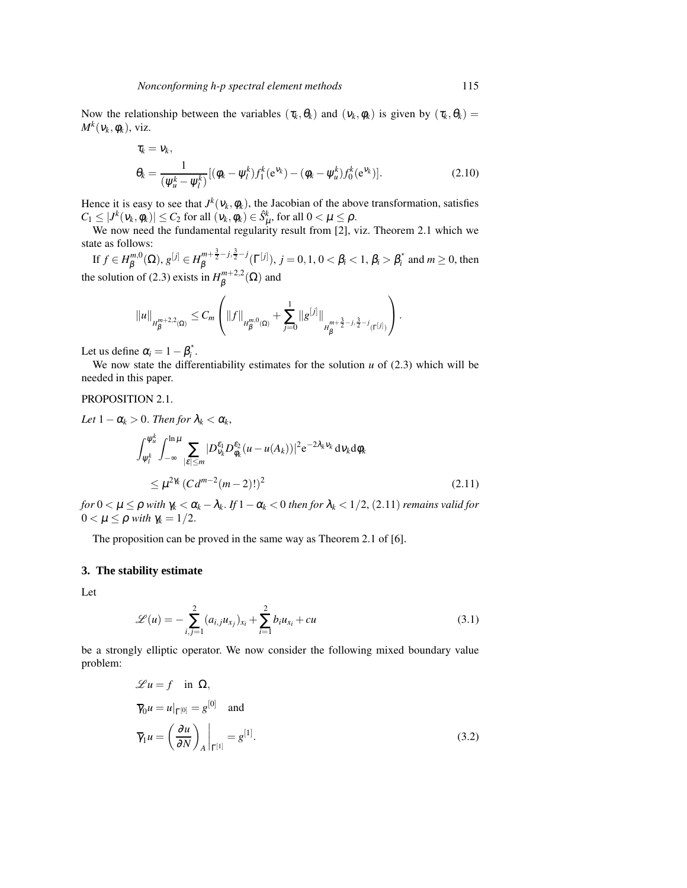Now the relationship between the variables  $(\tau_k, \theta_k)$  and  $(v_k, \phi_k)$  is given by  $(\tau_k, \theta_k)$  $M^k(\nu_k, \phi_k)$ , viz.

$$
\tau_k = v_k,
$$
  
\n
$$
\theta_k = \frac{1}{(\psi_u^k - \psi_l^k)} [(\phi_k - \psi_l^k) f_1^k(e^{v_k}) - (\phi_k - \psi_u^k) f_0^k(e^{v_k})].
$$
\n(2.10)

Hence it is easy to see that  $J^k(\nu_k, \phi_k)$ , the Jacobian of the above transformation, satisfies  $C_1 \leq |J^k(v_k, \phi_k)| \leq C_2$  for all  $(v_k, \phi_k) \in \hat{S}_{\mu}^k$ , for all  $0 < \mu \leq \rho$ .

We now need the fundamental regularity result from [2], viz. Theorem 2.1 which we state as follows:

If  $f \in H^{m,0}_R$  $B^{(m,0)}_{\beta}(\Omega), g^{[j]} \in H^{m+\frac{3}{2}-j,\frac{3}{2}-j}_{\beta}(\Gamma^{[j]}), j=0,1, 0<\beta_i<1, \beta_i>\beta_i^*$  and  $m\geq 0$ , then the solution of (2.3) exists in  $H_R^{m+2,2}$  $_\beta^{m+2,2}(\Omega)$  and

$$
||u||_{H^{m+2,2}(\Omega)} \leq C_m \left(||f||_{H^{m,0}(\Omega)} + \sum_{j=0}^1 ||g^{[j]}||_{H^{m+\frac{3}{2}-j,\frac{3}{2}-j}_{\beta}(\Gamma^{[j]})} \right).
$$

Let us define  $\alpha_i = 1 - \beta_i^*$ .

We now state the differentiability estimates for the solution  $u$  of (2.3) which will be needed in this paper.

### PROPOSITION 2.1.

*Let* 1−<sup>α</sup>*<sup>k</sup>* > 0. *Then for* <sup>λ</sup>*<sup>k</sup>* < <sup>α</sup>*<sup>k</sup>* ,

$$
\int_{\psi_l^k}^{\psi_u^k} \int_{-\infty}^{\ln \mu} \sum_{|\varepsilon| \le m} |D_{v_k}^{\varepsilon_1} D_{\phi_k}^{\varepsilon_2} (u - u(A_k))|^2 e^{-2\lambda_k v_k} dv_k d\phi_k
$$
  
 
$$
\le \mu^{2\gamma_k} (C d^{m-2} (m-2)!)^2
$$
 (2.11)

*for*  $0 < \mu \le \rho$  with  $\gamma_k < \alpha_k - \lambda_k$ . If  $1 - \alpha_k < 0$  then for  $\lambda_k < 1/2$ ,  $(2.11)$  remains valid for  $0 < \mu \leq \rho$  *with*  $\gamma_k = 1/2$ .

The proposition can be proved in the same way as Theorem 2.1 of [6].

### **3. The stability estimate**

Let

$$
\mathcal{L}(u) = -\sum_{i,j=1}^{2} (a_{i,j}u_{x_j})_{x_i} + \sum_{i=1}^{2} b_i u_{x_i} + cu
$$
\n(3.1)

be a strongly elliptic operator. We now consider the following mixed boundary value problem:

$$
\mathcal{L}u = f \text{ in } \Omega,
$$
  
\n
$$
\overline{\gamma}_0 u = u|_{\Gamma^{[0]}} = g^{[0]} \text{ and}
$$
  
\n
$$
\overline{\gamma}_1 u = \left(\frac{\partial u}{\partial N}\right)_A \Big|_{\Gamma^{[1]}} = g^{[1]}.
$$
\n(3.2)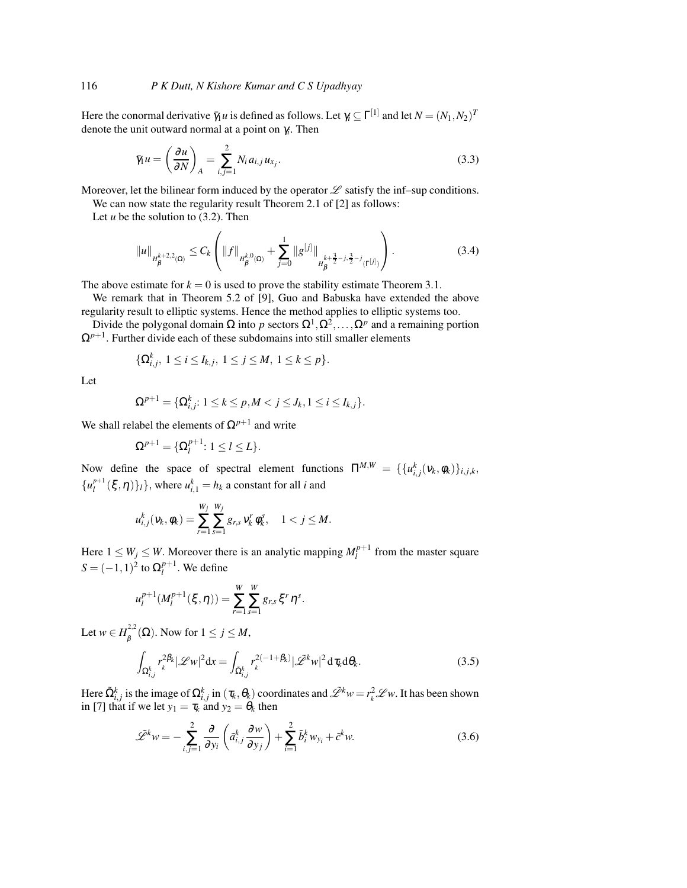## 116 *P K Dutt, N Kishore Kumar and C S Upadhyay*

Here the conormal derivative  $\bar{\gamma}_1u$  is defined as follows. Let  $\gamma_i\subseteq \Gamma^{[1]}$  and let  $N=(N_1,N_2)^T$ denote the unit outward normal at a point on <sup>γ</sup>*<sup>i</sup>* . Then

$$
\bar{\gamma}_1 u = \left(\frac{\partial u}{\partial N}\right)_A = \sum_{i,j=1}^2 N_i a_{i,j} u_{x_j}.
$$
\n(3.3)

Moreover, let the bilinear form induced by the operator  $\mathscr L$  satisfy the inf–sup conditions.

We can now state the regularity result Theorem 2.1 of [2] as follows:

Let  $u$  be the solution to  $(3.2)$ . Then

$$
||u||_{H^{k+2,2}_{\beta}(\Omega)} \leq C_k \left( ||f||_{H^{k,0}_{\beta}(\Omega)} + \sum_{j=0}^1 ||g^{[j]}||_{H^{k+\frac{3}{2}-j,\frac{3}{2}-j}_{\beta}(\Gamma^{[j]})} \right).
$$
 (3.4)

The above estimate for  $k = 0$  is used to prove the stability estimate Theorem 3.1.

We remark that in Theorem 5.2 of [9], Guo and Babuska have extended the above regularity result to elliptic systems. Hence the method applies to elliptic systems too.

Divide the polygonal domain  $\Omega$  into *p* sectors  $\Omega^1, \Omega^2, \ldots, \Omega^p$  and a remaining portion  $\Omega^{p+1}$ . Further divide each of these subdomains into still smaller elements

$$
\{\Omega_{i,j}^k, 1 \le i \le I_{k,j}, 1 \le j \le M, 1 \le k \le p\}.
$$

Let

$$
\Omega^{p+1} = \{ \Omega_{i,j}^k : 1 \le k \le p, M < j \le J_k, 1 \le i \le I_{k,j} \}.
$$

We shall relabel the elements of  $\Omega^{p+1}$  and write

$$
\Omega^{p+1} = \{\Omega_l^{p+1} : 1 \le l \le L\}.
$$

Now define the space of spectral element functions  $\Pi^{M,W} = \{ \{u_{i,j}^k(\mathsf{v}_k, \phi_k) \}_{i,j,k}$  $\{u_l^{p+1}(\xi, \eta)\}_l\}$ , where  $u_{i,1}^k = h_k$  a constant for all *i* and

$$
u_{i,j}^k(\mathbf{v}_k, \phi_k) = \sum_{r=1}^{W_j} \sum_{s=1}^{W_j} g_{r,s} \, v_k^r \, \phi_k^s, \quad 1 < j \leq M.
$$

Here  $1 \leq W_j \leq W$ . Moreover there is an analytic mapping  $M_l^{p+1}$  $l_l^{p+1}$  from the master square  $S = (-1, 1)^2$  to  $\Omega_l^{p+1}$  $\int_l^{p+1}$ . We define

$$
u_l^{p+1}(M_l^{p+1}(\xi,\eta))=\sum_{r=1}^W\sum_{s=1}^W g_{r,s}\xi^r\eta^s.
$$

Let  $w \in H^{2,2}_\rho$  $\int_{\beta}^{\beta}$  (Ω). Now for  $1 \leq j \leq M$ ,

$$
\int_{\Omega_{i,j}^k} r_k^{2\beta_k} |\mathcal{L}w|^2 dx = \int_{\tilde{\Omega}_{i,j}^k} r_k^{2(-1+\beta_k)} |\tilde{\mathcal{L}}^k w|^2 d\tau_k d\theta_k.
$$
\n(3.5)

Here  $\tilde{\Omega}_{i,j}^k$  is the image of  $\Omega_{i,j}^k$  in  $(\tau_k, \theta_k)$  coordinates and  $\tilde{\mathscr{L}}^k w = r_k^2 \mathscr{L} w$ . It has been shown in [7] that if we let  $y_1 = \tau_k$  and  $y_2 = \theta_k$  then

$$
\tilde{\mathcal{L}}^k w = -\sum_{i,j=1}^2 \frac{\partial}{\partial y_i} \left( \tilde{a}_{i,j}^k \frac{\partial w}{\partial y_j} \right) + \sum_{i=1}^2 \tilde{b}_i^k w_{y_i} + \tilde{c}^k w. \tag{3.6}
$$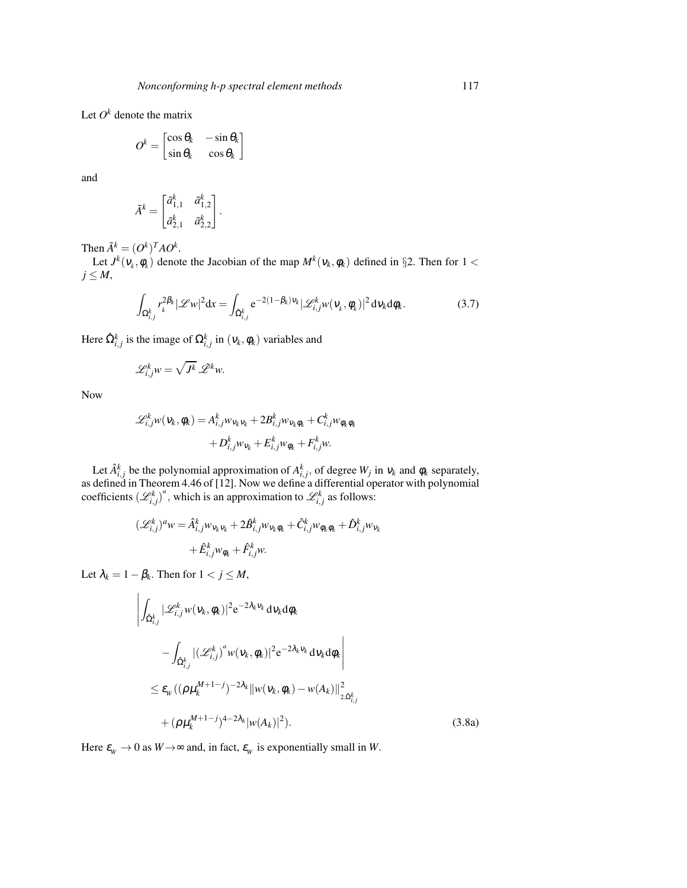Let  $O^k$  denote the matrix

$$
O^k = \begin{bmatrix} \cos \theta_k & -\sin \theta_k \\ \sin \theta_k & \cos \theta_k \end{bmatrix}
$$

and

$$
\tilde{A}^k = \begin{bmatrix} \tilde{a}_{1,1}^k & \tilde{a}_{1,2}^k \\ \tilde{a}_{2,1}^k & \tilde{a}_{2,2}^k \end{bmatrix}.
$$

Then  $\tilde{A}^k = (O^k)^T A O^k$ .

Let  $J^k(\mathbf{v}_k, \phi_k)$  denote the Jacobian of the map  $M^k(\mathbf{v}_k, \phi_k)$  defined in §2. Then for  $1 <$ *j* ≤ *M*,

$$
\int_{\Omega_{i,j}^k} r_k^{2\beta_k} |\mathcal{L}w|^2 dx = \int_{\hat{\Omega}_{i,j}^k} e^{-2(1-\beta_k)v_k} |\mathcal{L}_{i,j}^k w(v_k, \phi_k)|^2 dv_k d\phi_k.
$$
 (3.7)

Here  $\hat{\Omega}_{i,j}^k$  is the image of  $\Omega_{i,j}^k$  in  $(v_k, \phi_k)$  variables and

$$
\mathscr{L}^k_{i,j}w=\sqrt{J^k}\,\tilde{\mathscr{L}}^k w.
$$

Now

$$
\mathcal{L}_{i,j}^k w(v_k, \phi_k) = A_{i,j}^k w_{v_kv_k} + 2B_{i,j}^k w_{v_k\phi_k} + C_{i,j}^k w_{\phi_k\phi_k}
$$

$$
+ D_{i,j}^k w_{v_k} + E_{i,j}^k w_{\phi_k} + F_{i,j}^k w_{v_k}
$$

Let  $\hat{A}_{i,j}^k$  be the polynomial approximation of  $A_{i,j}^k$ , of degree  $W_j$  in  $v_k$  and  $\phi_k$  separately, as defined in Theorem 4.46 of [12]. Now we define a differential operator with polynomial coefficients  $(\mathcal{L}_{i,j}^k)^a$ , which is an approximation to  $\mathcal{L}_{i,j}^k$  as follows:

$$
(\mathscr{L}^k_{i,j})^a w = \hat{A}^k_{i,j} w_{v_k v_k} + 2\hat{B}^k_{i,j} w_{v_k \phi_k} + \hat{C}^k_{i,j} w_{\phi_k \phi_k} + \hat{D}^k_{i,j} w_{v_k}
$$

$$
+ \hat{E}^k_{i,j} w_{\phi_k} + \hat{F}^k_{i,j} w.
$$

Let  $\lambda_k = 1 - \beta_k$ . Then for  $1 < j \leq M$ ,

$$
\left| \int_{\Omega_{i,j}^k} |\mathscr{L}_{i,j}^k w(v_k, \phi_k)|^2 e^{-2\lambda_k v_k} dv_k d\phi_k \right|
$$
  
 
$$
- \int_{\Omega_{i,j}^k} |(\mathscr{L}_{i,j}^k)^a w(v_k, \phi_k)|^2 e^{-2\lambda_k v_k} dv_k d\phi_k \right|
$$
  
 
$$
\leq \varepsilon_w \left( (\rho \mu_k^{M+1-j})^{-2\lambda_k} ||w(v_k, \phi_k) - w(A_k)||_{2, \Omega_{i,j}^k}^2 + (\rho \mu_k^{M+1-j})^{4-2\lambda_k} |w(A_k)|^2 \right).
$$
 (3.8a)

Here  $\varepsilon_w \to 0$  as  $W \to \infty$  and, in fact,  $\varepsilon_w$  is exponentially small in W.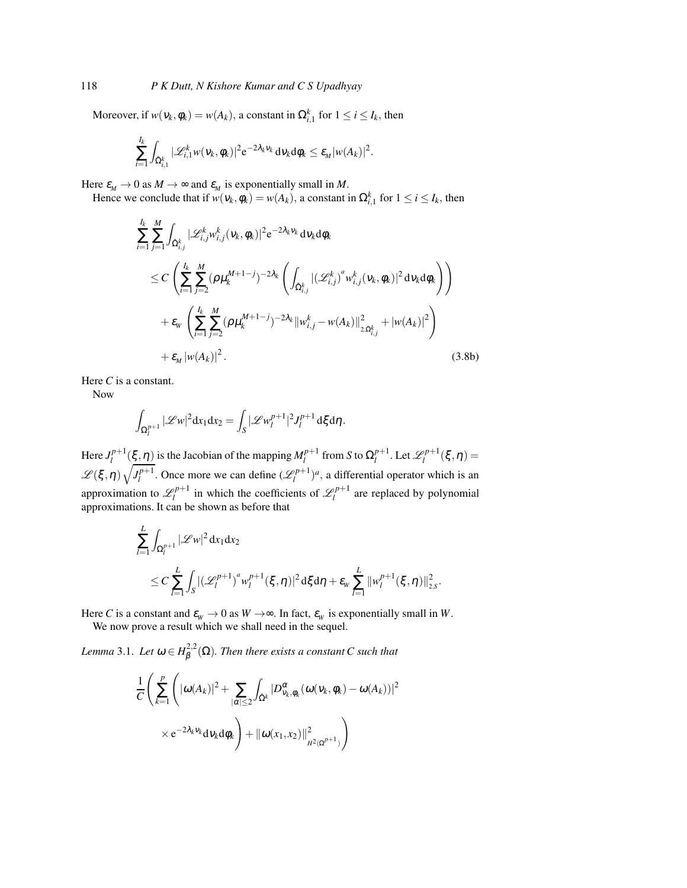## 118 *P K Dutt, N Kishore Kumar and C S Upadhyay*

Moreover, if  $w(v_k, \phi_k) = w(A_k)$ , a constant in  $\Omega_{i,1}^k$  for  $1 \le i \le I_k$ , then

$$
\sum_{i=1}^{I_k} \int_{\hat{\Omega}_{i,1}^k} |\mathscr{L}_{i,1}^k w(v_k,\phi_k)|^2 e^{-2\lambda_k v_k} \, \mathrm{d} v_k \mathrm{d} \phi_k \leq \varepsilon_M |w(A_k)|^2.
$$

Here  $\varepsilon_M \to 0$  as  $M \to \infty$  and  $\varepsilon_M$  is exponentially small in M.

Hence we conclude that if  $w(v_k, \phi_k) = w(A_k)$ , a constant in  $\Omega_{i,1}^k$  for  $1 \le i \le I_k$ , then

$$
\sum_{i=1}^{I_k} \sum_{j=1}^{M} \int_{\hat{\Omega}_{i,j}^k} |\mathcal{L}_{i,j}^k w_{i,j}^k (v_k, \phi_k)|^2 e^{-2\lambda_k v_k} dv_k d\phi_k
$$
\n
$$
\leq C \left( \sum_{i=1}^{I_k} \sum_{j=2}^{M} (\rho \mu_k^{M+1-j})^{-2\lambda_k} \left( \int_{\hat{\Omega}_{i,j}^k} |(\mathcal{L}_{i,j}^k)^\sigma w_{i,j}^k (v_k, \phi_k)|^2 dv_k d\phi_k \right) \right)
$$
\n
$$
+ \varepsilon_w \left( \sum_{i=1}^{I_k} \sum_{j=2}^{M} (\rho \mu_k^{M+1-j})^{-2\lambda_k} ||w_{i,j}^k - w(A_k)||_{2, \hat{\Omega}_{i,j}^k}^2 + |w(A_k)|^2 \right)
$$
\n
$$
+ \varepsilon_w ||w(A_k)|^2.
$$
\n(3.8b)

Here *C* is a constant.

Now

$$
\int_{\Omega_l^{p+1}} |\mathscr{L} w|^2 dx_1 dx_2 = \int_S |\mathscr{L} w_l^{p+1}|^2 J_l^{p+1} d\xi d\eta.
$$

Here  $J_l^{p+1}$  $\int_l^{p+1} (\xi, \eta)$  is the Jacobian of the mapping  $M_l^{p+1}$  $\Omega_l^{p+1}$  from *S* to  $\Omega_l^{p+1}$  $_{l}^{p+1}$ . Let  $\mathscr{L}_{l}^{p+1}$  $\zeta_l^{p+1}(\xi,\eta) =$  $\mathscr{L}(\xi,\eta)\sqrt{J_I^{p+1}}$  $\ell_l^{p+1}$ . Once more we can define  $(\mathscr{L}_l^{p+1})$  $\binom{p}{l}^a$ , a differential operator which is an approximation to  $\mathscr{L}^{p+1}_{l}$  $\mathcal{L}_l^{p+1}$  in which the coefficients of  $\mathcal{L}_l^{p+1}$  $l_l^{p+1}$  are replaced by polynomial approximations. It can be shown as before that

$$
\sum_{l=1}^{L} \int_{\Omega_l^{p+1}} |\mathcal{L}w|^2 dx_1 dx_2
$$
\n
$$
\leq C \sum_{l=1}^{L} \int_{S} |(\mathcal{L}_l^{p+1})^a w_l^{p+1}(\xi, \eta)|^2 d\xi d\eta + \varepsilon_w \sum_{l=1}^{L} \|w_l^{p+1}(\xi, \eta)\|_{2,s}^2.
$$

Here *C* is a constant and  $\varepsilon_w \to 0$  as  $W \to \infty$ . In fact,  $\varepsilon_w$  is exponentially small in *W*.

We now prove a result which we shall need in the sequel.

*Lemma* 3.1. *Let*  $\omega \in H^{2,2}_\beta$  $\beta^{2,2}(\Omega)$ *. Then there exists a constant C such that* 

$$
\frac{1}{C} \left( \sum_{k=1}^p \left( |\omega(A_k)|^2 + \sum_{|\alpha| \le 2} \int_{\hat{\Omega}^k} |D^{\alpha}_{\nu_k, \phi_k}(\omega(\nu_k, \phi_k) - \omega(A_k))|^2 \right) \right)
$$

$$
\times e^{-2\lambda_k \nu_k} d\nu_k d\phi_k \right) + ||\omega(x_1, x_2)||^2_{H^2(\Omega^{p+1})}
$$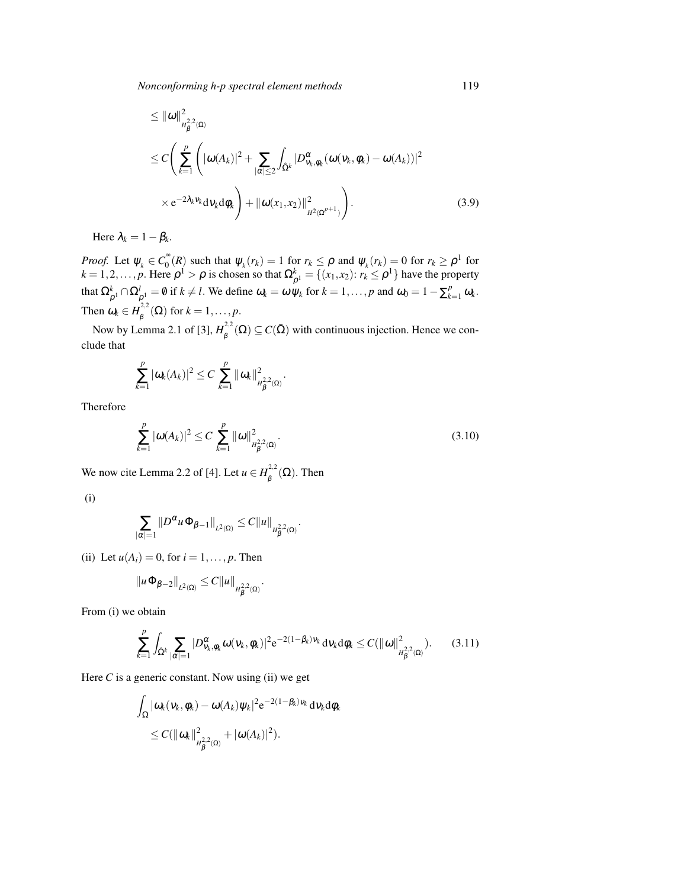$$
\leq ||\omega||_{H_{\beta}^{2,2}(\Omega)}^{2}
$$
\n
$$
\leq C\left(\sum_{k=1}^{p}\left(|\omega(A_{k})|^{2}+\sum_{|\alpha|\leq 2}\int_{\hat{\Omega}^{k}}|D_{V_{k},\phi_{k}}^{\alpha}(\omega(v_{k},\phi_{k})-\omega(A_{k}))|^{2}\right.\right)
$$
\n
$$
\times e^{-2\lambda_{k}V_{k}}dV_{k}d\phi_{k}\right)+||\omega(x_{1},x_{2})||_{H^{2}(\Omega^{p+1})}^{2}\right).
$$
\n(3.9)

Here  $\lambda_k = 1 - \beta_k$ .

*Proof.* Let  $\psi_k \in C_0^{\infty}$  $\int_0^{\infty}$  (*R*) such that  $\psi_k(r_k) = 1$  for  $r_k \le \rho$  and  $\psi_k(r_k) = 0$  for  $r_k \ge \rho^1$  for  $k = 1, 2, \ldots, p$ . Here  $\rho^1 > \rho$  is chosen so that  $\Omega_{\rho^1}^k = \{(x_1, x_2) : r_k \le \rho^1\}$  have the property that  $\Omega_{\rho^1}^k \cap \Omega_{\rho^1}^l = \emptyset$  if  $k \neq l$ . We define  $\omega_k = \omega \psi_k$  for  $k = 1, ..., p$  and  $\omega_0 = 1 - \sum_{k=1}^p \omega_k$ . Then  $\omega_k \in H^{2,2}_\beta$  $\int_{\beta}^{2\pi} (\Omega)$  for  $k = 1, \ldots, p$ .

Now by Lemma 2.1 of [3],  $H_{a}^{2,2}$  $\int_{\beta}^{2,2}(\Omega) \subseteq C(\bar{\Omega})$  with continuous injection. Hence we conclude that

$$
\sum_{k=1}^p |\omega_k(A_k)|^2 \leq C \sum_{k=1}^p ||\omega_k||^2_{H^{2,2}_{\beta}(\Omega)}.
$$

Therefore

$$
\sum_{k=1}^{p} |\omega(A_k)|^2 \le C \sum_{k=1}^{p} ||\omega||_{H_{\beta}^{2,2}(\Omega)}^2.
$$
\n(3.10)

We now cite Lemma 2.2 of [4]. Let  $u \in H^{2,2}_{\rho}$  $\int_{\beta}^{2\pi} (\Omega)$ . Then

(i)

$$
\sum_{|\alpha|=1}||D^{\alpha}u\Phi_{\beta-1}||_{L^2(\Omega)}\leq C||u||_{H^{2,2}_{\beta}(\Omega)}.
$$

(ii) Let  $u(A_i) = 0$ , for  $i = 1, ..., p$ . Then

$$
\|u\Phi_{\beta-2}\|_{L^2(\Omega)}\leq C\|u\|_{H^{2,2}(\Omega)}.
$$

From (i) we obtain

$$
\sum_{k=1}^p \int_{\hat{\Omega}^k} \sum_{|\alpha|=1} |D^{\alpha}_{\nu_k,\phi_k} \omega(\nu_k,\phi_k)|^2 e^{-2(1-\beta_k)\nu_k} d\nu_k d\phi_k \leq C(||\omega||^2_{H^{2,2}_{\beta}(\Omega)}).
$$
 (3.11)

Here  $C$  is a generic constant. Now using (ii) we get

$$
\int_{\Omega} |\omega_k(v_k, \phi_k) - \omega(A_k) \psi_k|^2 e^{-2(1-\beta_k)v_k} dv_k d\phi_k
$$
  
\n
$$
\leq C(||\omega_k||^2_{\mu^2_{\beta}(0)} + |\omega(A_k)|^2).
$$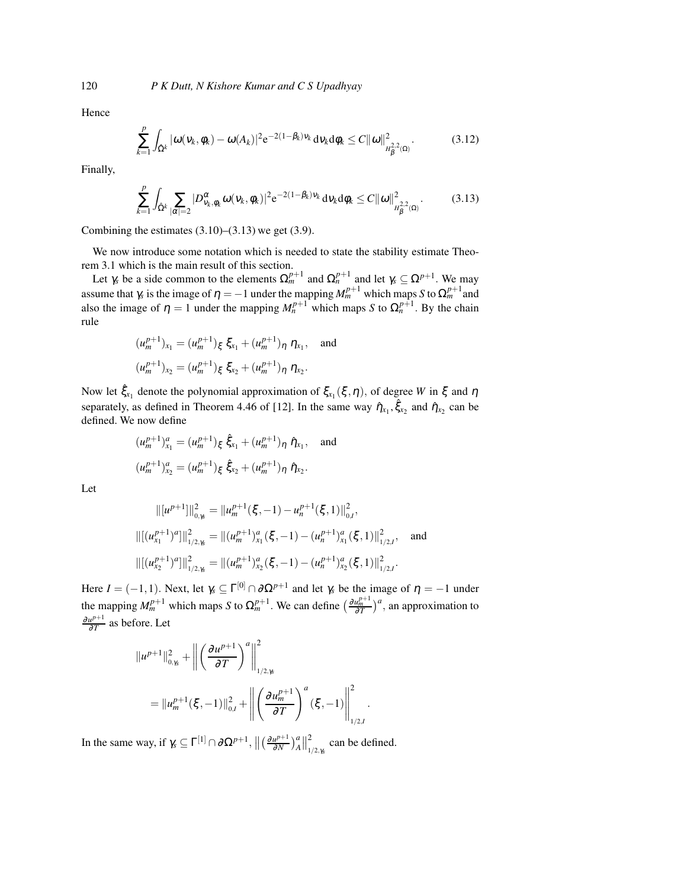120 *P K Dutt, N Kishore Kumar and C S Upadhyay*

Hence

$$
\sum_{k=1}^p \int_{\hat{\Omega}^k} |\omega(\nu_k, \phi_k) - \omega(A_k)|^2 e^{-2(1-\beta_k)\nu_k} d\nu_k d\phi_k \leq C ||\omega||^2_{\dot{H}^{2,2}_{\beta}(\Omega)}.
$$
\n(3.12)

Finally,

$$
\sum_{k=1}^p \int_{\hat{\Omega}^k} \sum_{|\alpha|=2} |D^{\alpha}_{\nu_k,\phi_k} \omega(\nu_k,\phi_k)|^2 e^{-2(1-\beta_k)\nu_k} d\nu_k d\phi_k \leq C ||\omega||^2_{\dot{H}^{2,2}_{\beta}(\Omega)}.
$$
 (3.13)

Combining the estimates  $(3.10)$ – $(3.13)$  we get  $(3.9)$ .

We now introduce some notation which is needed to state the stability estimate Theorem 3.1 which is the main result of this section.

Let  $\gamma_s$  be a side common to the elements  $\Omega_m^{p+1}$  and  $\Omega_n^{p+1}$  and let  $\gamma_s \subseteq \Omega^{p+1}$ . We may assume that  $\gamma_s$  is the image of  $\eta = -1$  under the mapping  $M_m^{p+1}$  which maps *S* to  $\Omega_m^{p+1}$  and also the image of  $\eta = 1$  under the mapping  $M_n^{p+1}$  which maps *S* to  $\Omega_n^{p+1}$ . By the chain rule

$$
(u_m^{p+1})_{x_1} = (u_m^{p+1})_{\xi} \xi_{x_1} + (u_m^{p+1})_{\eta} \eta_{x_1}, \text{ and}
$$
  

$$
(u_m^{p+1})_{x_2} = (u_m^{p+1})_{\xi} \xi_{x_2} + (u_m^{p+1})_{\eta} \eta_{x_2}.
$$

Now let  $\hat{\xi}_{x_1}$  denote the polynomial approximation of  $\xi_{x_1}(\xi, \eta)$ , of degree *W* in  $\xi$  and  $\eta$ separately, as defined in Theorem 4.46 of [12]. In the same way  $\hat{\eta}_{x_1}, \hat{\xi}_{x_2}$  and  $\hat{\eta}_{x_2}$  can be defined. We now define

$$
(u_m^{p+1})_{x_1}^a = (u_m^{p+1})_{\xi} \hat{\xi}_{x_1} + (u_m^{p+1})_{\eta} \hat{\eta}_{x_1}, \text{ and}
$$

$$
(u_m^{p+1})_{x_2}^a = (u_m^{p+1})_{\xi} \hat{\xi}_{x_2} + (u_m^{p+1})_{\eta} \hat{\eta}_{x_2}.
$$

Let

$$
\begin{aligned}\n\| [u^{p+1}] \|_{0,\mathcal{X}}^2 &= \| u_m^{p+1}(\xi, -1) - u_n^{p+1}(\xi, 1) \|_{0,I}^2, \\
\| [ (u_{x_1}^{p+1})^a ] \|_{1/2,\mathcal{X}}^2 &= \| (u_m^{p+1})_{x_1}^a(\xi, -1) - (u_n^{p+1})_{x_1}^a(\xi, 1) \|_{1/2,I}^2, \quad \text{and} \\
\| [ (u_{x_2}^{p+1})^a ] \|_{1/2,\mathcal{X}}^2 &= \| (u_m^{p+1})_{x_2}^a(\xi, -1) - (u_n^{p+1})_{x_2}^a(\xi, 1) \|_{1/2,I}^2.\n\end{aligned}
$$

Here  $I = (-1,1)$ . Next, let  $\gamma_s \subseteq \Gamma^{[0]} \cap \partial \Omega^{p+1}$  and let  $\gamma_s$  be the image of  $\eta = -1$  under the mapping  $M_m^{p+1}$  which maps *S* to  $\Omega_m^{p+1}$ . We can define  $\left(\frac{\partial u_m^{p+1}}{\partial T}\right)^a$ , an approximation to ∂*u p*+1  $\frac{\partial u^{p+1}}{\partial T}$  as before. Let

.

$$
||u^{p+1}||_{0,\gamma_{s}}^{2} + ||\left(\frac{\partial u^{p+1}}{\partial T}\right)^{a}||_{1/2,\gamma_{s}}^{2}
$$
  
=  $||u_{m}^{p+1}(\xi, -1)||_{0,I}^{2} + ||\left(\frac{\partial u_{m}^{p+1}}{\partial T}\right)^{a}(\xi, -1)||_{1/2,I}^{2}$ 

In the same way, if  $\gamma_s \subseteq \Gamma^{[1]} \cap \partial \Omega^{p+1}$ ,  $\left\| \left( \frac{\partial u^{p+1}}{\partial N} \right)$  $\left.\frac{a^{p+1}}{a^{N}}\right)_{A}^{a}$ 2  $\sum_{1/2,\gamma_s}^2$  can be defined.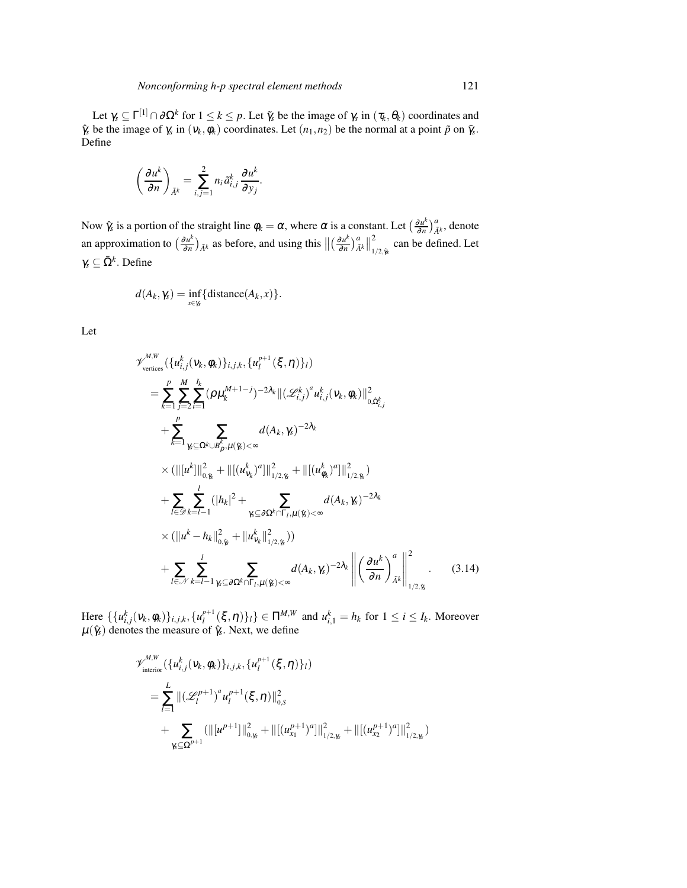Let  $\gamma_s \subseteq \Gamma^{[1]} \cap \partial \Omega^k$  for  $1 \leq k \leq p$ . Let  $\tilde{\gamma}_s$  be the image of  $\gamma_s$  in  $(\tau_k, \theta_k)$  coordinates and  $\hat{\gamma}_s$  be the image of  $\gamma_s$  in  $(v_k, \phi_k)$  coordinates. Let  $(n_1, n_2)$  be the normal at a point  $\tilde{p}$  on  $\tilde{\gamma}_s$ . Define

$$
\left(\frac{\partial u^k}{\partial n}\right)_{\tilde{A}^k} = \sum_{i,j=1}^2 n_i \tilde{a}_{i,j}^k \frac{\partial u^k}{\partial y_j}.
$$

Now  $\hat{\gamma}_s$  is a portion of the straight line  $\phi_k = \alpha$ , where  $\alpha$  is a constant. Let  $\left(\frac{\partial u^k}{\partial n}\right)$  $\frac{\partial u^k}{\partial n}$ <sub> $\tilde{A}^k$ , denote</sub> an approximation to  $\left(\frac{\partial u^k}{\partial n}\right)$  $\left(\frac{\partial u^k}{\partial n}\right)_{\tilde{A}^k}$  as before, and using this  $\left\| \left(\frac{\partial u^k}{\partial n}\right)_{\tilde{A}^k}\right\|$  $\frac{\partial u^k}{\partial n}$  $\Big)_{\tilde{A}^k}^{a}$ 2  $\sum_{1/2,\hat{\gamma}_s}^{2}$  can be defined. Let  $γ<sub>s</sub> ⊆ Ω<sup>k</sup>$ . Define

$$
d(A_k, \gamma_s) = \inf_{x \in \gamma_s} \{ \text{distance}(A_k, x) \}.
$$

Let

$$
\mathcal{V}_{\text{vertices}}^{M,W}(\{u_{i,j}^{k}(v_{k},\phi_{k})\}_{i,j,k},\{u_{l}^{p+1}(\xi,\eta)\}_{l})
$$
\n
$$
=\sum_{k=1}^{p}\sum_{j=2}^{M}\sum_{i=1}^{I_{k}}(\rho\mu_{k}^{M+1-j})^{-2\lambda_{k}}\|(\mathcal{L}_{i,j}^{k})^{a}u_{i,j}^{k}(v_{k},\phi_{k})\|_{0,\hat{\Omega}_{i,j}^{k}}^{2} + \sum_{k=1}^{p}\sum_{\gamma_{s}\subseteq\Omega^{k}\cup B_{p}^{k},\mu(\hat{\gamma}_{s})<\infty}d(A_{k},\gamma_{s})^{-2\lambda_{k}}
$$
\n
$$
\times (\| [u^{k}] \|_{0,\hat{\gamma}_{s}}^{2} + \| [(u_{v_{k}}^{k})^{a}] \|_{1/2,\hat{\gamma}_{s}}^{2} + \| [(u_{\phi_{k}}^{k})^{a}] \|_{1/2,\hat{\gamma}_{s}}^{2}) + \sum_{l\in\mathcal{D}k=l-1}(|h_{k}|^{2} + \sum_{\gamma_{s}\subseteq\partial\Omega^{k}\cap\Gamma_{l},\mu(\hat{\gamma}_{s})<\infty}d(A_{k},\gamma_{s})^{-2\lambda_{k}}
$$
\n
$$
\times (\| u^{k}-h_{k} \|_{0,\hat{\gamma}_{s}}^{2} + \| u_{v_{k}}^{k} \|_{1/2,\hat{\gamma}_{s}}^{2})) + \sum_{l\in\mathcal{N}}\sum_{k=l-1}^{l}\sum_{\gamma_{s}\subseteq\partial\Omega^{k}\cap\Gamma_{l},\mu(\hat{\gamma}_{s})<\infty}d(A_{k},\gamma_{s})^{-2\lambda_{k}} \left\| (\frac{\partial u^{k}}{\partial n})_{\tilde{A}^{k}}^{a} \right\|_{1/2,\hat{\gamma}_{s}}^{2}.
$$
\n(3.14)

Here  $\{\{u_{i,j}^k(v_k, \phi_k)\}_{i,j,k}, \{u_l^{p+1}(\xi, \eta)\}_l\} \in \Pi^{M,W}$  and  $u_{i,1}^k = h_k$  for  $1 \le i \le I_k$ . Moreover  $\mu(\hat{\gamma}_s)$  denotes the measure of  $\hat{\gamma}_s$ . Next, we define

$$
\mathcal{W}^{M,W}_{\text{interior}}(\{u_{i,j}^{k}(v_k, \phi_k)\}_{i,j,k}, \{u_l^{p+1}(\xi, \eta)\}_l)
$$
\n
$$
= \sum_{l=1}^L \|(\mathcal{L}_l^{p+1})^a u_l^{p+1}(\xi, \eta)\|_{0,S}^2
$$
\n
$$
+ \sum_{\chi \subseteq \Omega^{p+1}} (\| [u^{p+1}] \|_{0,\chi}^2 + \| [(u_{\chi_1}^{p+1})^a] \|_{1/2,\chi}^2 + \| [(u_{\chi_2}^{p+1})^a] \|_{1/2,\chi}^2)
$$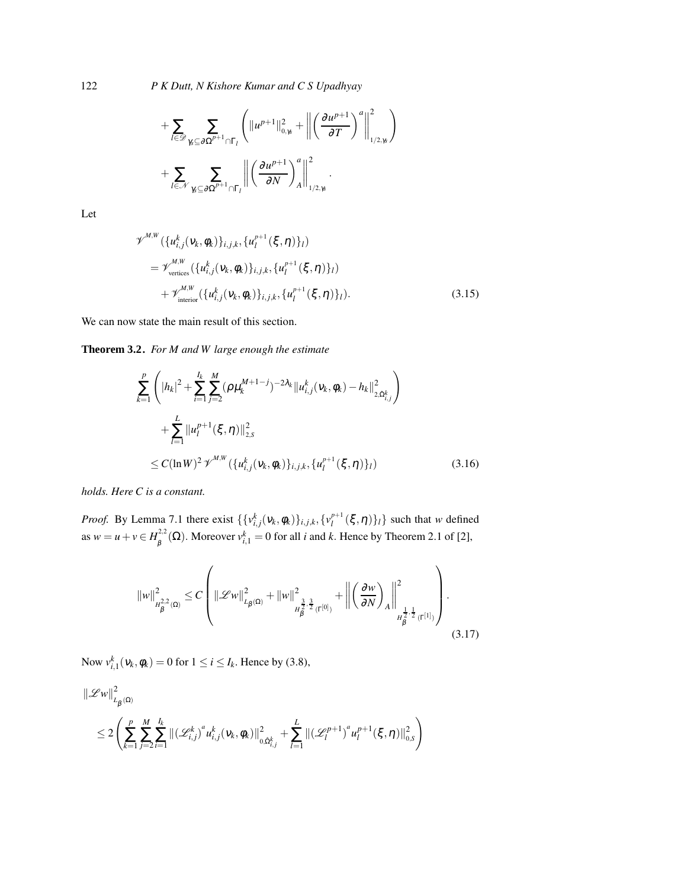122 *P K Dutt, N Kishore Kumar and C S Upadhyay*

$$
+ \sum_{l \in \mathscr{D}} \sum_{\gamma_s \subseteq \partial \Omega^{p+1} \cap \Gamma_l} \left( \|u^{p+1}\|_{0,\infty}^2 + \left\| \left(\frac{\partial u^{p+1}}{\partial T}\right)^a \right\|_{1/2,\gamma_s}^2 \right) + \sum_{l \in \mathscr{N}} \sum_{\gamma_s \subseteq \partial \Omega^{p+1} \cap \Gamma_l} \left\| \left(\frac{\partial u^{p+1}}{\partial N}\right)_A^a \right\|_{1/2,\gamma_s}^2.
$$

Let

$$
\mathcal{V}^{M,W}(\{u_{i,j}^{k}(v_k,\phi_k)\}_{i,j,k},\{u_l^{p+1}(\xi,\eta)\}_l)
$$
\n
$$
= \mathcal{V}^{M,W}_{\text{vertices}}(\{u_{i,j}^{k}(v_k,\phi_k)\}_{i,j,k},\{u_l^{p+1}(\xi,\eta)\}_l)
$$
\n
$$
+ \mathcal{V}^{M,W}_{\text{interior}}(\{u_{i,j}^{k}(v_k,\phi_k)\}_{i,j,k},\{u_l^{p+1}(\xi,\eta)\}_l). \tag{3.15}
$$

We can now state the main result of this section.

**Theorem 3.2.** *For M and W large enough the estimate*

$$
\sum_{k=1}^{p} \left( |h_k|^2 + \sum_{i=1}^{I_k} \sum_{j=2}^{M} (\rho \mu_k^{M+1-j})^{-2\lambda_k} ||u_{i,j}^k(\mathbf{v}_k, \phi_k) - h_k||_{2, \hat{\Omega}_{i,j}^k}^2 \right) \n+ \sum_{l=1}^{L} ||u_l^{p+1}(\xi, \eta)||_{2,s}^2 \n\leq C(\ln W)^2 \mathcal{V}^{M,W} (\{u_{i,j}^k(\mathbf{v}_k, \phi_k)\}_{i,j,k}, \{u_l^{p+1}(\xi, \eta)\}_l)
$$
\n(3.16)

*holds. Here C is a constant.*

*Proof.* By Lemma 7.1 there exist  $\{\{v_{i,j}^k(v_k, \phi_k)\}_{i,j,k}, \{v_l^{p+1}(\xi, \eta)\}_l\}$  such that *w* defined as  $w = u + v \in H^{2,2}_a$  $\beta_{\beta}^{2,2}(\Omega)$ . Moreover  $v_{i,1}^k = 0$  for all *i* and *k*. Hence by Theorem 2.1 of [2],

$$
||w||_{H_{\beta}^{2,2}(\Omega)}^2 \leq C \left( ||\mathcal{L}w||_{L_{\beta}(\Omega)}^2 + ||w||_{H_{\beta}^{\frac{3}{2},\frac{3}{2}}(\Gamma^{[0]})}^2 + \left\| \left(\frac{\partial w}{\partial N}\right)_A \right\|_{H_{\beta}^{\frac{1}{2},\frac{1}{2}}(\Gamma^{[1]})}^2 \right).
$$
\n(3.17)

Now  $v_{i,1}^k(v_k, \phi_k) = 0$  for  $1 \le i \le I_k$ . Hence by (3.8),

$$
\|\mathcal{L}w\|_{L_{\beta}(\Omega)}^2
$$
  
\n
$$
\leq 2\left(\sum_{k=1}^p\sum_{j=2}^M\sum_{i=1}^{J_k}\|(\mathcal{L}_{i,j}^k)^a u_{i,j}^k(v_k,\phi_k)\|_{0,\hat{\Omega}_{i,j}^k}^2 + \sum_{l=1}^L\|(\mathcal{L}_l^{p+1})^a u_l^{p+1}(\xi,\eta)\|_{0,\hat{S}}^2\right)
$$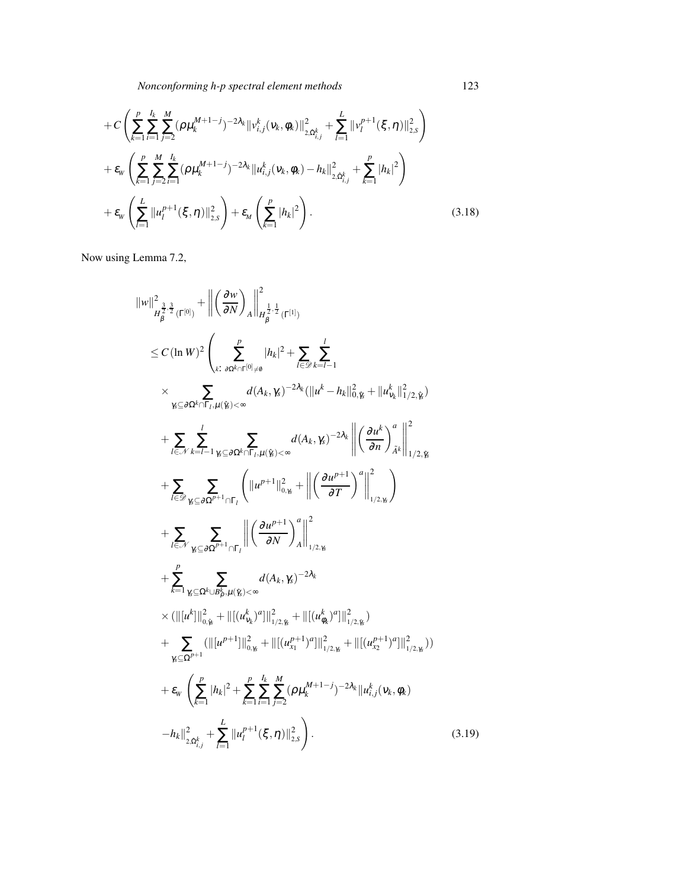*Nonconforming h-p spectral element methods* 123

$$
+ C \left( \sum_{k=1}^{p} \sum_{i=1}^{l_k} \sum_{j=2}^{M} (\rho \mu_k^{M+1-j})^{-2\lambda_k} ||v_{i,j}^k(v_k, \phi_k)||_{2, \hat{\Omega}_{i,j}^k}^2 + \sum_{l=1}^{L} ||v_l^{p+1}(\xi, \eta)||_{2,S}^2 \right) + \epsilon_{w} \left( \sum_{k=1}^{p} \sum_{j=2}^{M} \sum_{i=1}^{l_k} (\rho \mu_k^{M+1-j})^{-2\lambda_k} ||u_{i,j}^k(v_k, \phi_k) - h_k||_{2, \hat{\Omega}_{i,j}^k}^2 + \sum_{k=1}^{p} |h_k|^2 \right) + \epsilon_{w} \left( \sum_{l=1}^{L} ||u_l^{p+1}(\xi, \eta)||_{2,S}^2 \right) + \epsilon_{w} \left( \sum_{k=1}^{p} |h_k|^2 \right).
$$
 (3.18)

Now using Lemma 7.2,

$$
||w||_{H_{\beta}^{\frac{3}{2},\frac{3}{2}}(\Gamma^{[0]})}^{2} + ||\left(\frac{\partial w}{\partial N}\right)_{A}||_{H_{\beta}^{\frac{1}{2},\frac{1}{2}}(\Gamma^{[1]})}^{2}
$$
\n
$$
\leq C(\ln W)^{2} \left(\sum_{k:\partial\Omega^{k}\cap\Gamma^{[0]}\neq\emptyset} |h_{k}|^{2} + \sum_{l\in\mathcal{D}k=l-1} \sum_{k=l-1} \left| d(A_{k},\gamma_{s})^{-2\lambda_{k}}(||u^{k}-h_{k}||_{0,\gamma_{s}}^{2} + ||u^{k}_{\gamma_{k}}||_{1/2,\gamma_{s}}^{2}) \right| + \sum_{l\in\mathcal{N}} \sum_{k=l-1} \sum_{\gamma_{k}\subseteq\partial\Omega^{k}\cap\Gamma_{l},\mu(\gamma_{k})<\infty} d(A_{k},\gamma_{s})^{-2\lambda_{k}} ||\left(\frac{\partial u^{k}}{\partial n}\right)_{\tilde{A}^{k}}^{2}||_{1/2,\tilde{\gamma}_{s}}^{2}
$$
\n
$$
+ \sum_{l\in\mathcal{D}} \sum_{\gamma_{k}\subseteq\partial\Omega^{p+1}\cap\Gamma_{l}} \left( ||u^{p+1}||_{0,\gamma}^{2} + ||\left(\frac{\partial u^{p+1}}{\partial T}\right)^{a}||_{1/2,\gamma_{s}}^{2} \right)
$$
\n
$$
+ \sum_{l\in\mathcal{N}} \sum_{\gamma_{k}\subseteq\partial\Omega^{p+1}\cap\Gamma_{l}} \left( \left\|\frac{\partial u^{p+1}}{\partial N}\right)_{A}^{2}||_{1/2,\gamma_{s}}^{2}
$$
\n
$$
+ \sum_{k=1}^{p} \sum_{\gamma_{k}\subseteq\Omega^{k}\cup B_{p}^{k},\mu(\gamma_{k})<\infty} d(A_{k},\gamma_{s})^{-2\lambda_{k}}
$$
\n
$$
\times (||[u^{k}||]_{0,\gamma_{s}}^{2} + ||[(u^{k}_{\gamma_{k}})^{a}||_{1/2,\gamma_{s}}^{2} + ||[(u^{k}_{\phi_{k}})^{a}||_{1/2,\gamma_{s}}^{2}) + \sum_{\gamma_{k}\subseteq\Omega^{p+1}} (||[u^{p+1}||]_{0,\gamma_{k}}^{2} + ||[(u^{p+1}_{\gamma_{k}})^{a}||_{
$$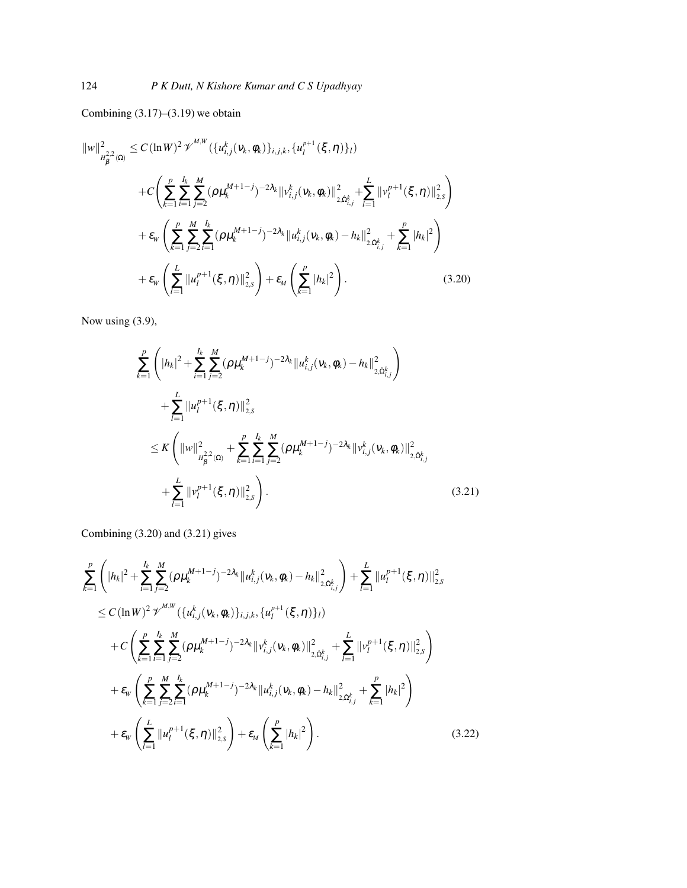Combining (3.17)–(3.19) we obtain

$$
||w||_{H_{\beta}^{2,2}(\Omega)}^{2} \leq C(\ln W)^{2} \mathcal{V}^{M,W}(\{u_{i,j}^{k}(v_{k},\phi_{k})\}_{i,j,k},\{u_{l}^{p+1}(\xi,\eta)\}_{l})
$$
  
+
$$
+C\left(\sum_{k=1}^{p} \sum_{i=1}^{k} \sum_{j=2}^{M} (\rho u_{k}^{M+1-j})^{-2\lambda_{k}} ||v_{i,j}^{k}(v_{k},\phi_{k})||_{2,\hat{\Omega}_{i,j}^{k}}^{2} + \sum_{l=1}^{L} ||v_{l}^{p+1}(\xi,\eta)||_{2,S}^{2}\right)
$$
  
+
$$
\epsilon_{w} \left(\sum_{k=1}^{p} \sum_{j=2}^{M} \sum_{i=1}^{l_{k}} (\rho u_{k}^{M+1-j})^{-2\lambda_{k}} ||u_{i,j}^{k}(v_{k},\phi_{k}) - h_{k}||_{2,\hat{\Omega}_{i,j}^{k}}^{2} + \sum_{k=1}^{p} |h_{k}|^{2}\right)
$$
  
+
$$
\epsilon_{w} \left(\sum_{l=1}^{L} ||u_{l}^{p+1}(\xi,\eta)||_{2,S}^{2}\right) + \epsilon_{M} \left(\sum_{k=1}^{p} |h_{k}|^{2}\right).
$$
 (3.20)

Now using (3.9),

$$
\sum_{k=1}^{p} \left( |h_k|^2 + \sum_{i=1}^{I_k} \sum_{j=2}^{M} (\rho \mu_k^{M+1-j})^{-2\lambda_k} ||u_{i,j}^k(v_k, \phi_k) - h_k||_{2, \hat{\Omega}_{i,j}^k}^2 \right) \n+ \sum_{l=1}^{L} ||u_l^{p+1}(\xi, \eta)||_{2,s}^2 \n\leq K \left( ||w||_{H_{\beta}^{2,2}(\Omega)}^2 + \sum_{k=1}^{p} \sum_{i=1}^{I_k} \sum_{j=2}^{M} (\rho \mu_k^{M+1-j})^{-2\lambda_k} ||v_{i,j}^k(v_k, \phi_k)||_{2, \hat{\Omega}_{i,j}^k}^2 \n+ \sum_{l=1}^{L} ||v_l^{p+1}(\xi, \eta)||_{2,s}^2 \right).
$$
\n(3.21)

Combining (3.20) and (3.21) gives

$$
\sum_{k=1}^{p} \left( |h_{k}|^{2} + \sum_{i=1}^{l_{k}} \sum_{j=2}^{M} (\rho \mu_{k}^{M+1-j})^{-2\lambda_{k}} ||u_{i,j}^{k}(v_{k}, \phi_{k}) - h_{k}||_{2, \hat{\Omega}_{i,j}^{k}}^{2} \right) + \sum_{l=1}^{L} ||u_{l}^{p+1}(\xi, \eta)||_{2, S}^{2}
$$
\n
$$
\leq C (\ln W)^{2} \mathscr{V}^{M,W} (\{u_{i,j}^{k}(v_{k}, \phi_{k})\}_{i,j,k}, \{u_{l}^{p+1}(\xi, \eta)\}_{l})
$$
\n
$$
+ C \left( \sum_{k=1}^{p} \sum_{i=1}^{k} \sum_{j=2}^{M} (\rho \mu_{k}^{M+1-j})^{-2\lambda_{k}} ||v_{i,j}^{k}(v_{k}, \phi_{k})||_{2, \hat{\Omega}_{i,j}^{k}}^{2} + \sum_{l=1}^{L} ||v_{l}^{p+1}(\xi, \eta)||_{2, S}^{2} \right)
$$
\n
$$
+ \varepsilon_{W} \left( \sum_{k=1}^{p} \sum_{j=2}^{M} \sum_{i=1}^{l_{k}} (\rho \mu_{k}^{M+1-j})^{-2\lambda_{k}} ||u_{i,j}^{k}(v_{k}, \phi_{k}) - h_{k}||_{2, \hat{\Omega}_{i,j}^{k}}^{2} + \sum_{k=1}^{p} |h_{k}|^{2} \right)
$$
\n
$$
+ \varepsilon_{W} \left( \sum_{l=1}^{L} ||u_{l}^{p+1}(\xi, \eta)||_{2, S}^{2} \right) + \varepsilon_{M} \left( \sum_{k=1}^{p} |h_{k}|^{2} \right).
$$
\n(3.22)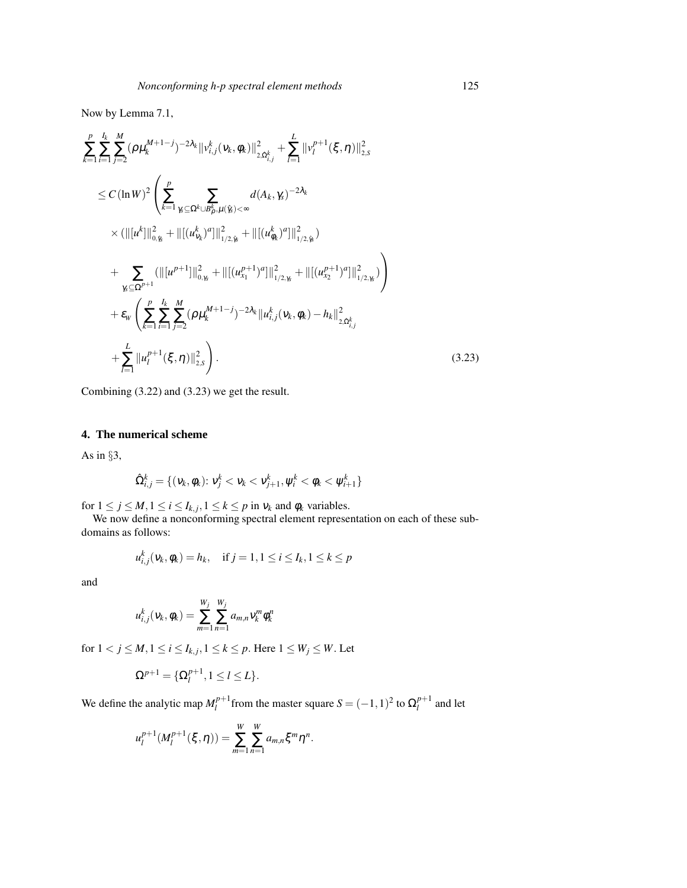Now by Lemma 7.1,

$$
\sum_{k=1}^{p} \sum_{i=1}^{l_k} \sum_{j=2}^{M} (\rho \mu_k^{M+1-j})^{-2\lambda_k} ||v_{i,j}^k(v_k, \phi_k)||_{2, \dot{\Omega}_{i,j}^k}^2 + \sum_{l=1}^{L} ||v_l^{p+1}(\xi, \eta)||_{2,s}^2
$$
\n
$$
\leq C (\ln W)^2 \left( \sum_{k=1}^{p} \sum_{\substack{\gamma \subseteq \Omega^k \cup B_\rho^k, \mu(\hat{\gamma}_k) < \infty}} d(A_k, \gamma_s)^{-2\lambda_k} \times (||[u^k]||_{0,\hat{\gamma}_k}^2 + ||[(u^k_{v_k})^a]||_{1/2,\hat{\gamma}_s}^2 + ||[(u^k_{\phi_k})^a]||_{1/2,\hat{\gamma}_s}^2) \right)
$$
\n
$$
+ \sum_{\substack{\gamma \subseteq \Omega^{p+1}}} (||[u^{p+1}]||_{0,\gamma_s}^2 + ||[(u^{p+1}_{\chi_1})^a]||_{1/2,\gamma_s}^2 + ||[(u^{p+1}_{\chi_2})^a]||_{1/2,\gamma_s}^2) \right)
$$
\n
$$
+ \varepsilon_W \left( \sum_{k=1}^{p} \sum_{i=1}^{l_k} \sum_{j=2}^{M} (\rho \mu_k^{M+1-j})^{-2\lambda_k} ||u_{i,j}^k(v_k, \phi_k) - h_k||_{2,\dot{\Omega}_{i,j}^k}^2 + \sum_{l=1}^{L} ||u_l^{p+1}(\xi, \eta)||_{2,s}^2 \right).
$$
\n(3.23)

Combining (3.22) and (3.23) we get the result.

## **4. The numerical scheme**

*k*

As in §3,

$$
\hat{\Omega}_{i,j}^k = \{ (v_k, \phi_k) \colon v_j^k < v_k < v_{j+1}^k, \psi_i^k < \phi_k < \psi_{i+1}^k \}
$$

for  $1 \le j \le M$ ,  $1 \le i \le I_{k,j}$ ,  $1 \le k \le p$  in  $v_k$  and  $\phi_k$  variables.

We now define a nonconforming spectral element representation on each of these subdomains as follows:

$$
u_{i,j}^k(v_k, \phi_k) = h_k
$$
, if  $j = 1, 1 \le i \le I_k, 1 \le k \le p$ 

and

$$
u_{i,j}^k(\mathbf{v}_k, \phi_k) = \sum_{m=1}^{W_j} \sum_{n=1}^{W_j} a_{m,n} v_k^m \phi_k^n
$$

for  $1 < j \leq M, 1 \leq i \leq I_{k,j}, 1 \leq k \leq p$ . Here  $1 \leq W_j \leq W$ . Let

$$
\Omega^{p+1} = \{\Omega_l^{p+1}, 1 \le l \le L\}.
$$

We define the analytic map  $M_l^{p+1}$  $\sum_l^{p+1}$  from the master square  $S = (-1,1)^2$  to  $\Omega_l^{p+1}$  $_l^{p+1}$  and let

$$
u_l^{p+1}(M_l^{p+1}(\xi,\eta)) = \sum_{m=1}^W \sum_{n=1}^W a_{m,n} \xi^m \eta^n.
$$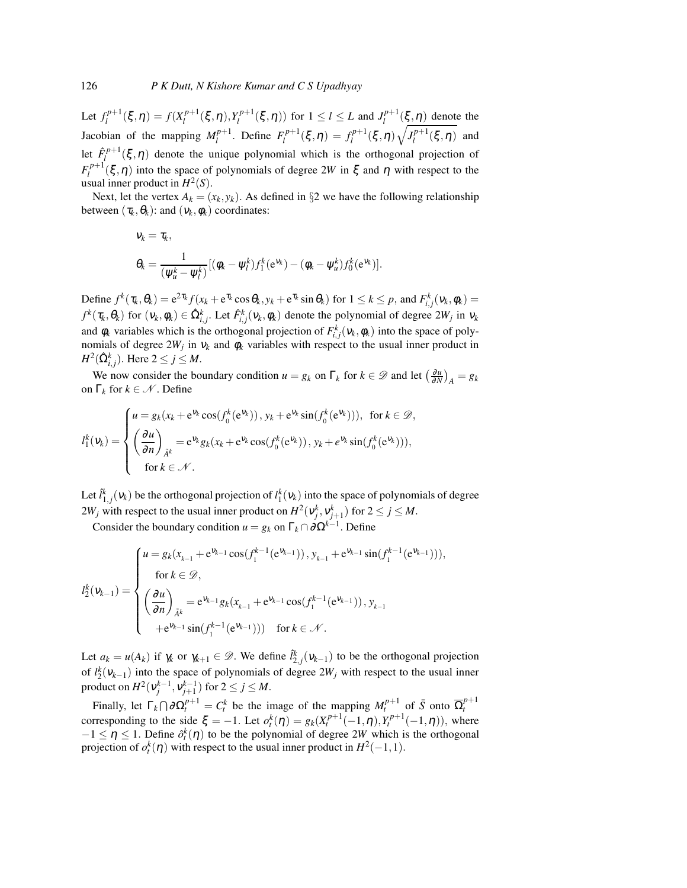Let  $f_l^{p+1}$  $\zeta_l^{p+1}(\xi, \eta) = f(X_l^{p+1})$  $\chi_l^{(p+1)}(\xi, \eta), Y_l^{p+1}$  $\binom{p+1}{l}(\xi, \eta)$  for  $1 \le l \le L$  and  $J_l^{p+1}$  $l_l^{(p+1)}(\xi, \eta)$  denote the Jacobian of the mapping  $M_l^{p+1}$  $L_l^{p+1}$ . Define  $F_l^{p+1}$  $\sigma_l^{p+1}(\xi, \eta) = f_l^{p+1}$  $J_l^{p+1}(\xi,\eta)\,\sqrt{J_l^{p+1}}$  $\int_l^{p+1} (\xi, \eta)$  and let  $\hat{F}^{p+1}_{l}$  $\int_l^{l} (\xi, \eta)$  denote the unique polynomial which is the orthogonal projection of  $F_l^{p+1}$  $\int_l^{p+1} (\xi, \eta)$  into the space of polynomials of degree 2*W* in  $\xi$  and  $\eta$  with respect to the usual inner product in  $H^2(S)$ .

Next, let the vertex  $A_k = (x_k, y_k)$ . As defined in §2 we have the following relationship between  $(\tau_k, \theta_k)$ : and  $(\nu_k, \phi_k)$  coordinates:

$$
\nu_k = \tau_k,
$$
  
\n
$$
\theta_k = \frac{1}{(\psi_k^k - \psi_l^k)} [(\phi_k - \psi_l^k) f_1^k(e^{v_k}) - (\phi_k - \psi_u^k) f_0^k(e^{v_k})].
$$

Define  $f^k(\tau_k, \theta_k) = e^{2\tau_k} f(x_k + e^{\tau_k} \cos \theta_k, y_k + e^{\tau_k} \sin \theta_k)$  for  $1 \le k \le p$ , and  $F_{i,j}^k(v_k, \phi_k) =$  $f^k(\tau_k, \theta_k)$  for  $(v_k, \phi_k) \in \hat{\Omega}_{i,j}^k$ . Let  $\hat{F}_{i,j}^k(v_k, \phi_k)$  denote the polynomial of degree  $2W_j$  in  $v_k$ and  $\phi_k$  variables which is the orthogonal projection of  $F_{i,j}^k(v_k, \phi_k)$  into the space of polynomials of degree  $2W_j$  in  $v_k$  and  $\phi_k$  variables with respect to the usual inner product in  $H^2(\hat{\Omega}_{i,j}^k)$ . Here  $2 \le j \le M$ .

We now consider the boundary condition  $u = g_k$  on  $\Gamma_k$  for  $k \in \mathcal{D}$  and let  $\left(\frac{\partial u}{\partial N}\right)_A = g_k$ on  $\Gamma_k$  for  $k \in \mathcal{N}$ . Define

$$
l_1^k(v_k) = \begin{cases} u = g_k(x_k + e^{v_k} \cos(f_0^k(e^{v_k})), y_k + e^{v_k} \sin(f_0^k(e^{v_k}))), & \text{for } k \in \mathcal{D}, \\ \left(\frac{\partial u}{\partial n}\right)_{\tilde{A}^k} = e^{v_k} g_k(x_k + e^{v_k} \cos(f_0^k(e^{v_k})), y_k + e^{v_k} \sin(f_0^k(e^{v_k}))), \\ \text{for } k \in \mathcal{N}. \end{cases}
$$

Let  $\hat{l}_{1,j}^k(v_k)$  be the orthogonal projection of  $l_1^k(v_k)$  into the space of polynomials of degree  $2W_j$  with respect to the usual inner product on  $H^2(v_j^k, v_{j+1}^k)$  for  $2 \le j \le M$ .

Consider the boundary condition  $u = g_k$  on  $\Gamma_k \cap \partial \Omega^{k-1}$ . Define

$$
l_{2}^{k}(v_{k-1}) = \begin{cases} u = g_{k}(x_{k-1} + e^{v_{k-1}} \cos(f_{1}^{k-1}(e^{v_{k-1}})), y_{k-1} + e^{v_{k-1}} \sin(f_{1}^{k-1}(e^{v_{k-1}}))), \\ \text{for } k \in \mathcal{D}, \\ \left(\frac{\partial u}{\partial n}\right)_{\tilde{A}^{k}} = e^{v_{k-1}} g_{k}(x_{k-1} + e^{v_{k-1}} \cos(f_{1}^{k-1}(e^{v_{k-1}})), y_{k-1} \\ + e^{v_{k-1}} \sin(f_{1}^{k-1}(e^{v_{k-1}}))) \quad \text{for } k \in \mathcal{N}. \end{cases}
$$

Let  $a_k = u(A_k)$  if  $\gamma_k$  or  $\gamma_{k+1} \in \mathcal{D}$ . We define  $\hat{l}_{2,j}^k(\nu_{k-1})$  to be the orthogonal projection of  $l_2^k(v_{k-1})$  into the space of polynomials of degree 2W<sub>*j*</sub> with respect to the usual inner product on  $H^2(\mathsf{v}_j^{k-1}, \mathsf{v}_{j+1}^{k-1})$  for  $2 \leq j \leq M$ .

Finally, let  $\Gamma_k \cap \partial \Omega_t^{p+1} = C_t^k$  be the image of the mapping  $M_t^{p+1}$  of  $\overline{S}$  onto  $\overline{\Omega}_t^{p+1}$ *t* corresponding to the side  $\xi = -1$ . Let  $o_t^k(\eta) = g_k(X_t^{p+1}(-1, \eta), Y_t^{p+1}(-1, \eta))$ , where  $-1 \leq \eta \leq 1$ . Define  $\partial_t^k(\eta)$  to be the polynomial of degree 2*W* which is the orthogonal projection of  $o_t^k(\eta)$  with respect to the usual inner product in  $H^2(-1,1)$ .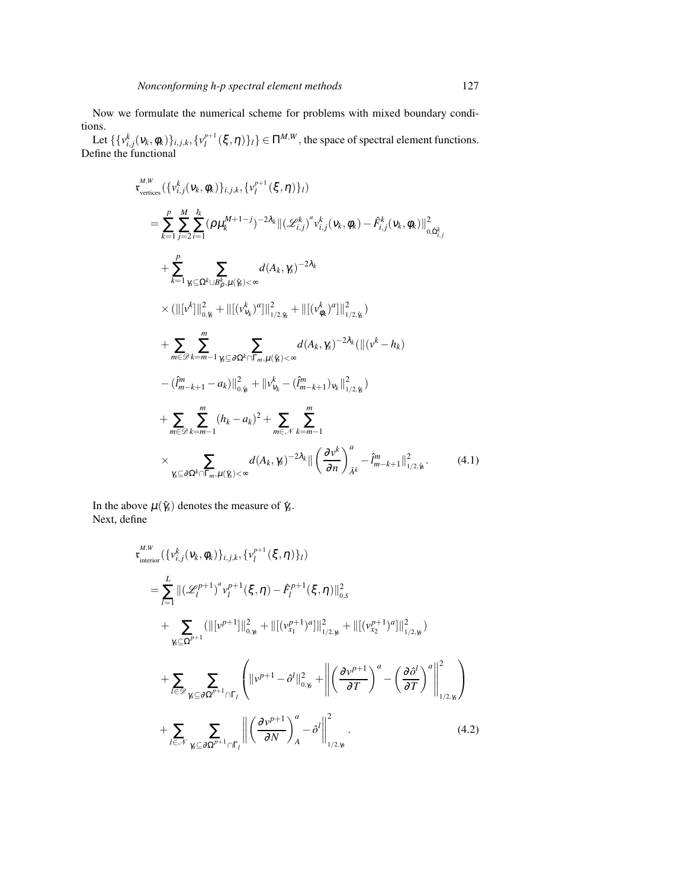Now we formulate the numerical scheme for problems with mixed boundary conditions.

Let  $\{\{v_{i,j}^k(v_k, \phi_k)\}_{i,j,k}, \{v_l^{p+1}(\xi, \eta)\}_l\} \in \Pi^{M,W}$ , the space of spectral element functions. Define the functional

$$
\begin{split}\n&\text{M,W}_{\text{vertices}}(\{v_{i,j}^{k}(v_{k},\phi_{k})\}_{i,j,k},\{v_{l}^{p+1}(\xi,\eta)\}_{l}) \\
&= \sum_{k=1}^{p} \sum_{j=2}^{M} \sum_{i=1}^{l_{k}} (\rho \mu_{k}^{M+1-j})^{-2\lambda_{k}} \| (\mathcal{L}_{i,j}^{k})^{a} v_{i,j}^{k}(v_{k},\phi_{k}) - \hat{F}_{i,j}^{k}(v_{k},\phi_{k}) \|_{0,\hat{\Omega}_{i,j}^{k}}^{2} \\
&+ \sum_{k=1}^{p} \sum_{\gamma_{k} \subseteq \Omega^{k} \cup B_{p}^{k}, \mu(\hat{\gamma}_{k}) < \infty} d(A_{k},\gamma_{s})^{-2\lambda_{k}} \\
&\times (\| [v^{k}] \|_{0,\hat{\gamma}_{s}}^{2} + \| [ (v^{k}_{\gamma_{k}})^{a}] \|_{1/2,\hat{\gamma}_{s}}^{2} + \| [ (v^{k}_{\phi_{k}})^{a}] \|_{1/2,\hat{\gamma}_{s}}^{2}) \\
&+ \sum_{m \in \mathcal{D}} \sum_{k=m-1}^{m} \sum_{\gamma_{s} \subseteq \partial \Omega^{k} \cap \Gamma_{m}, \mu(\hat{\gamma}_{s}) < \infty} d(A_{k},\gamma_{s})^{-2\lambda_{k}} (\| (v^{k} - h_{k}) \\
&- (\hat{l}_{m-k+1}^{m} - a_{k}) \|_{0,\hat{\gamma}_{s}}^{2} + \| v^{k}_{\gamma_{k}} - (\hat{l}_{m-k+1}^{m})_{\gamma_{k}} \|_{1/2,\hat{\gamma}_{s}}^{2}) \\
&+ \sum_{m \in \mathcal{D}} \sum_{k=m-1}^{m} (h_{k} - a_{k})^{2} + \sum_{m \in \mathcal{N}} \sum_{k=m-1}^{m} \sum_{k=m-1} d(A_{k},\gamma_{s})^{-2\lambda_{k}} \|\left(\frac{\partial v^{k}}{\partial n}\right)_{\hat{A}^{k}}^{a} - \hat{l}_{m-k+1}^{m} \|_{1/2,\hat{\gamma}_{s}}^{2}.\n\end{split} \tag{4.1}
$$

In the above  $\mu(\hat{\gamma}_s)$  denotes the measure of  $\hat{\gamma_s}$ . Next, define

$$
\mu_{\text{interior}}^{M,W}(\{v_{i,j}^{k}(v_{k}, \phi_{k})\}_{i,j,k}, \{v_{l}^{p+1}(\xi, \eta)\}_{l})
$$
\n
$$
= \sum_{l=1}^{L} \|(\mathscr{L}_{l}^{p+1})^{a} v_{l}^{p+1}(\xi, \eta) - \hat{F}_{l}^{p+1}(\xi, \eta) \|_{0,s}^{2}
$$
\n
$$
+ \sum_{\gamma_{k} \subseteq \Omega^{p+1}} (\| [v^{p+1}] \|_{0,\gamma_{k}}^{2} + \| [ (v_{\chi_{1}}^{p+1})^{a}] \|_{1/2,\gamma_{k}}^{2} + \| [ (v_{\chi_{2}}^{p+1})^{a}] \|_{1/2,\gamma_{k}}^{2})
$$
\n
$$
+ \sum_{l \in \mathscr{D}} \sum_{\gamma_{k} \subseteq \partial \Omega^{p+1} \cap \Gamma_{l}} \left( \| v^{p+1} - \hat{o}^{l} \|_{0,\gamma_{k}}^{2} + \left\| \left( \frac{\partial v^{p+1}}{\partial T} \right)^{a} - \left( \frac{\partial \hat{o}^{l}}{\partial T} \right)^{a} \right\|_{1/2,\gamma_{k}}^{2} \right)
$$
\n
$$
+ \sum_{l \in \mathscr{N}} \sum_{\gamma_{k} \subseteq \partial \Omega^{p+1} \cap \Gamma_{l}} \left\| \left( \frac{\partial v^{p+1}}{\partial N} \right)_{A}^{a} - \hat{o}^{l} \right\|_{1/2,\gamma_{k}}^{2}.
$$
\n(4.2)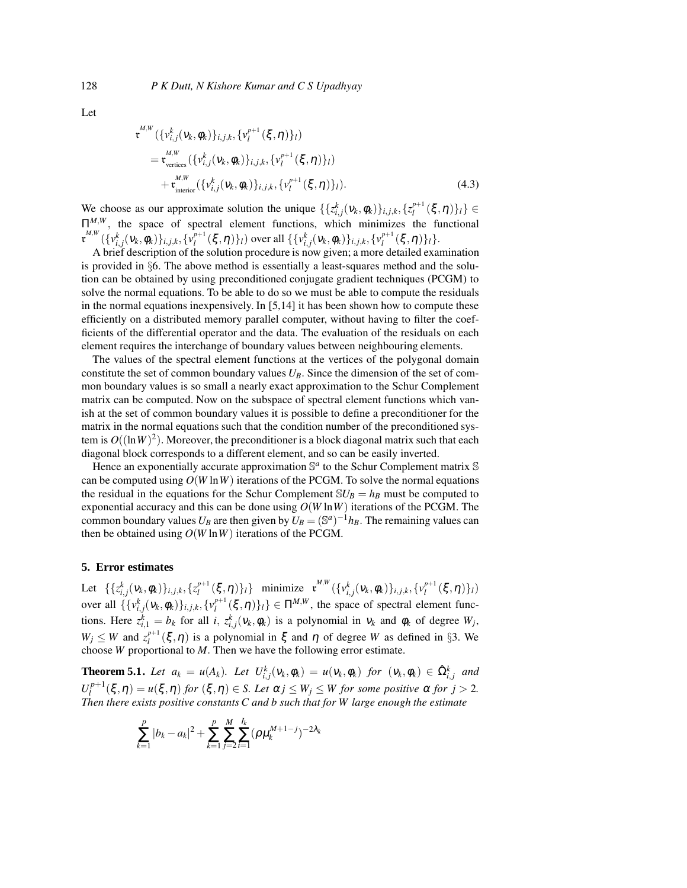Let

$$
\mathbf{t}^{M,W}(\{\mathbf{v}_{i,j}^{k}(\mathbf{v}_{k},\phi_{k})\}_{i,j,k},\{\mathbf{v}_{l}^{p+1}(\xi,\eta)\}_{l})
$$
\n
$$
= \mathbf{t}_{\text{vertices}}^{M,W}(\{\mathbf{v}_{i,j}^{k}(\mathbf{v}_{k},\phi_{k})\}_{i,j,k},\{\mathbf{v}_{l}^{p+1}(\xi,\eta)\}_{l})
$$
\n
$$
+ \mathbf{t}_{\text{interior}}^{M,W}(\{\mathbf{v}_{i,j}^{k}(\mathbf{v}_{k},\phi_{k})\}_{i,j,k},\{\mathbf{v}_{l}^{p+1}(\xi,\eta)\}_{l}).
$$
\n(4.3)

We choose as our approximate solution the unique  $\{\{z_{i,j}^k(v_k, \phi_k)\}_{i,j,k}, \{z_l^{p+1}(\xi, \eta)\}_l\} \in$ Π*M*,*<sup>W</sup>* , the space of spectral element functions, which minimizes the functional  $\mathfrak{r}^{M,W}(\{v_{i,j}^k(\textbf{\emph{v}}_k,\phi_k)\}_{i,j,k},\{v_l^{p+1}(\xi,\eta)\}_l)$  over all  $\{\{v_{i,j}^k(\textbf{\emph{v}}_k,\phi_k)\}_{i,j,k},\{v_l^{p+1}(\xi,\eta)\}_l\}.$ 

A brief description of the solution procedure is now given; a more detailed examination is provided in §6. The above method is essentially a least-squares method and the solution can be obtained by using preconditioned conjugate gradient techniques (PCGM) to solve the normal equations. To be able to do so we must be able to compute the residuals in the normal equations inexpensively. In  $[5,14]$  it has been shown how to compute these efficiently on a distributed memory parallel computer, without having to filter the coefficients of the differential operator and the data. The evaluation of the residuals on each element requires the interchange of boundary values between neighbouring elements.

The values of the spectral element functions at the vertices of the polygonal domain constitute the set of common boundary values  $U_B$ . Since the dimension of the set of common boundary values is so small a nearly exact approximation to the Schur Complement matrix can be computed. Now on the subspace of spectral element functions which vanish at the set of common boundary values it is possible to define a preconditioner for the matrix in the normal equations such that the condition number of the preconditioned system is  $O((\ln W)^2)$ . Moreover, the preconditioner is a block diagonal matrix such that each diagonal block corresponds to a different element, and so can be easily inverted.

Hence an exponentially accurate approximation  $\mathbb{S}^a$  to the Schur Complement matrix  $\mathbb S$ can be computed using  $O(W \ln W)$  iterations of the PCGM. To solve the normal equations the residual in the equations for the Schur Complement  $\mathbb{S}U_B = h_B$  must be computed to exponential accuracy and this can be done using *O*(*W* ln*W*) iterations of the PCGM. The common boundary values  $U_B$  are then given by  $U_B = (\mathbb{S}^a)^{-1} h_B$ . The remaining values can then be obtained using *O*(*W* ln*W*) iterations of the PCGM.

## **5. Error estimates**

Let  $\{\{z_{i,j}^k(\mathbf{v}_k, \phi_k)\}_{i,j,k}, \{z_l^{p+1}(\xi, \eta)\}_l\}$  minimize  $\mathfrak{r}^{M,W}(\{\mathfrak{v}_{i,j}^k(\mathbf{v}_k, \phi_k)\}_{i,j,k}, \{\mathfrak{v}_l^{p+1}(\xi, \eta)\}_l)$ over all  $\{\{v_{i,j}^k(v_k, \phi_k)\}_{i,j,k}, \{v_l^{p+1}(\xi, \eta)\}_l\} \in \Pi^{M,W}$ , the space of spectral element functions. Here  $z_{i,1}^k = b_k$  for all *i*,  $z_{i,j}^k(v_k, \phi_k)$  is a polynomial in  $v_k$  and  $\phi_k$  of degree  $W_j$ ,  $W_j \leq W$  and  $z_l^{p+1}(\xi, \eta)$  is a polynomial in  $\xi$  and  $\eta$  of degree *W* as defined in §3. We choose *W* proportional to *M*. Then we have the following error estimate.

**Theorem 5.1.** Let  $a_k = u(A_k)$ . Let  $U_{i,j}^k(v_k, \phi_k) = u(v_k, \phi_k)$  for  $(v_k, \phi_k) \in \hat{\Omega}_{i,j}^k$  and  $U_{I}^{p+1}$  $\int_l^{p+1} (\xi, \eta) = u(\xi, \eta)$  *for*  $(\xi, \eta) \in S$ *. Let*  $\alpha j \leq W_j \leq W$  *for some positive*  $\alpha$  *for*  $j > 2$ *. Then there exists positive constants C and b such that for W large enough the estimate*

$$
\sum_{k=1}^{p} |b_k - a_k|^2 + \sum_{k=1}^{p} \sum_{j=2}^{M} \sum_{i=1}^{I_k} (\rho \mu_k^{M+1-j})^{-2\lambda_k}
$$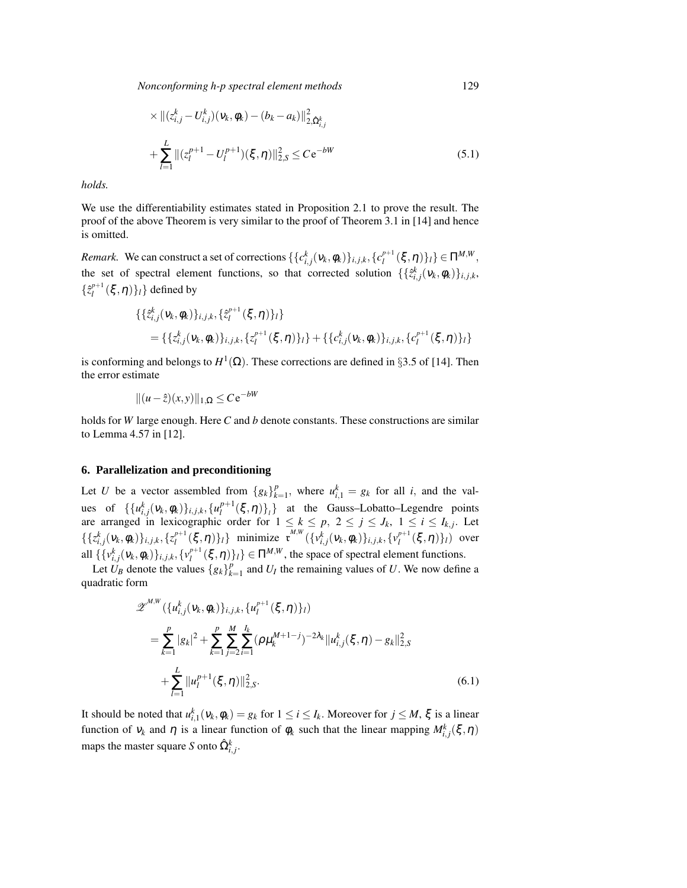$$
\times \| (z_{i,j}^k - U_{i,j}^k) (\mathbf{v}_k, \phi_k) - (b_k - a_k) \|_{2, \Omega_{i,j}^k}^2
$$
  
+ 
$$
\sum_{l=1}^L \| (z_l^{p+1} - U_l^{p+1}) (\xi, \eta) \|_{2, S}^2 \le C e^{-bW}
$$
 (5.1)

*holds.*

We use the differentiability estimates stated in Proposition 2.1 to prove the result. The proof of the above Theorem is very similar to the proof of Theorem 3.1 in [14] and hence is omitted.

*Remark.* We can construct a set of corrections  $\{\{c_{i,j}^k(v_k, \phi_k)\}_{i,j,k}, \{c_l^{p+1}(\xi, \eta)\}_l\} \in \Pi^{M,W}$ , the set of spectral element functions, so that corrected solution  $\{\{\hat{z}_{i,j}^k(v_k, \phi_k)\}_{i,j,k}$  $\{\hat{z}_l^{p+1}(\xi,\eta)\}_l\}$  defined by

$$
\begin{aligned} &\{\{\hat{z}_{i,j}^{k}(v_k,\phi_k)\}_{i,j,k},\{\hat{z}_l^{p+1}(\xi,\eta)\}_l\} \\ &= \{\{z_{i,j}^{k}(v_k,\phi_k)\}_{i,j,k},\{z_l^{p+1}(\xi,\eta)\}_l\} + \{\{c_{i,j}^{k}(v_k,\phi_k)\}_{i,j,k},\{c_l^{p+1}(\xi,\eta)\}_l\} \end{aligned}
$$

is conforming and belongs to  $H^1(\Omega)$ . These corrections are defined in §3.5 of [14]. Then the error estimate

$$
||(u-\hat{z})(x,y)||_{1,\Omega} \leq C e^{-bW}
$$

holds for *W* large enough. Here *C* and *b* denote constants. These constructions are similar to Lemma 4.57 in [12].

### **6. Parallelization and preconditioning**

Let *U* be a vector assembled from  $\{g_k\}_{k=1}^p$ , where  $u_{i,1}^k = g_k$  for all *i*, and the val*k*=1 ues of  $\{\{u_{i,j}^k(\mathbf{v}_k, \phi_k)\}_{i,j,k}, \{u_l^{p+1}\}$  $\left\{ \left[ \left( \xi, \eta \right) \right]_l \right\}$  at the Gauss–Lobatto–Legendre points are arranged in lexicographic order for  $1 \leq k \leq p$ ,  $2 \leq j \leq J_k$ ,  $1 \leq i \leq I_{k,j}$ . Let  $\{\{z_{i,j}^k(\nu_k, \phi_k)\}_{i,j,k}, \{z_l^{p+1}(\xi, \eta)\}_l\}$  minimize  $\mathfrak{r}^{M,W}(\{v_{i,j}^k(\nu_k, \phi_k)\}_{i,j,k}, \{v_l^{p+1}(\xi, \eta)\}_l)$  over all  $\{\{v_{i,j}^k(v_k, \phi_k)\}_{i,j,k}, \{v_l^{p+1}(\xi, \eta)\}_l\} \in \Pi^{M,W}$ , the space of spectral element functions.

Let  $\hat{U}_B$  denote the values  $\{g_k\}_{k=1}^p$  $\binom{p}{k-1}$  and  $U_I$  the remaining values of  $U$ . We now define a quadratic form

$$
\mathscr{Z}^{M,W}(\{u_{i,j}^{k}(v_k,\phi_k)\}_{i,j,k},\{u_{l}^{p+1}(\xi,\eta)\}_{l})
$$
\n
$$
= \sum_{k=1}^{p} |g_k|^2 + \sum_{k=1}^{p} \sum_{j=2}^{M} \sum_{i=1}^{l_k} (\rho \mu_k^{M+1-j})^{-2\lambda_k} ||u_{i,j}^{k}(\xi,\eta) - g_k||_{2,S}^2
$$
\n
$$
+ \sum_{l=1}^{L} ||u_{l}^{p+1}(\xi,\eta)||_{2,S}^2.
$$
\n(6.1)

It should be noted that  $u_{i,1}^k(v_k, \phi_k) = g_k$  for  $1 \le i \le I_k$ . Moreover for  $j \le M$ ,  $\xi$  is a linear function of  $v_k$  and  $\eta$  is a linear function of  $\phi_k$  such that the linear mapping  $M_{i,j}^k(\xi, \eta)$ maps the master square *S* onto  $\hat{\Omega}_{i,j}^k$ .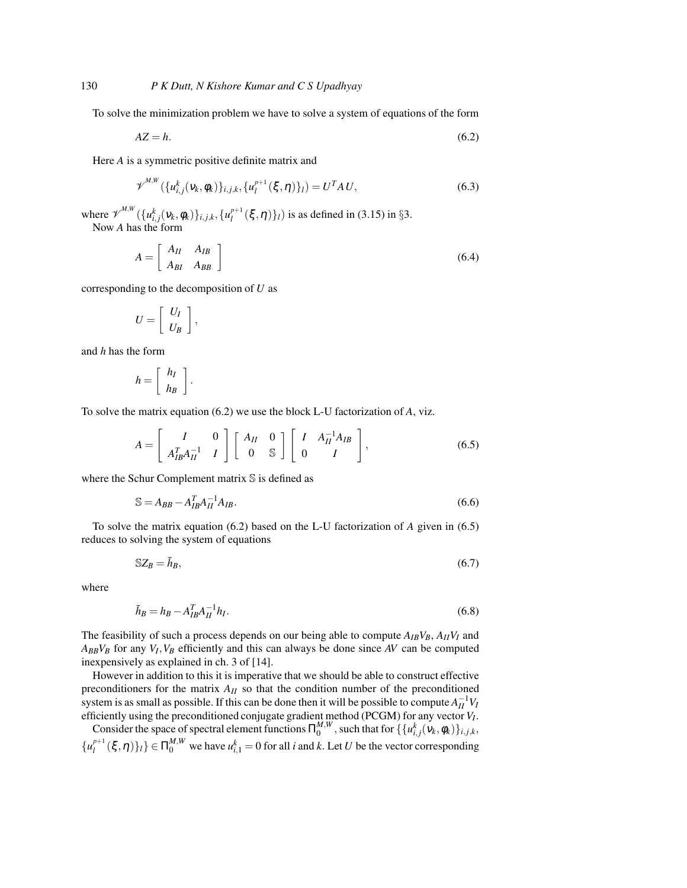To solve the minimization problem we have to solve a system of equations of the form

$$
AZ = h.\tag{6.2}
$$

Here *A* is a symmetric positive definite matrix and

$$
\mathscr{V}^{M,W}\left(\{u_{i,j}^k(v_k,\phi_k)\}_{i,j,k},\{u_l^{p+1}(\xi,\eta)\}_l\right) = U^T A U,\tag{6.3}
$$

where  $\mathcal{V}^{M,W}(\{u_{i,j}^k(v_k, \phi_k)\}_{i,j,k}, \{u_l^{p+1}(\xi, \eta)\}_l)$  is as defined in (3.15) in §3. Now *A* has the form

$$
A = \left[ \begin{array}{cc} A_{II} & A_{IB} \\ A_{BI} & A_{BB} \end{array} \right] \tag{6.4}
$$

corresponding to the decomposition of *U* as

$$
U=\left[\begin{array}{c} U_I \\ U_B \end{array}\right],
$$

and *h* has the form

$$
h=\left[\begin{array}{c}h_I\\h_B\end{array}\right].
$$

To solve the matrix equation (6.2) we use the block L-U factorization of *A*, viz.

$$
A = \begin{bmatrix} I & 0 \\ A_{IB}^T A_{II}^{-1} & I \end{bmatrix} \begin{bmatrix} A_{II} & 0 \\ 0 & \mathbb{S} \end{bmatrix} \begin{bmatrix} I & A_{II}^{-1} A_{IB} \\ 0 & I \end{bmatrix},
$$
(6.5)

where the Schur Complement matrix  $\mathbb S$  is defined as

$$
\mathbb{S} = A_{BB} - A_{IB}^T A_{II}^{-1} A_{IB}.
$$
\n(6.6)

To solve the matrix equation (6.2) based on the L-U factorization of *A* given in (6.5) reduces to solving the system of equations

$$
\mathbb{S}Z_B = \tilde{h}_B,\tag{6.7}
$$

where

$$
\tilde{h}_B = h_B - A_{IB}^T A_{II}^{-1} h_I.
$$
\n(6.8)

The feasibility of such a process depends on our being able to compute  $A_{IB}V_B$ ,  $A_{II}V_I$  and  $A_{BB}V_B$  for any  $V_I$ ,  $V_B$  efficiently and this can always be done since AV can be computed inexpensively as explained in ch. 3 of [14].

However in addition to this it is imperative that we should be able to construct effective preconditioners for the matrix *AII* so that the condition number of the preconditioned system is as small as possible. If this can be done then it will be possible to compute  $A_{II}^{-1}V_I$ efficiently using the preconditioned conjugate gradient method (PCGM) for any vector*V<sup>I</sup>* .

Consider the space of spectral element functions  $\Pi_0^{M,W}$ , such that for  $\{\{u_{i,j}^k(v_k, \phi_k)\}_{i,j,k}$  $\{u_l^{p+1}(\xi, \eta)\}_l\}$   $\in \Pi_0^{M,W}$  we have  $u_{i,1}^k = 0$  for all *i* and *k*. Let *U* be the vector corresponding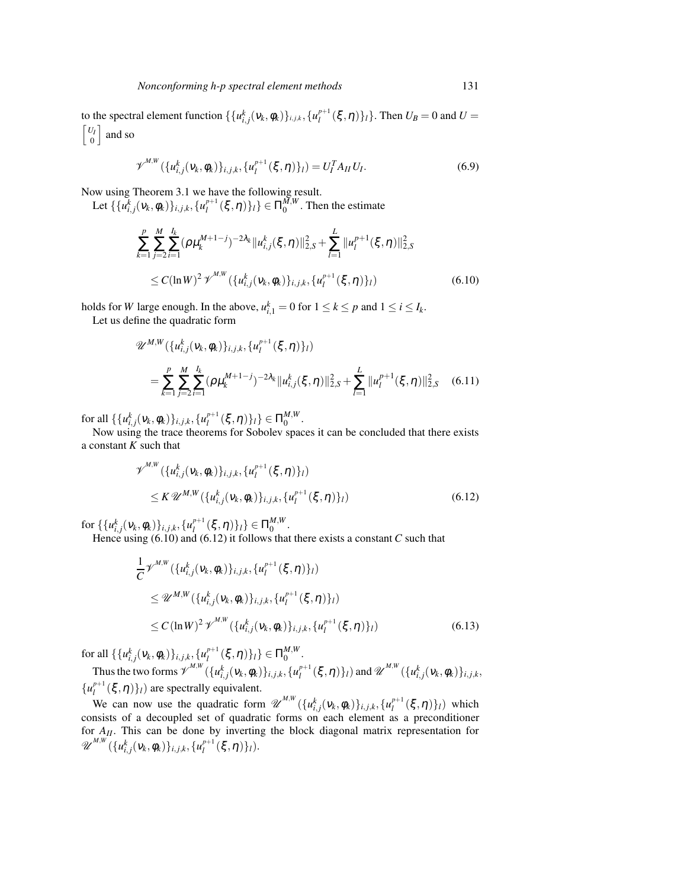to the spectral element function  $\{\{u_{i,j}^k(\nu_k, \phi_k)\}_{i,j,k}, \{u_l^{p+1}(\xi, \eta)\}_l\}$ . Then  $U_B = 0$  and  $U =$  $\bigl[$ *U*<sub>I</sub>  $\begin{bmatrix} \mathcal{I}_I \\ 0 \end{bmatrix}$  and so

$$
\mathscr{V}^{M,W}(\{u_{i,j}^k(\mathbf{v}_k,\phi_k)\}_{i,j,k},\{u_l^{p+1}(\xi,\eta)\}_l) = U_l^T A_{II} U_l.
$$
\n(6.9)

Now using Theorem 3.1 we have the following result.

Let  $\{\{u_{i,j}^{k}(v_{k},\phi_{k})\}_{i,j,k}, \{u_{l}^{p+1}(\xi,\eta)\}_{l}\} \in \Pi_{0}^{M,W}$ . Then the estimate

$$
\sum_{k=1}^{p} \sum_{j=2}^{M} \sum_{i=1}^{I_k} (\rho \mu_k^{M+1-j})^{-2\lambda_k} \|u_{i,j}^k(\xi, \eta)\|_{2, S}^2 + \sum_{l=1}^{L} \|u_l^{p+1}(\xi, \eta)\|_{2, S}^2
$$
  
 
$$
\leq C(\ln W)^2 \mathscr{V}^{M, W} (\{u_{i,j}^k(v_k, \phi_k)\}_{i,j,k}, \{u_l^{p+1}(\xi, \eta)\}_l)
$$
(6.10)

holds for *W* large enough. In the above,  $u_{i,1}^k = 0$  for  $1 \le k \le p$  and  $1 \le i \le I_k$ .

Let us define the quadratic form

$$
\mathcal{U}^{M,W}(\{u_{i,j}^k(v_k, \phi_k)\}_{i,j,k}, \{u_l^{p+1}(\xi, \eta)\}_l)
$$
  
= 
$$
\sum_{k=1}^p \sum_{j=2}^M \sum_{i=1}^M (\rho \mu_k^{M+1-j})^{-2\lambda_k} ||u_{i,j}^k(\xi, \eta)||_{2,S}^2 + \sum_{l=1}^L ||u_l^{p+1}(\xi, \eta)||_{2,S}^2
$$
 (6.11)

for all  $\{\{u_{i,j}^k(\mathsf{v}_k, \phi_k)\}_{i,j,k}, \{u_l^{p+1}(\xi, \eta)\}_l\} \in \Pi_0^{M,W}.$ 

Now using the trace theorems for Sobolev spaces it can be concluded that there exists a constant *K* such that

$$
\mathscr{V}^{M,W}(\{u_{i,j}^{k}(v_{k},\phi_{k})\}_{i,j,k},\{u_{l}^{p+1}(\xi,\eta)\}_{l})
$$
\n
$$
\leq K \mathscr{U}^{M,W}(\{u_{i,j}^{k}(v_{k},\phi_{k})\}_{i,j,k},\{u_{l}^{p+1}(\xi,\eta)\}_{l})
$$
\n(6.12)

 $\text{for } \{\{u_{i,j}^k(\mathbf{v}_k, \phi_k)\}_{i,j,k}, \{u_l^{p+1}(\xi, \eta)\}_l\} \in \Pi_0^{M,W}.$ 

Hence using  $(6.10)$  and  $(6.12)$  it follows that there exists a constant *C* such that

$$
\frac{1}{C} \mathcal{V}^{M,W}(\{u_{i,j}^{k}(v_k,\phi_k)\}_{i,j,k},\{u_l^{p+1}(\xi,\eta)\}_l)
$$
\n
$$
\leq \mathcal{U}^{M,W}(\{u_{i,j}^{k}(v_k,\phi_k)\}_{i,j,k},\{u_l^{p+1}(\xi,\eta)\}_l)
$$
\n
$$
\leq C(\ln W)^2 \mathcal{V}^{M,W}(\{u_{i,j}^{k}(v_k,\phi_k)\}_{i,j,k},\{u_l^{p+1}(\xi,\eta)\}_l)
$$
\n(6.13)

for all  $\{\{u_{i,j}^k(\mathsf{v}_k, \phi_k)\}_{i,j,k}, \{u_l^{p+1}(\xi, \eta)\}_l\} \in \Pi_0^{M,W}.$ 

Thus the two forms  $\mathscr{V}^{M,W}(\{u_{i,j}^{k}(v_{k},\phi_{k})\}_{i,j,k},\{u_{l}^{p+1}(\xi,\eta)\}_{l})$  and  $\mathscr{U}^{M,W}(\{u_{i,j}^{k}(v_{k},\phi_{k})\}_{i,j,k},\eta_{k})$  $\{u_l^{p+1}(\xi, \eta)\}_l$  are spectrally equivalent.

We can now use the quadratic form  $\mathscr{U}^{M,W}(\lbrace u_{i,j}^k(v_k, \phi_k) \rbrace_{i,j,k}, \lbrace u_l^{p+1}(\xi, \eta) \rbrace_l)$  which consists of a decoupled set of quadratic forms on each element as a preconditioner for *AII*. This can be done by inverting the block diagonal matrix representation for  $\mathscr{U}^{M,W}(\{u_{i,j}^{k}(v_{k},\phi_{k})\}_{i,j,k},\{u_{l}^{p+1}(\xi,\eta)\}_{l}).$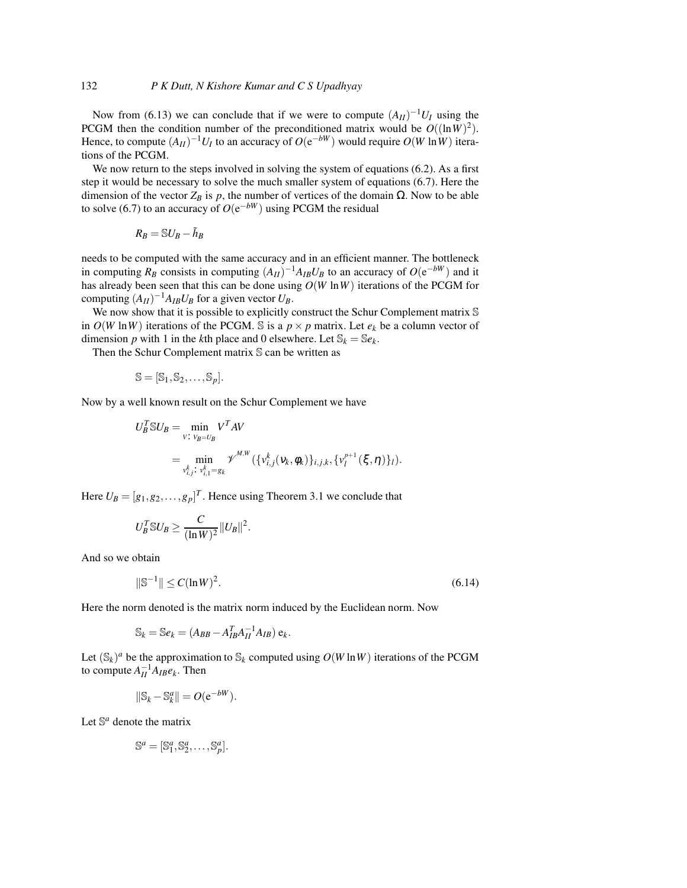Now from (6.13) we can conclude that if we were to compute  $(A_{II})^{-1}U_I$  using the PCGM then the condition number of the preconditioned matrix would be  $O((\ln W)^2)$ . Hence, to compute  $(A_{II})^{-1}U_I$  to an accuracy of  $O(\mathrm{e}^{-bW})$  would require  $O(W \ln W)$  iterations of the PCGM.

We now return to the steps involved in solving the system of equations (6.2). As a first step it would be necessary to solve the much smaller system of equations (6.7). Here the dimension of the vector  $Z_B$  is *p*, the number of vertices of the domain Ω. Now to be able to solve (6.7) to an accuracy of  $O(e^{-bW})$  using PCGM the residual

$$
R_B = \mathbb{S}U_B - \tilde{h}_B
$$

needs to be computed with the same accuracy and in an efficient manner. The bottleneck in computing  $R_B$  consists in computing  $(A_{II})^{-1}A_{IB}U_B$  to an accuracy of  $O(e^{-bW})$  and it has already been seen that this can be done using *O*(*W* ln*W*) iterations of the PCGM for computing  $(A_{II})^{-1}A_{IB}U_B$  for a given vector  $U_B$ .

We now show that it is possible to explicitly construct the Schur Complement matrix  $\mathbb S$ in  $O(W \ln W)$  iterations of the PCGM. S is a  $p \times p$  matrix. Let  $e_k$  be a column vector of dimension *p* with 1 in the *k*th place and 0 elsewhere. Let  $\mathbb{S}_k = \mathbb{S}e_k$ .

Then the Schur Complement matrix  $\mathcal S$  can be written as

$$
\mathbb{S} = [\mathbb{S}_1, \mathbb{S}_2, \dots, \mathbb{S}_p].
$$

Now by a well known result on the Schur Complement we have

$$
U_B^T \mathbb{S} U_B = \min_{v: \ v_B = U_B} V^T A V
$$
  
= 
$$
\min_{v_{i,j}^k: \ v_{i,1}^k = g_k} \mathcal{V}^{M,W} (\{v_{i,j}^k(v_k, \phi_k)\}_{i,j,k}, \{v_l^{p+1}(\xi, \eta)\}_l).
$$

Here  $U_B = [g_1, g_2, \dots, g_p]^T$ . Hence using Theorem 3.1 we conclude that

$$
U_B^T \mathbb{S} U_B \geq \frac{C}{(\ln W)^2} ||U_B||^2.
$$

And so we obtain

$$
\|\mathbb{S}^{-1}\| \le C(\ln W)^2. \tag{6.14}
$$

Here the norm denoted is the matrix norm induced by the Euclidean norm. Now

$$
\mathbb{S}_k = \mathbb{S}e_k = (A_{BB} - A_{IB}^T A_{II}^{-1} A_{IB}) e_k.
$$

Let  $(\mathbb{S}_k)^a$  be the approximation to  $\mathbb{S}_k$  computed using  $O(W \ln W)$  iterations of the PCGM to compute  $A_{II}^{-1}A_{IB}e_k$ . Then

$$
\|\mathbb{S}_k - \mathbb{S}_k^a\| = O(\mathrm{e}^{-bW}).
$$

Let  $\mathbb{S}^a$  denote the matrix

$$
\mathbb{S}^a = [\mathbb{S}^a_1, \mathbb{S}^a_2, \dots, \mathbb{S}^a_p].
$$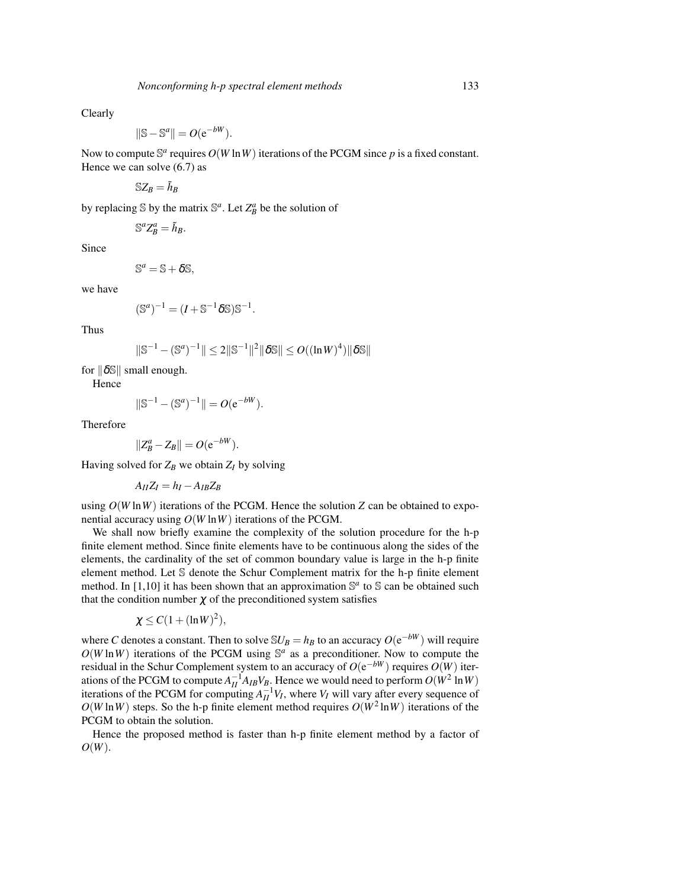Clearly

$$
\|\mathbb{S} - \mathbb{S}^a\| = O(\mathrm{e}^{-bW}).
$$

Now to compute  $\mathbb{S}^a$  requires  $O(W \ln W)$  iterations of the PCGM since p is a fixed constant. Hence we can solve (6.7) as

 $\mathbb{S}Z_B = \tilde{h}_B$ 

by replacing S by the matrix  $\mathbb{S}^a$ . Let  $Z_B^a$  be the solution of

$$
\mathbb{S}^a Z_B^a = \tilde{h}_B.
$$

Since

$$
\mathbb{S}^a = \mathbb{S} + \delta \mathbb{S},
$$

we have

$$
(\mathbb{S}^a)^{-1} = (I + \mathbb{S}^{-1} \delta \mathbb{S}) \mathbb{S}^{-1}.
$$

Thus

$$
\|\mathbb{S}^{-1} - (\mathbb{S}^{a})^{-1}\| \le 2\|\mathbb{S}^{-1}\|^2 \|\delta \mathbb{S}\| \le O((\ln W)^4) \|\delta \mathbb{S}\|
$$

for  $\|\delta\mathbb{S}\|$  small enough.

Hence

$$
\|\mathbb{S}^{-1} - (\mathbb{S}^a)^{-1}\| = O(e^{-bW}).
$$

Therefore

$$
||Z_B^a - Z_B|| = O(e^{-bW}).
$$

Having solved for  $Z_B$  we obtain  $Z_I$  by solving

$$
A_{II}Z_I = h_I - A_{IB}Z_B
$$

using  $O(W \ln W)$  iterations of the PCGM. Hence the solution *Z* can be obtained to exponential accuracy using *O*(*W* ln*W*) iterations of the PCGM.

We shall now briefly examine the complexity of the solution procedure for the h-p finite element method. Since finite elements have to be continuous along the sides of the elements, the cardinality of the set of common boundary value is large in the h-p finite element method. Let S denote the Schur Complement matrix for the h-p finite element method. In [1,10] it has been shown that an approximation  $\mathbb{S}^a$  to  $\mathbb S$  can be obtained such that the condition number  $\chi$  of the preconditioned system satisfies

$$
\chi \leq C(1 + (\ln W)^2),
$$

where *C* denotes a constant. Then to solve  $\mathbb{S}U_B = h_B$  to an accuracy  $O(e^{-bW})$  will require  $O(W \ln W)$  iterations of the PCGM using  $\mathbb{S}^a$  as a preconditioner. Now to compute the residual in the Schur Complement system to an accuracy of *O*(e <sup>−</sup>*bW* ) requires *O*(*W*) iterations of the PCGM to compute  $A_{II}^{-1}A_{IB}V_B$ . Hence we would need to perform  $O(W^2 \ln W)$ iterations of the PCGM for computing  $A_{II}^{-1}V_I$ , where  $V_I$  will vary after every sequence of  $O(W \ln W)$  steps. So the h-p finite element method requires  $O(W^2 \ln W)$  iterations of the PCGM to obtain the solution.

Hence the proposed method is faster than h-p finite element method by a factor of *O*(*W*).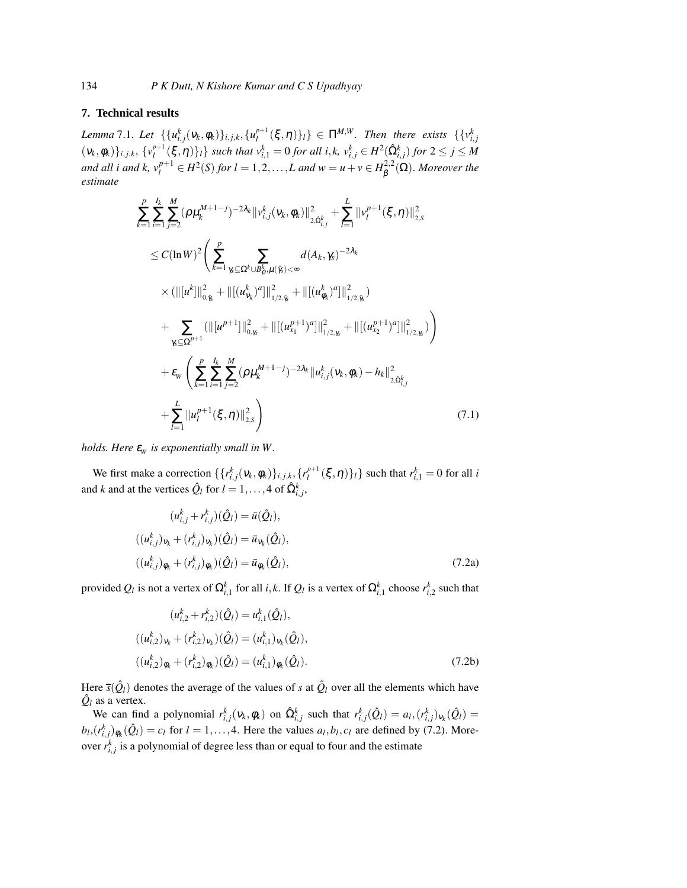## **7. Technical results**

Lemma 7.1. Let  $\{\{u_{i,j}^k(\nu_k,\phi_k)\}_{i,j,k},\{u_l^{p+1}(\xi,\eta)\}_l\}\in \Pi^{M,W}$ . Then there exists  $\{\{v_{i,j}^k(\tau_k,\eta_k)\}_{k\in I}$  $(v_k, \phi_k)\}_{i,j,k}, \{v_l^{p+1}(\xi, \eta)\}_l\}$  such that  $v_{i,1}^k = 0$  for all  $i, k, v_{i,j}^k \in H^2(\hat{\Omega}_{i,j}^k)$  for  $2 \le j \le M$ and all i and k,  $v_l^{p+1} \in H^2(S)$  for  $l = 1, 2, \ldots, L$  and  $w = u + v \in H^{2,2}_{\beta}$  $\beta^{2,2}(\Omega)$ . *Moreover the estimate*

$$
\sum_{k=1}^{p} \sum_{i=1}^{I_k} \sum_{j=2}^{M} (\rho \mu_k^{M+1-j})^{-2\lambda_k} ||v_{i,j}^k(v_k, \phi_k)||_{2, \hat{\Omega}_{i,j}^k}^2 + \sum_{l=1}^{L} ||v_l^{p+1}(\xi, \eta)||_{2,s}^2
$$
\n
$$
\leq C(\ln W)^2 \Biggl( \sum_{k=1}^{p} \sum_{\gamma_s \subseteq \Omega^k \cup B_p^k, \mu(\hat{\gamma}_s) < \infty} d(A_k, \gamma_s)^{-2\lambda_k} \Biggr)
$$
\n
$$
\times (||[u^k]||_{0,\hat{\gamma}_s}^2 + ||[(u_{v_k}^k)^a]||_{1/2,\hat{\gamma}_s}^2 + ||[(u_{\phi_k}^k)^a]||_{1/2,\hat{\gamma}_s}^2)
$$
\n
$$
+ \sum_{\gamma_s \subseteq \Omega^{p+1}} (||[u^{p+1}]||_{0,\gamma_s}^2 + ||[(u_{x_1}^{p+1})^a]||_{1/2,\gamma_s}^2 + ||[(u_{x_2}^{p+1})^a]||_{1/2,\gamma_s}^2) \Biggr)
$$
\n
$$
+ \varepsilon_w \Biggl( \sum_{k=1}^{p} \sum_{i=1}^{l_k} \sum_{j=2}^{M} (\rho \mu_k^{M+1-j})^{-2\lambda_k} ||u_{i,j}^k(v_k, \phi_k) - h_k||_{2,\Omega_{i,j}^k}^2 + \sum_{l=1}^{L} ||u_l^{p+1}(\xi, \eta)||_{2,s}^2 \Biggr)
$$
\n(7.1)

*holds. Here*  $\varepsilon_{\rm w}$  *is exponentially small in W.* 

We first make a correction  $\{\{r_{i,j}^k(v_k, \phi_k)\}_{i,j,k}, \{r_l^{p+1}(\xi, \eta)\}_l\}$  such that  $r_{i,1}^k = 0$  for all *i* and *k* and at the vertices  $\hat{Q}_l$  for  $l = 1, ..., 4$  of  $\hat{\Omega}_{i,j}^k$ ,

$$
(u_{i,j}^k + r_{i,j}^k)(\hat{Q}_l) = \bar{u}(\hat{Q}_l),
$$
  

$$
((u_{i,j}^k)_{v_k} + (r_{i,j}^k)_{v_k})(\hat{Q}_l) = \bar{u}_{v_k}(\hat{Q}_l),
$$
  

$$
((u_{i,j}^k)_{\phi_k} + (r_{i,j}^k)_{\phi_k})(\hat{Q}_l) = \bar{u}_{\phi_k}(\hat{Q}_l),
$$
 (7.2a)

provided  $Q_l$  is not a vertex of  $\Omega_{i,1}^k$  for all *i*,*k*. If  $Q_l$  is a vertex of  $\Omega_{i,1}^k$  choose  $r_{i,2}^k$  such that

$$
(u_{i,2}^k + r_{i,2}^k)(\hat{Q}_l) = u_{i,1}^k(\hat{Q}_l),
$$
  

$$
((u_{i,2}^k)_{v_k} + (r_{i,2}^k)_{v_k})(\hat{Q}_l) = (u_{i,1}^k)_{v_k}(\hat{Q}_l),
$$
  

$$
((u_{i,2}^k)_{\phi_k} + (r_{i,2}^k)_{\phi_k})(\hat{Q}_l) = (u_{i,1}^k)_{\phi_k}(\hat{Q}_l).
$$
 (7.2b)

Here  $\bar{s}(\hat{Q}_l)$  denotes the average of the values of *s* at  $\hat{Q}_l$  over all the elements which have  $\hat{Q}_l$  as a vertex.

We can find a polynomial  $r_{i,j}^k(v_k, \phi_k)$  on  $\hat{\Omega}_{i,j}^k$  such that  $r_{i,j}^k(\hat{Q}_l) = a_l, (r_{i,j}^k)_{v_k}(\hat{Q}_l) = a_l$  $b_l, (r_{i,j}^k)_{\phi_k}(\hat{Q}_l) = c_l$  for  $l = 1, ..., 4$ . Here the values  $a_l, b_l, c_l$  are defined by (7.2). Moreover  $r_{i,j}^k$  is a polynomial of degree less than or equal to four and the estimate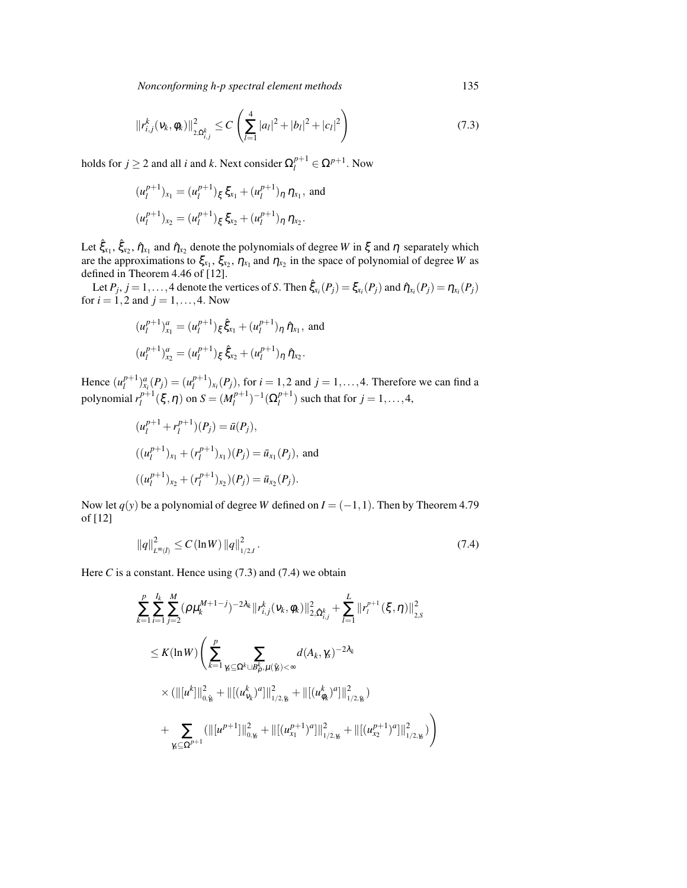*Nonconforming h-p spectral element methods* 135

$$
||r_{i,j}^k(v_k, \phi_k)||_{2, \hat{\Omega}_{i,j}^k}^2 \le C \left(\sum_{l=1}^4 |a_l|^2 + |b_l|^2 + |c_l|^2\right)
$$
\n(7.3)

holds for  $j \ge 2$  and all *i* and *k*. Next consider  $\Omega_l^{p+1} \in \Omega^{p+1}$ . Now

$$
(u_l^{p+1})_{x_1} = (u_l^{p+1})_{\xi} \xi_{x_1} + (u_l^{p+1})_{\eta} \eta_{x_1}, \text{ and}
$$
  

$$
(u_l^{p+1})_{x_2} = (u_l^{p+1})_{\xi} \xi_{x_2} + (u_l^{p+1})_{\eta} \eta_{x_2}.
$$

Let  $\hat{\xi}_{x_1}, \hat{\xi}_{x_2}, \hat{\eta}_{x_1}$  and  $\hat{\eta}_{x_2}$  denote the polynomials of degree *W* in  $\xi$  and  $\eta$  separately which are the approximations to  $\xi_{x_1}, \xi_{x_2}, \eta_{x_1}$  and  $\eta_{x_2}$  in the space of polynomial of degree *W* as defined in Theorem 4.46 of [12].

Let  $P_j$ ,  $j = 1, ..., 4$  denote the vertices of S. Then  $\hat{\xi}_{x_i}(P_j) = \xi_{x_i}(P_j)$  and  $\hat{\eta}_{x_i}(P_j) = \eta_{x_i}(P_j)$ for  $i = 1, 2$  and  $j = 1, ..., 4$ . Now

$$
(u_l^{p+1})_{x_1}^a = (u_l^{p+1})_{\xi} \hat{\xi}_{x_1} + (u_l^{p+1})_{\eta} \hat{\eta}_{x_1}, \text{ and}
$$
  

$$
(u_l^{p+1})_{x_2}^a = (u_l^{p+1})_{\xi} \hat{\xi}_{x_2} + (u_l^{p+1})_{\eta} \hat{\eta}_{x_2}.
$$

Hence  $(u_1^{p+1})$  $\binom{p+1}{l}$ <sup>*a*</sup><sub>*x*</sub></sub> $(P_j) = (u_l^{p+1})$  $j^{p+1}_{l}$ <sub> $(x_i(P_j))$ , for  $i = 1, 2$  and  $j = 1, \ldots, 4$ . Therefore we can find a</sub> polynomial  $r_l^{p+1}$  $\int_l^{p+1} (\xi, \eta) \text{ on } S = (M_l^{p+1})$  $\binom{p+1}{l}$ <sup>-1</sup> $(\Omega_l^{p+1})$  $\binom{p+1}{l}$  such that for  $j = 1, \ldots, 4$ ,

$$
(u_l^{p+1} + r_l^{p+1})(P_j) = \bar{u}(P_j),
$$
  
\n
$$
((u_l^{p+1})_{x_1} + (r_l^{p+1})_{x_1})(P_j) = \bar{u}_{x_1}(P_j),
$$
 and  
\n
$$
((u_l^{p+1})_{x_2} + (r_l^{p+1})_{x_2})(P_j) = \bar{u}_{x_2}(P_j).
$$

Now let  $q(y)$  be a polynomial of degree *W* defined on  $I = (-1,1)$ . Then by Theorem 4.79 of [12]

$$
||q||_{L^{\infty}(I)}^{2} \leq C(\ln W) ||q||_{1/2,I}^{2}.
$$
\n(7.4)

Here  $C$  is a constant. Hence using  $(7.3)$  and  $(7.4)$  we obtain

$$
\sum_{k=1}^{p} \sum_{i=1}^{l_k} \sum_{j=2}^{M} (\rho \mu_k^{M+1-j})^{-2\lambda_k} ||r_{i,j}^k(\mathbf{v}_k, \phi_k)||_{2, \Omega_{i,j}^k}^2 + \sum_{l=1}^{L} ||r_l^{p+1}(\xi, \eta)||_{2,s}^2
$$
  

$$
\leq K(\ln W) \left( \sum_{k=1}^{p} \sum_{\gamma_s \subseteq \Omega^k \cup B_p^k, \mu(\hat{\gamma}_s) < \infty} d(A_k, \gamma_s)^{-2\lambda_k} \times (||[u^k]||_{0,\gamma_k}^2 + ||[(u_{\mathbf{v}_k}^k)^{\alpha}]||_{1/2,\hat{\gamma}_k}^2 + ||[(u_{\phi_k}^k)^{\alpha}]||_{1/2,\hat{\gamma}_k}^2) + \sum_{\gamma_s \subseteq \Omega^{p+1}} (||[u^{p+1}]||_{0,\gamma_s}^2 + ||[(u_{\chi_1}^{p+1})^{\alpha}]||_{1/2,\gamma_s}^2 + ||[(u_{\chi_2}^{p+1})^{\alpha}]||_{1/2,\gamma_s}^2) \right)
$$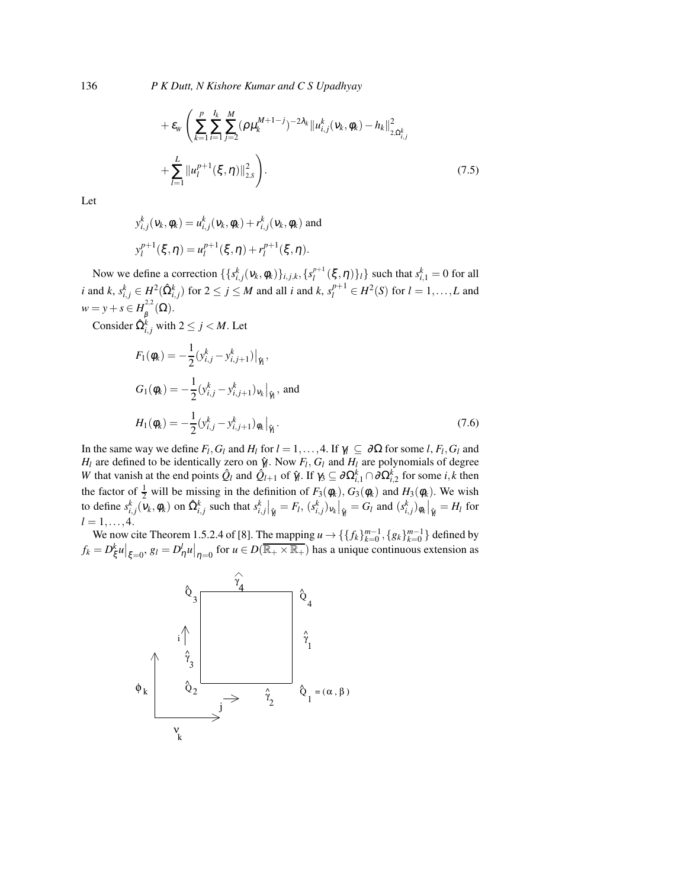136 *P K Dutt, N Kishore Kumar and C S Upadhyay*

+ 
$$
\varepsilon_{w} \left( \sum_{k=1}^{p} \sum_{i=1}^{I_{k}} \sum_{j=2}^{M} (\rho \mu_{k}^{M+1-j})^{-2\lambda_{k}} ||u_{i,j}^{k}(v_{k}, \phi_{k}) - h_{k}||_{2, \hat{\Omega}_{i,j}^{k}}^{2} + \sum_{l=1}^{L} ||u_{l}^{p+1}(\xi, \eta)||_{2, S}^{2} \right).
$$
 (7.5)

Let

$$
y_{i,j}^k(v_k, \phi_k) = u_{i,j}^k(v_k, \phi_k) + r_{i,j}^k(v_k, \phi_k)
$$
 and  

$$
y_l^{p+1}(\xi, \eta) = u_l^{p+1}(\xi, \eta) + r_l^{p+1}(\xi, \eta).
$$

Now we define a correction  $\{\{s_{i,j}^k(\mathsf{v}_k, \phi_k)\}_{i,j,k}, \{s_i^{p+1}(\xi, \eta)\}_l\}$  such that  $s_{i,1}^k = 0$  for all *i* and *k*,  $s_{i,j}^k \in H^2(\hat{\Omega}_{i,j}^k)$  for  $2 \le j \le M$  and all *i* and *k*,  $s_l^{p+1} \in H^2(S)$  for  $l = 1, ..., L$  and  $w = y + s \in H_a^{2,2}$  $\int_{\beta}^{2,\infty}(\Omega).$ 

Consider  $\hat{\Omega}_{i,j}^k$  with  $2 \leq j < M$ . Let

$$
F_1(\phi_k) = -\frac{1}{2} (y_{i,j}^k - y_{i,j+1}^k)|_{\hat{\gamma}_1},
$$
  
\n
$$
G_1(\phi_k) = -\frac{1}{2} (y_{i,j}^k - y_{i,j+1}^k)_{\nu_k}|_{\hat{\gamma}_1},
$$
 and  
\n
$$
H_1(\phi_k) = -\frac{1}{2} (y_{i,j}^k - y_{i,j+1}^k)_{\phi_k}|_{\hat{\gamma}_1}.
$$
\n(7.6)

In the same way we define  $F_l$ ,  $G_l$  and  $H_l$  for  $l = 1, ..., 4$ . If  $\gamma_l \subseteq \partial \Omega$  for some  $l$ ,  $F_l$ ,  $G_l$  and *H*<sub>*l*</sub> are defined to be identically zero on  $\hat{\gamma}$ . Now  $F_l$ ,  $G_l$  and  $H_l$  are polynomials of degree *W* that vanish at the end points  $\hat{Q}_l$  and  $\hat{Q}_{l+1}$  of  $\hat{\gamma}_l$ . If  $\gamma_3 \subseteq \partial \Omega_{i,1}^k \cap \partial \Omega_{i,2}^k$  for some *i*, *k* then the factor of  $\frac{1}{2}$  will be missing in the definition of  $F_3(\phi_k)$ ,  $G_3(\phi_k)$  and  $H_3(\phi_k)$ . We wish to define  $s_{i,j}^k(v_k, \phi_k)$  on  $\hat{\Omega}_{i,j}^k$  such that  $s_{i,j}^k\big|_{\hat{\gamma}_l} = F_l$ ,  $(s_{i,j}^k)_{v_k}\big|_{\hat{\gamma}_l} = G_l$  and  $(s_{i,j}^k)_{\phi_k}\big|_{\hat{\gamma}_l} = H_l$  for  $l = 1, \ldots, 4.$ 

We now cite Theorem 1.5.2.4 of [8]. The mapping  $u \to \{\{f_k\}_{k=0}^{m-1}, \{g_k\}_{k=0}^{m-1}\}$  defined by  $f_k = D_{\xi}^k u|_{\xi=0}, g_l = D_{\eta}^l u|_{\eta=0}$  for  $u \in D(\overline{\mathbb{R}_+ \times \mathbb{R}_+})$  has a unique continuous extension as

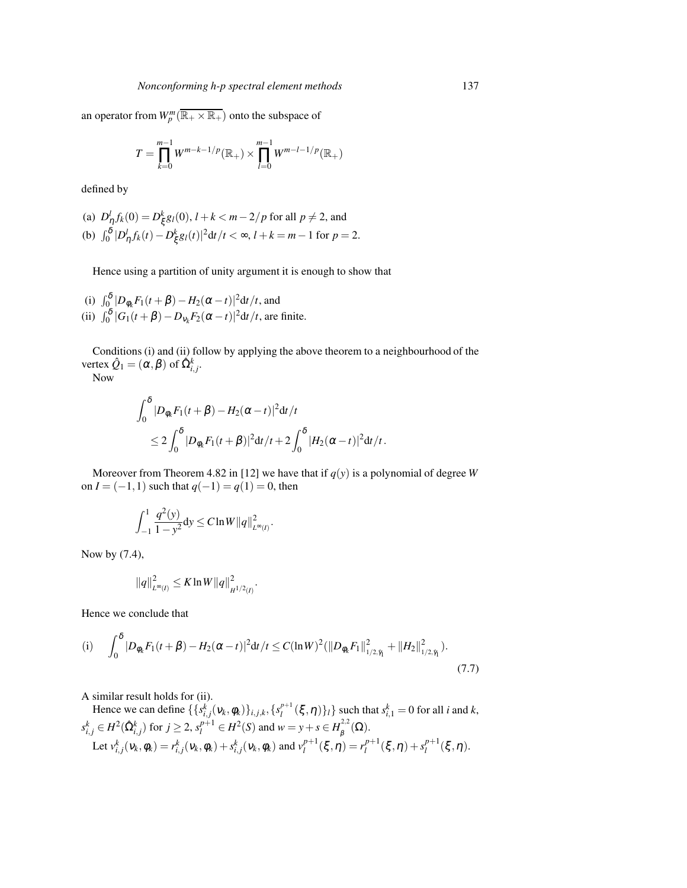an operator from  $W_p^m(\overline{\mathbb{R}_+ \times \mathbb{R}_+})$  onto the subspace of

$$
T = \prod_{k=0}^{m-1} W^{m-k-1/p}(\mathbb{R}_+) \times \prod_{l=0}^{m-1} W^{m-l-1/p}(\mathbb{R}_+)
$$

defined by

(a)  $D_{\eta}^{l} f_{k}(0) = D_{\xi}^{k} g_{l}(0), l + k < m - 2/p$  for all  $p \neq 2$ , and (b)  $\int_0^{\delta} |D_{\eta}^l f_k(t) - D_{\xi}^k g_l(t)|^2 dt/t < \infty, l+k=m-1$  for  $p=2$ .

Hence using a partition of unity argument it is enough to show that

(i)  $\int_0^{\delta} |D_{\phi_k} F_1(t+\beta) - H_2(\alpha - t)|^2 dt/t$ , and (ii)  $\int_0^{\delta} |G_1(t+\beta) - D_{v_k}F_2(\alpha - t)|^2 dt/t$ , are finite.

Conditions (i) and (ii) follow by applying the above theorem to a neighbourhood of the vertex  $\hat{Q}_1 = (\alpha, \beta)$  of  $\hat{\Omega}_{i,j}^k$ .

Now

$$
\int_0^\delta |D_{\phi_k} F_1(t+\beta) - H_2(\alpha - t)|^2 dt/t
$$
  
\$\leq 2 \int\_0^\delta |D\_{\phi\_k} F\_1(t+\beta)|^2 dt/t + 2 \int\_0^\delta |H\_2(\alpha - t)|^2 dt/t.\$

.

Moreover from Theorem 4.82 in [12] we have that if  $q(y)$  is a polynomial of degree *W* on  $I = (-1, 1)$  such that  $q(-1) = q(1) = 0$ , then

$$
\int_{-1}^{1} \frac{q^2(y)}{1 - y^2} dy \le C \ln W ||q||_{L^{\infty}(I)}^2.
$$

Now by (7.4),

$$
||q||_{L^{\infty}(I)}^2 \leq K \ln W ||q||_{H^{1/2}(I)}^2
$$

Hence we conclude that

(i) 
$$
\int_0^{\delta} |D_{\phi_k} F_1(t+\beta) - H_2(\alpha - t)|^2 dt / t \leq C(\ln W)^2 (\|D_{\phi_k} F_1\|_{1/2, \hat{\gamma}_1}^2 + \|H_2\|_{1/2, \hat{\gamma}_1}^2).
$$
\n(7.7)

A similar result holds for (ii).

Hence we can define  $\{\{s_{i,j}^k(v_k, \phi_k)\}_{i,j,k}, \{s_l^{p+1}(\xi, \eta)\}_l\}$  such that  $s_{i,1}^k = 0$  for all *i* and *k*,  $s_{i,j}^k \in H^2(\hat{\Omega}_{i,j}^k)$  for  $j \ge 2$ ,  $s_l^{p+1} \in H^2(S)$  and  $w = y + s \in H^{2,2}_\beta$  $\int_{\beta}^{2,2}(\Omega).$ Let  $v_{i,j}^k(v_k, \phi_k) = r_{i,j}^k(v_k, \phi_k) + s_{i,j}^k(v_k, \phi_k)$  and  $v_l^{p+1}$  $l_l^{p+1}(\xi, \eta) = r_l^{p+1}$  $\int_l^{p+1} (\xi, \eta) + s_l^{p+1}$  $_l^{p+1}(\xi,\eta)$ .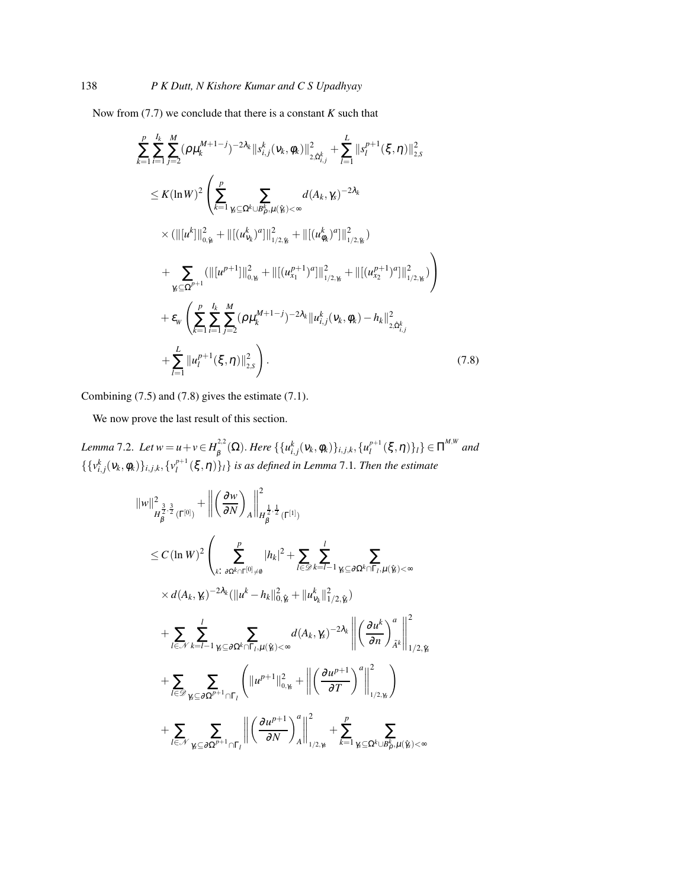Now from (7.7) we conclude that there is a constant *K* such that

$$
\sum_{k=1}^{p} \sum_{i=1}^{l_k} \sum_{j=2}^{M} (\rho \mu_k^{M+1-j})^{-2\lambda_k} ||s_{i,j}^k(v_k, \phi_k)||_{2, \hat{\Omega}_{i,j}^k}^2 + \sum_{l=1}^{L} ||s_l^{p+1}(\xi, \eta)||_{2,s}^2
$$
\n
$$
\leq K(\ln W)^2 \left( \sum_{k=1}^{p} \sum_{\gamma_s \subseteq \Omega^k \cup B_p^k, \mu(\hat{\gamma}_s) < \infty} d(A_k, \gamma_s)^{-2\lambda_k} \times (||[u^k]||_{0, \hat{\gamma}_s}^2 + ||[(u^k_{v_k})^a]||_{1/2, \hat{\gamma}_s}^2 + ||[(u^k_{\phi_k})^a]||_{1/2, \hat{\gamma}_s}^2) \right)
$$
\n
$$
+ \sum_{\gamma_s \subseteq \Omega^{p+1}} (||[u^{p+1}]||_{0, \gamma_s}^2 + ||[(u^{p+1}_{x_1})^a]||_{1/2, \gamma_s}^2 + ||[(u^{p+1}_{x_2})^a]||_{1/2, \gamma_s}^2) \right)
$$
\n
$$
+ \varepsilon_w \left( \sum_{k=1}^{p} \sum_{i=1}^{l_k} \sum_{j=2}^{M} (\rho \mu_k^{M+1-j})^{-2\lambda_k} ||u_{i,j}^k(v_k, \phi_k) - h_k||_{2, \hat{\Omega}_{i,j}^k}^2 + \sum_{l=1}^{L} ||u_l^{p+1}(\xi, \eta)||_{2,s}^2 \right).
$$
\n(7.8)

Combining (7.5) and (7.8) gives the estimate (7.1).

We now prove the last result of this section.

*Lemma* 7.2. *Let*  $w = u + v \in H^{2,2}_a$  $\beta_{\beta}^{2,2}(\Omega)$ *. Here*  $\{\{u_{i,j}^{k}(v_{k},\phi_{k})\}_{i,j,k},\{u_{l}^{p+1}(\xi,\eta)\}_{l}\}\in\Pi^{M,W}$  and  $\{\{v_{i,j}^k(v_k,\phi_k)\}_{i,j,k}, \{v_l^{p+1}(\xi,\eta)\}_l\}$  is as defined in Lemma 7.1. Then the estimate

$$
\label{eq:3.13} \begin{split} &\|w\|_{H_{\beta}^{\frac{3}{2},\frac{3}{2}}(\Gamma^{[0]})}^{2}+\left\|\left(\frac{\partial w}{\partial N}\right)_{A}\right\|_{H_{\beta}^{\frac{1}{2},\frac{1}{2}}(\Gamma^{[1]})}^{2}\\ &\leq C\left(\ln W\right)^{2}\left(\sum_{k:~\partial\Omega^{k}\cap\Gamma^{[0]}\neq\emptyset}\left|h_{k}\right|^{2}+\sum_{l\in\mathcal{D}}\sum_{k=l-1}^{l}\sum_{\gamma_{s}\subseteq\partial\Omega^{k}\cap\Gamma_{l},\mu(\hat{\gamma}_{s})<\infty}\right.\\ &\left.\times d\left(A_{k},\gamma_{s}\right)^{-2\lambda_{k}}(\|u^{k}-h_{k}\|_{0,\hat{\gamma}_{s}}^{2}+\|u_{\gamma_{k}}^{k}\|_{1/2,\hat{\gamma}_{s}}^{2})\right.\\ &\left.+\sum_{l\in\mathcal{N}}\sum_{k=l-1}^{l}\sum_{\gamma_{s}\subseteq\partial\Omega^{k}\cap\Gamma_{l},\mu(\hat{\gamma}_{s})<\infty}d\left(A_{k},\gamma_{s}\right)^{-2\lambda_{k}}\left\|\left(\frac{\partial u^{k}}{\partial n}\right)_{\tilde{A}^{k}}^{a}\right\|_{1/2,\hat{\gamma}_{s}}^{2}\\ &+\sum_{l\in\mathcal{D}}\sum_{\gamma_{s}\subseteq\partial\Omega^{p+1}\cap\Gamma_{l}}\left(\|u^{p+1}\|_{0,\gamma_{s}}^{2}+\left\|\left(\frac{\partial u^{p+1}}{\partial T}\right)^{a}\right\|_{1/2,\gamma_{s}}^{2}\right)\\ &+\sum_{l\in\mathcal{N}}\sum_{\gamma_{s}\subseteq\partial\Omega^{p+1}\cap\Gamma_{l}}\left\|\left(\frac{\partial u^{p+1}}{\partial N}\right)_{A}^{a}\right\|_{1/2,\gamma_{s}}^{2}+\sum_{k=1}^{p}\sum_{\gamma_{s}\subseteq\Omega^{k}\cup B_{p}^{k},\mu(\hat{\gamma}_{s})<\infty}\right.\\ \end{split}
$$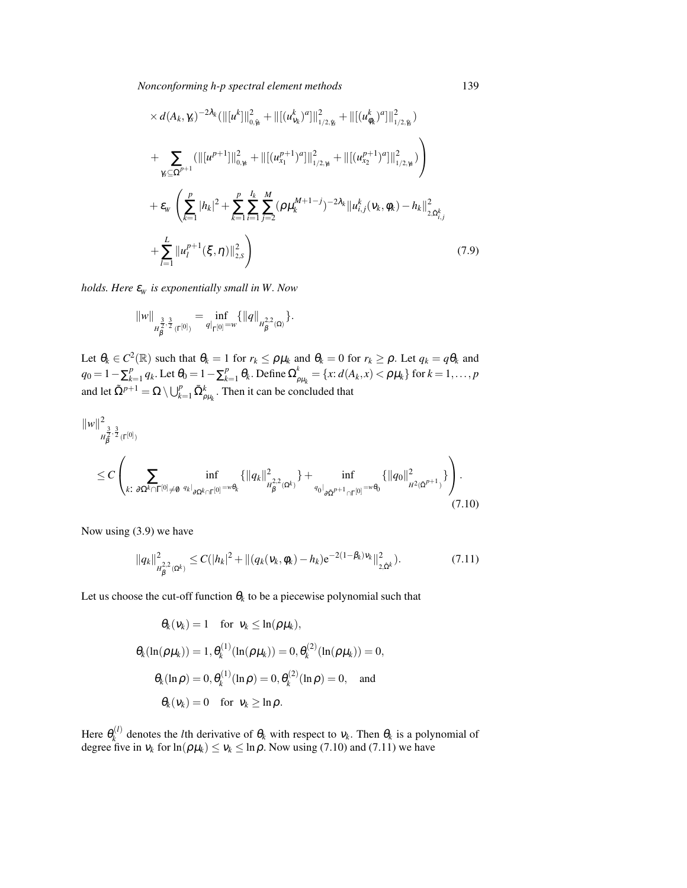*Nonconforming h-p spectral element methods* 139

$$
\times d(A_k, \gamma_s)^{-2\lambda_k} (\| [u^k] \|_{0, \hat{\gamma}_s}^2 + \| [ (u^k_{\nu_k})^a ] \|_{1/2, \hat{\gamma}_s}^2 + \| [ (u^k_{\phi_k})^a ] \|_{1/2, \hat{\gamma}_s}^2)
$$
  
+ 
$$
\sum_{\gamma_s \subseteq \Omega^{p+1}} ( \| [u^{p+1}] \|_{0, \gamma_s}^2 + \| [ (u^{p+1}_{\chi_1})^a ] \|_{1/2, \gamma_s}^2 + \| [ (u^{p+1}_{\chi_2})^a ] \|_{1/2, \gamma_s}^2 )
$$
  
+ 
$$
\varepsilon_w \left( \sum_{k=1}^p |h_k|^2 + \sum_{k=1}^p \sum_{i=1}^k \sum_{j=2}^M (\rho \mu_k^{M+1-j})^{-2\lambda_k} \| u_{i,j}^k (v_k, \phi_k) - h_k \|_{2, \hat{\Omega}_{i,j}^k}^2 + \sum_{l=1}^L \| u_l^{p+1}(\xi, \eta) \|_{2, \hat{S}}^2 \right)
$$
(7.9)

*holds. Here*  $\epsilon_{\text{w}}$  *is exponentially small in W. Now* 

$$
||w||_{H^{\frac{3}{2},\frac{3}{2}}_{\beta}(\Gamma^{[0]})} = \inf_{q|_{\Gamma^{[0]}}=w} {||q||_{H^{\frac{2,2}{2}}_{\beta}(\Omega)}}.
$$

Let  $\theta_k \in C^2(\mathbb{R})$  such that  $\theta_k = 1$  for  $r_k \le \rho \mu_k$  and  $\theta_k = 0$  for  $r_k \ge \rho$ . Let  $q_k = q \theta_k$  and  $q_0 = 1 - \sum_{k=1}^{p}$  $_{k=1}^{p} q_k$ . Let  $\theta_0 = 1 - \sum_{k=1}^{p} q_k$ *k*=1 θ*k* . Define Ω *k*  $\sum_{\rho\mu_k}^{\infty} = \{x: d(A_k, x) < \rho\mu_k\}$  for  $k = 1, ..., p$ and let  $\tilde{\Omega}^{p+1} = \Omega \setminus \bigcup_{k=1}^p \bar{\Omega}_{\rho\mu_k}^k$ . Then it can be concluded that

$$
\|w\|_{H_{\beta}^{\frac{3}{2},\frac{3}{2}}(\Gamma^{[0]})}^{2} \leq C \left( \sum_{k: \ \partial \Omega^{k} \cap \Gamma^{[0]} \neq \emptyset} \inf_{q_{k}|_{\partial \Omega^{k} \cap \Gamma^{[0]}} = w\theta_{k}} \{ \|q_{k}\|_{H_{\beta}^{2,2}(\Omega^{k})}^{2} \} + \inf_{q_{0}|_{\partial \tilde{\Omega}^{p+1} \cap \Gamma^{[0]}} = w\theta_{0}} \{ \|q_{0}\|_{H^{2}(\tilde{\Omega}^{p+1})}^{2} \} \right).
$$
\n(7.10)

Now using (3.9) we have

$$
||q_k||^2_{H^{2,2}_{\beta}(\Omega^k)} \leq C(|h_k|^2 + ||(q_k(v_k, \phi_k) - h_k)e^{-2(1-\beta_k)v_k}||^2_{2,\hat{\Omega}^k}).
$$
\n(7.11)

Let us choose the cut-off function  $\theta_k$  to be a piecewise polynomial such that

$$
\theta_k(\nu_k) = 1 \quad \text{for } \nu_k \le \ln(\rho \mu_k),
$$
  
\n
$$
\theta_k(\ln(\rho \mu_k)) = 1, \theta_k^{(1)}(\ln(\rho \mu_k)) = 0, \theta_k^{(2)}(\ln(\rho \mu_k)) = 0,
$$
  
\n
$$
\theta_k(\ln \rho) = 0, \theta_k^{(1)}(\ln \rho) = 0, \theta_k^{(2)}(\ln \rho) = 0, \text{ and}
$$
  
\n
$$
\theta_k(\nu_k) = 0 \quad \text{for } \nu_k \ge \ln \rho.
$$

Here  $\theta_k^{(l)}$  $\theta_k^{(t)}$  denotes the *l*th derivative of  $\theta_k$  with respect to  $v_k$ . Then  $\theta_k$  is a polynomial of degree five in  $v_k$  for  $\ln(\rho \mu_k) \le v_k \le \ln \rho$ . Now using (7.10) and (7.11) we have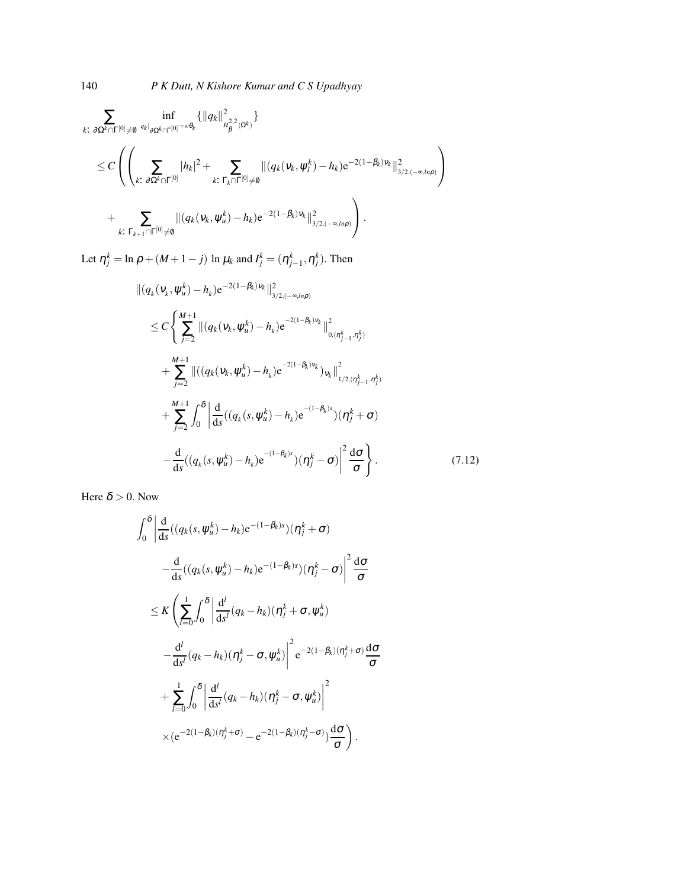$$
\sum_{k:\ \partial\Omega^{k}\cap\Gamma^{[0]}\neq\emptyset}\inf_{q_{k}|_{\partial\Omega^{k}\cap\Gamma^{[0]}}=\nu\theta_{k}}\{\|q_{k}\|_{H_{\beta}^{2,2}(\Omega^{k})}^{2}\}\n\n\leq C\left(\left(\sum_{k:\ \partial\Omega^{k}\cap\Gamma^{[0]}}|h_{k}|^{2}+\sum_{k:\ \Gamma_{k}\cap\Gamma^{[0]}\neq\emptyset}\|(q_{k}(v_{k},\psi_{l}^{k})-h_{k})e^{-2(1-\beta_{k})v_{k}}\|_{3/2,(-\infty,ln\rho)}^{2}\right)\n\n+\sum_{k:\ \Gamma_{k+1}\cap\Gamma^{[0]}\neq\emptyset}\|(q_{k}(v_{k},\psi_{u}^{k})-h_{k})e^{-2(1-\beta_{k})v_{k}}\|_{3/2,(-\infty,ln\rho)}^{2}\right).
$$

Let  $\eta_j^k = \ln \rho + (M+1-j) \ln \mu_k$  and  $I_j^k = (\eta_{j-1}^k, \eta_j^k)$ . Then

$$
\| (q_k(v_k, \psi_u^k) - h_k) e^{-2(1-\beta_k)v_k} \|_{3/2, (-\infty, ln\rho)}^2
$$
  
\n
$$
\leq C \left\{ \sum_{j=2}^{M+1} \| (q_k(v_k, \psi_u^k) - h_k) e^{-2(1-\beta_k)v_k} \|_{0, (\eta_{j-1}^k, \eta_j^k)}^2 + \sum_{j=2}^{M+1} \| ((q_k(v_k, \psi_u^k) - h_k) e^{-2(1-\beta_k)v_k})_{v_k} \|_{1/2, (\eta_{j-1}^k, \eta_j^k)}^2 + \sum_{j=2}^{M+1} \int_0^\delta \left| \frac{d}{ds} ((q_k(s, \psi_u^k) - h_k) e^{-(1-\beta_k)s}) (\eta_j^k + \sigma) - \frac{d}{ds} ((q_k(s, \psi_u^k) - h_k) e^{-(1-\beta_k)s}) (\eta_j^k - \sigma) \right|^2 \frac{d}{\sigma} \right\}.
$$
\n(7.12)

Here  $\delta > 0$ . Now

$$
\int_0^{\delta} \left| \frac{d}{ds} \left( (q_k(s, \psi_u^k) - h_k) e^{-(1-\beta_k)s} \right) (\eta_j^k + \sigma) \right|
$$
  
\n
$$
- \frac{d}{ds} \left( (q_k(s, \psi_u^k) - h_k) e^{-(1-\beta_k)s} \right) (\eta_j^k - \sigma) \left| \frac{d\sigma}{\sigma} \right|
$$
  
\n
$$
\leq K \left( \sum_{l=0}^1 \int_0^{\delta} \left| \frac{d^l}{ds^l} (q_k - h_k) (\eta_j^k + \sigma, \psi_u^k) \right|
$$
  
\n
$$
- \frac{d^l}{ds^l} (q_k - h_k) (\eta_j^k - \sigma, \psi_u^k) \left| \frac{d}{ds^l} e^{-2(1-\beta_k)(\eta_j^k + \sigma)} \frac{d\sigma}{\sigma} \right|
$$
  
\n
$$
+ \sum_{l=0}^1 \int_0^{\delta} \left| \frac{d^l}{ds^l} (q_k - h_k) (\eta_j^k - \sigma, \psi_u^k) \right|^2
$$
  
\n
$$
\times (e^{-2(1-\beta_k)(\eta_j^k + \sigma)} - e^{-2(1-\beta_k)(\eta_j^k - \sigma)}) \frac{d\sigma}{\sigma} \right).
$$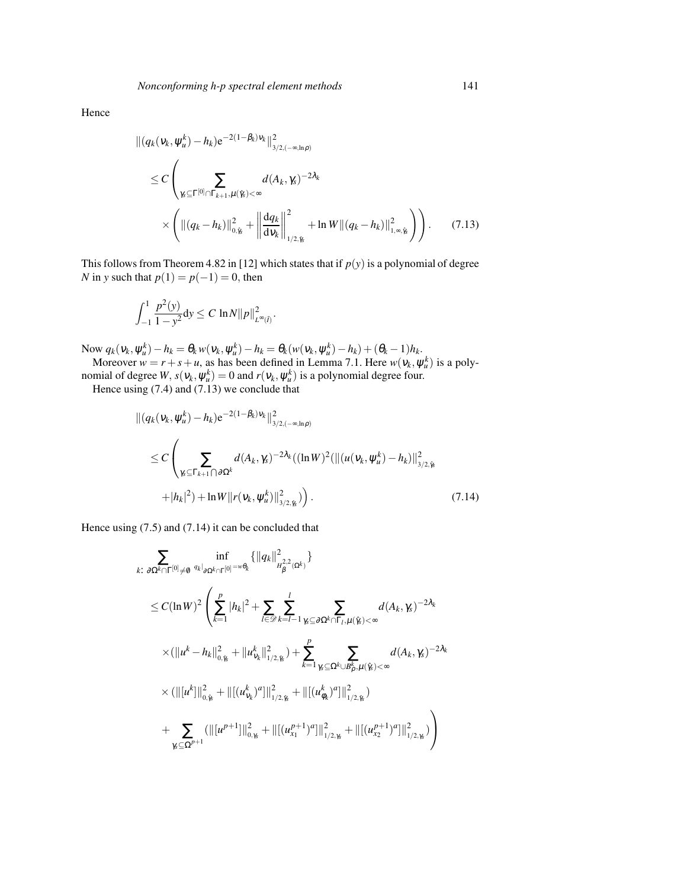Hence

$$
\| (q_k(\mathbf{v}_k, \psi_u^k) - h_k) e^{-2(1-\beta_k)\mathbf{v}_k} \|_{3/2, (-\infty, \ln \rho)}^2
$$
  
\n
$$
\leq C \left( \sum_{\gamma_s \subseteq \Gamma^{[0]} \cap \Gamma_{k+1}, \mu(\hat{\gamma}_s) < \infty} d(A_k, \gamma_s)^{-2\lambda_k} \right)
$$
  
\n
$$
\times \left( \| (q_k - h_k) \|_{0, \hat{\gamma}_s}^2 + \left\| \frac{dq_k}{d\mathbf{v}_k} \right\|_{1/2, \hat{\gamma}_s}^2 + \ln W \| (q_k - h_k) \|_{1, \infty, \hat{\gamma}_s}^2 \right) \right). \tag{7.13}
$$

This follows from Theorem 4.82 in [12] which states that if  $p(y)$  is a polynomial of degree *N* in *y* such that  $p(1) = p(-1) = 0$ , then

$$
\int_{-1}^1 \frac{p^2(y)}{1 - y^2} dy \le C \ln N ||p||_{L^{\infty}(\bar{I})}^2.
$$

Now  $q_k(v_k, \psi_u^k) - h_k = \theta_k w(v_k, \psi_u^k) - h_k = \theta_k(w(v_k, \psi_u^k) - h_k) + (\theta_k - 1)h_k$ .

Moreover  $w = r + s + u$ , as has been defined in Lemma 7.1. Here  $w(v_k, \psi_u^k)$  is a polynomial of degree *W*,  $s(v_k, \psi_u^k) = 0$  and  $r(v_k, \psi_u^k)$  is a polynomial degree four.

Hence using  $(7.4)$  and  $(7.13)$  we conclude that

$$
\begin{split} \|(q_k(\mathbf{v}_k, \boldsymbol{\psi}_u^k) - h_k) e^{-2(1-\beta_k)\mathbf{v}_k} \|_{3/2, (-\infty, \ln \rho)}^2 \\ &\leq C \left( \sum_{\gamma_s \subseteq \Gamma_{k+1} \cap \partial \Omega^k} d(A_k, \gamma_s)^{-2\lambda_k} ((\ln W)^2 (\|(u(\mathbf{v}_k, \boldsymbol{\psi}_u^k) - h_k) \|_{3/2, \hat{\gamma}_s}^2) \right. \\ &\left. + |h_k|^2) + \ln W \|r(\mathbf{v}_k, \boldsymbol{\psi}_u^k) \|_{3/2, \hat{\gamma}_s}^2) \right). \end{split} \tag{7.14}
$$

Hence using (7.5) and (7.14) it can be concluded that

$$
\sum_{k:\partial\Omega^{k}\cap\Gamma^{[0]}\neq\emptyset}\inf_{q_{k}|_{\partial\Omega^{k}\cap\Gamma^{[0]}}=w\theta_{k}}\{\|q_{k}\|_{H_{\beta}^{2,2}(\Omega^{k})}^{2}\}\
$$
\n
$$
\leq C(\ln W)^{2}\left(\sum_{k=1}^{p}|h_{k}|^{2}+\sum_{l\in\mathcal{D}}\sum_{k=l-1}^{l}\sum_{\gamma_{S}\subseteq\partial\Omega^{k}\cap\Gamma_{l},\mu(\hat{\gamma}_{S})<\infty}d(A_{k},\gamma_{S})^{-2\lambda_{k}}\right)
$$
\n
$$
\times(\|u^{k}-h_{k}\|_{0,\hat{\gamma}_{S}}^{2}+\|u^{k}_{v_{k}}\|_{1/2,\hat{\gamma}_{S}}^{2})+\sum_{k=1}^{p}\sum_{\gamma_{S}\subseteq\Omega^{k}\cup B_{\beta}^{k},\mu(\hat{\gamma}_{S})<\infty}d(A_{k},\gamma_{S})^{-2\lambda_{k}}
$$
\n
$$
\times(\|u^{k}\|_{0,\hat{\gamma}_{S}}^{2}+\|[(u^{k}_{v_{k}})^{\alpha}]\|_{1/2,\hat{\gamma}_{S}}^{2}+\|[(u^{k}_{\phi_{k}})^{\alpha}]\|_{1/2,\hat{\gamma}_{S}}^{2})
$$
\n
$$
+\sum_{\gamma_{S}\subseteq\Omega^{p+1}}(\| [u^{p+1}]\|_{0,\gamma_{S}}^{2}+\|[(u^{p+1}_{\chi_{1}})^{\alpha}]\|_{1/2,\gamma_{S}}^{2}+\|[(u^{p+1}_{\chi_{2}})^{\alpha}]\|_{1/2,\gamma_{S}}^{2})
$$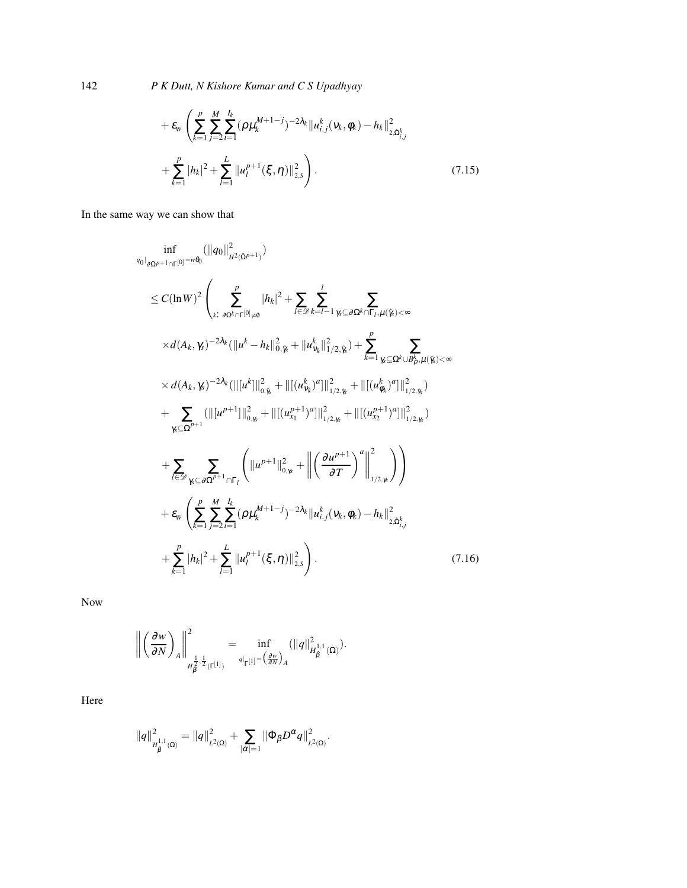142 *P K Dutt, N Kishore Kumar and C S Upadhyay*

$$
+\varepsilon_{w}\left(\sum_{k=1}^{p}\sum_{j=2}^{M}\sum_{i=1}^{l_{k}}(\rho\mu_{k}^{M+1-j})^{-2\lambda_{k}}\|u_{i,j}^{k}(v_{k},\phi_{k})-h_{k}\|_{2,\hat{\Omega}_{i,j}^{k}}^{2} + \sum_{k=1}^{p}|h_{k}|^{2}+\sum_{l=1}^{L}\|u_{l}^{p+1}(\xi,\eta)\|_{2,s}^{2}\right).
$$
\n(7.15)

In the same way we can show that

$$
\inf_{q_{0}|_{\partial \tilde{\Omega}^{p+1}\cap\Gamma^{[0]}_{\rho}}(\|q_{0}\|_{H^{2}(\tilde{\Omega}^{p+1})}^{2})
$$
\n
$$
\leq C(\ln W)^{2} \left(\sum_{k:\ \partial \Omega^{k}\cap\Gamma^{[0]}\neq\emptyset}^{p} |h_{k}|^{2} + \sum_{l\in\mathscr{D}}\sum_{k=l-1}^{l} \sum_{\gamma_{s}\subseteq\partial\Omega^{k}\cap\Gamma_{l},\mu(\tilde{\gamma}_{s})<\infty} \times d(A_{k},\gamma_{s})^{-2\lambda_{k}}(\|u^{k}-h_{k}\|_{0,\tilde{\gamma}_{s}}^{2} + \|u^{k}_{\gamma_{k}}\|_{1/2,\tilde{\gamma}_{s}}^{2}) + \sum_{k=1}^{p} \sum_{\gamma_{s}\subseteq\Omega^{k}\cup B_{p}^{k},\mu(\tilde{\gamma}_{s})<\infty} \times d(A_{k},\gamma_{s})^{-2\lambda_{k}}(\| [u^{k}] \|_{0,\tilde{\gamma}_{s}}^{2} + \| [ (u^{k}_{\gamma_{k}})^{a}] \|_{1/2,\tilde{\gamma}_{s}}^{2} + \| [ (u^{k}_{\varphi_{k}})^{a}] \|_{1/2,\tilde{\gamma}_{s}}^{2})
$$
\n
$$
+ \sum_{\gamma_{s}\subseteq\Omega^{p+1}} ( \| [u^{p+1}] \|_{0,\gamma_{s}}^{2} + \| [ (u^{p+1})^{a}] \|_{1/2,\gamma_{s}}^{2} + \| [ (u^{p+1})^{a}] \|_{1/2,\gamma_{s}}^{2})
$$
\n
$$
+ \sum_{l\in\mathscr{D}}\sum_{\gamma_{s}\subseteq\partial\Omega^{p+1}\cap\Gamma_{l}} \left( \| u^{p+1} \|_{0,\gamma_{s}}^{2} + \left\| \left( \frac{\partial u^{p+1}}{\partial T} \right)^{a} \right\|_{1/2,\gamma_{s}}^{2} \right)
$$
\n
$$
+ \varepsilon_{w} \left( \sum_{k=1}^{p} \sum_{j=2}^{M} \sum_{i=1}^{k} (\rho \mu_{k}^{M+1-j})^{-2\lambda_{k}} \| u^{k}_{i,j}(v_{k},\phi_{k}) - h_{k} \|_{2,\Omega_{k,j}^{k}}^{2}
$$
\n
$$
+ \sum_{k=1}^{p} |h_{k}|^{2} + \sum_{l=
$$

Now

$$
\left\| \left( \frac{\partial w}{\partial N} \right)_{A} \right\|_{H^{1,1}_{\beta}(\Gamma^{[1]})}^{2} = \inf_{q|_{\Gamma^{[1]}} = (\frac{\partial w}{\partial N})_{A}} (\|q\|_{H^{1,1}_{\beta}(\Omega)}^{2}).
$$

Here

$$
||q||^2_{\substack{H^{1,1}_{\beta}(\Omega)}} = ||q||^2_{L^2(\Omega)} + \sum_{|\alpha|=1} ||\Phi_{\beta}D^{\alpha}q||^2_{L^2(\Omega)}.
$$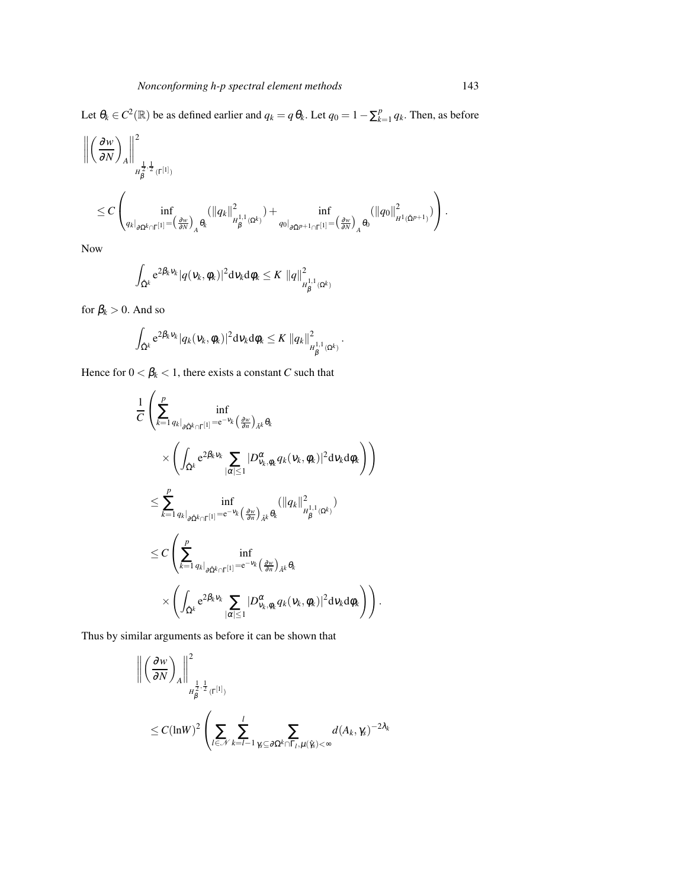Let  $\theta_k \in C^2(\mathbb{R})$  be as defined earlier and  $q_k = q \theta_k$ . Let  $q_0 = 1 - \sum_{k=1}^{p} q_k$ .  $_{k=1}^p q_k$ . Then, as before

$$
\begin{aligned}&\left\|\left(\frac{\partial w}{\partial N}\right)_{A}\right\|^{2}_{H^{\frac{1}{2},\frac{1}{2}}_{\beta}(\Gamma^{[1]})} \\&\leq C\left(\inf_{q_{k}\big|_{\partial\Omega^{k}\cap\Gamma^{[1]}}=\left(\frac{\partial w}{\partial N}\right)_{A}}\theta_{k}}\left(\left\|q_{k}\right\|^{2}_{H^{1,1}_{\beta}(\Omega^{k})}\right)+\inf_{q_{0}\big|_{\partial\tilde{\Omega}^{p+1}\cap\Gamma^{[1]}}=\left(\frac{\partial w}{\partial N}\right)_{A}}\theta_{0}\left(\left\|q_{0}\right\|^{2}_{H^{1}(\tilde{\Omega}^{p+1})}\right)\right). \end{aligned}
$$

Now

$$
\int_{\hat{\Omega}^k} e^{2\beta_k v_k} |q(v_k,\phi_k)|^2 \mathrm{d} v_k \mathrm{d} \phi_k \leq K \, ||q||^2_{H^{1,1}_{\beta}(\Omega^k)}
$$

for  $\beta_k > 0$ . And so

$$
\int_{\hat{\Omega}^k} e^{2\beta_k v_k} |q_k(v_k,\phi_k)|^2 \mathrm{d} v_k \mathrm{d} \phi_k \leq K \left\|q_k\right\|_{H^{1,1}_{\beta}(\Omega^k)}^2.
$$

Hence for  $0 < \beta_k < 1$ , there exists a constant *C* such that

$$
\frac{1}{C} \left( \sum_{k=1}^{p} \inf_{q_{k}|_{\partial \Omega^{k} \cap \Gamma^{[1]}} = e^{-\nu_{k}} (\frac{\partial w}{\partial n})_{\tilde{A}^{k}} \theta_{k}} \times \left( \int_{\hat{\Omega}^{k}} e^{2\beta_{k}v_{k}} \sum_{|\alpha| \leq 1} |D_{v_{k},\phi_{k}}^{\alpha} q_{k}(v_{k},\phi_{k})|^{2} dv_{k} d\phi_{k} \right) \right) \leq \sum_{k=1}^{p} \inf_{q_{k}|_{\partial \Omega^{k} \cap \Gamma^{[1]}} = e^{-\nu_{k}} (\frac{\partial w}{\partial n})_{\tilde{A}^{k}} \theta_{k}} (\|q_{k}\|_{H^{1,1}_{\beta}(\Omega^{k})}^{2}) \leq C \left( \sum_{k=1}^{p} \inf_{q_{k}|_{\partial \Omega^{k} \cap \Gamma^{[1]}} = e^{-\nu_{k}} (\frac{\partial w}{\partial n})_{\tilde{A}^{k}} \theta_{k} \times \left( \int_{\hat{\Omega}^{k}} e^{2\beta_{k}v_{k}} \sum_{|\alpha| \leq 1} |D_{v_{k},\phi_{k}}^{\alpha} q_{k}(v_{k},\phi_{k})|^{2} dv_{k} d\phi_{k} \right) \right).
$$

Thus by similar arguments as before it can be shown that

$$
\left\| \left( \frac{\partial w}{\partial N} \right)_A \right\|_{H_{\beta}^{\frac{1}{2}, \frac{1}{2}}(\Gamma^{[1]})}^2
$$
  

$$
\leq C(\ln W)^2 \left( \sum_{l \in \mathcal{N}} \sum_{k=l-1}^l \sum_{\gamma_s \subseteq \partial \Omega^k \cap \Gamma_l, \mu(\hat{\gamma}_s) < \infty} d(A_k, \gamma_s)^{-2\lambda_k} \right)
$$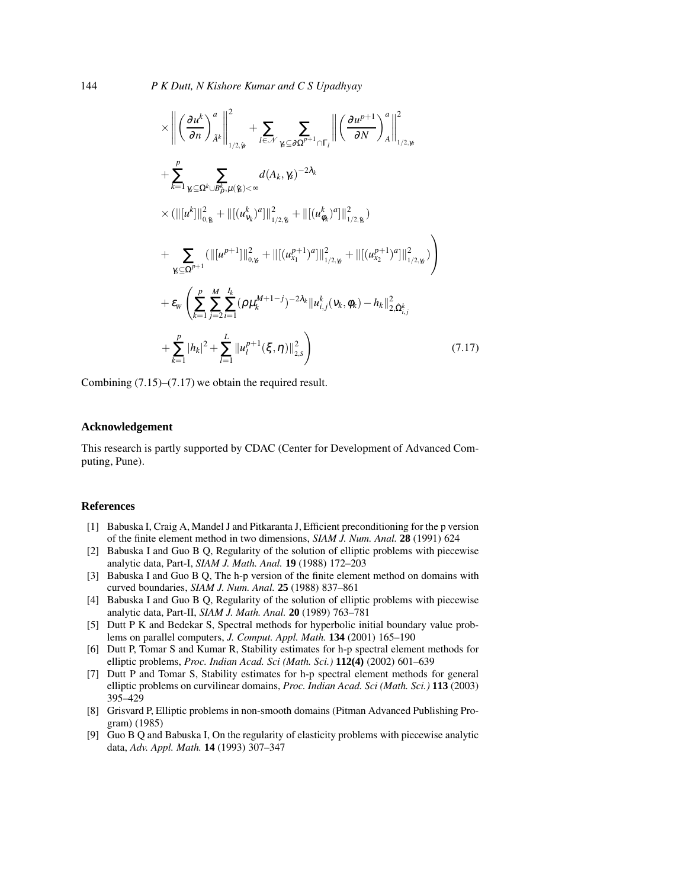$$
\times \left\| \left( \frac{\partial u^k}{\partial n} \right)_{\tilde{A}^k}^a \right\|_{1/2, \hat{y}}^2 + \sum_{l \in \mathcal{N}} \sum_{\gamma_s \subseteq \partial \Omega^{p+1} \cap \Gamma_l} \left\| \left( \frac{\partial u^{p+1}}{\partial N} \right)_{A}^a \right\|_{1/2, \hat{y}}^2
$$
  
+ 
$$
\sum_{k=1}^p \sum_{\gamma_s \subseteq \Omega^k \cup B_p^k, \mu(\hat{y}_s) < \infty} d(A_k, \gamma_s)^{-2\lambda_k}
$$
  

$$
\times (\| [u^k] \|_{0, \hat{y}_s}^2 + \| [ (u^k_{v_k})^a ] \|_{1/2, \hat{y}_s}^2 + \| [ (u^k_{\phi_k})^a ] \|_{1/2, \hat{y}_s}^2)
$$
  
+ 
$$
\sum_{\gamma_s \subseteq \Omega^{p+1}} (\| [u^{p+1}] \|_{0, \gamma_s}^2 + \| [ (u^{p+1}_{x_1})^a ] \|_{1/2, \gamma_s}^2 + \| [ (u^{p+1}_{x_2})^a ] \|_{1/2, \gamma_s}^2 )
$$
  
+ 
$$
\varepsilon_w \left( \sum_{k=1}^p \sum_{j=2}^M \sum_{i=1}^k (\rho \mu_k^{M+1-j})^{-2\lambda_k} \| u^k_{i,j} (v_k, \phi_k) - h_k \|_{2, \hat{\Omega}^k_{i,j}}^2 + \sum_{k=1}^p |h_k|^2 + \sum_{l=1}^L \| u_l^{p+1} (\xi, \eta) \|_{2, \hat{S}}^2 \right)
$$
(7.17)

Combining (7.15)–(7.17) we obtain the required result.

## **Acknowledgement**

This research is partly supported by CDAC (Center for Development of Advanced Computing, Pune).

## **References**

- [1] Babuska I, Craig A, Mandel J and Pitkaranta J, Efficient preconditioning for the p version of the finite element method in two dimensions, *SIAM J. Num. Anal.* **28** (1991) 624
- [2] Babuska I and Guo B Q, Regularity of the solution of elliptic problems with piecewise analytic data, Part-I, *SIAM J. Math. Anal.* **19** (1988) 172–203
- [3] Babuska I and Guo B Q, The h-p version of the finite element method on domains with curved boundaries, *SIAM J. Num. Anal.* **25** (1988) 837–861
- [4] Babuska I and Guo B Q, Regularity of the solution of elliptic problems with piecewise analytic data, Part-II, *SIAM J. Math. Anal.* **20** (1989) 763–781
- [5] Dutt P K and Bedekar S, Spectral methods for hyperbolic initial boundary value problems on parallel computers, *J. Comput. Appl. Math.* **134** (2001) 165–190
- [6] Dutt P, Tomar S and Kumar R, Stability estimates for h-p spectral element methods for elliptic problems, *Proc. Indian Acad. Sci (Math. Sci.)* **112(4)** (2002) 601–639
- [7] Dutt P and Tomar S, Stability estimates for h-p spectral element methods for general elliptic problems on curvilinear domains, *Proc. Indian Acad. Sci (Math. Sci.)* **113** (2003) 395–429
- [8] Grisvard P, Elliptic problems in non-smooth domains (Pitman Advanced Publishing Program) (1985)
- [9] Guo B Q and Babuska I, On the regularity of elasticity problems with piecewise analytic data, *Adv. Appl. Math.* **14** (1993) 307–347